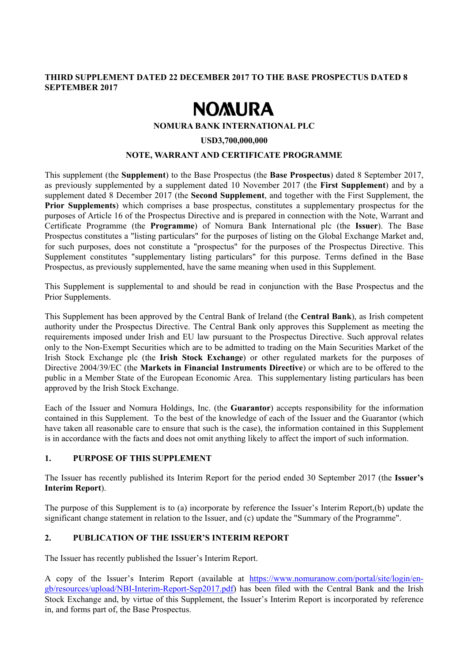### **THIRD SUPPLEMENT DATED 22 DECEMBER 2017 TO THE BASE PROSPECTUS DATED 8 SEPTEMBER 2017**

# **NOMURA**

#### **NOMURA BANK INTERNATIONAL PLC**

#### **USD3,700,000,000**

#### **NOTE, WARRANT AND CERTIFICATE PROGRAMME**

This supplement (the **Supplement**) to the Base Prospectus (the **Base Prospectus**) dated 8 September 2017, as previously supplemented by a supplement dated 10 November 2017 (the **First Supplement**) and by a supplement dated 8 December 2017 (the **Second Supplement**, and together with the First Supplement, the **Prior Supplements**) which comprises a base prospectus, constitutes a supplementary prospectus for the purposes of Article 16 of the Prospectus Directive and is prepared in connection with the Note, Warrant and Certificate Programme (the **Programme**) of Nomura Bank International plc (the **Issuer**). The Base Prospectus constitutes a "listing particulars" for the purposes of listing on the Global Exchange Market and, for such purposes, does not constitute a "prospectus" for the purposes of the Prospectus Directive. This Supplement constitutes "supplementary listing particulars" for this purpose. Terms defined in the Base Prospectus, as previously supplemented, have the same meaning when used in this Supplement.

This Supplement is supplemental to and should be read in conjunction with the Base Prospectus and the Prior Supplements.

This Supplement has been approved by the Central Bank of Ireland (the **Central Bank**), as Irish competent authority under the Prospectus Directive. The Central Bank only approves this Supplement as meeting the requirements imposed under Irish and EU law pursuant to the Prospectus Directive. Such approval relates only to the Non-Exempt Securities which are to be admitted to trading on the Main Securities Market of the Irish Stock Exchange plc (the **Irish Stock Exchange**) or other regulated markets for the purposes of Directive 2004/39/EC (the **Markets in Financial Instruments Directive**) or which are to be offered to the public in a Member State of the European Economic Area. This supplementary listing particulars has been approved by the Irish Stock Exchange.

Each of the Issuer and Nomura Holdings, Inc. (the **Guarantor**) accepts responsibility for the information contained in this Supplement. To the best of the knowledge of each of the Issuer and the Guarantor (which have taken all reasonable care to ensure that such is the case), the information contained in this Supplement is in accordance with the facts and does not omit anything likely to affect the import of such information.

#### **1. PURPOSE OF THIS SUPPLEMENT**

The Issuer has recently published its Interim Report for the period ended 30 September 2017 (the **Issuer's Interim Report**).

The purpose of this Supplement is to (a) incorporate by reference the Issuer's Interim Report,(b) update the significant change statement in relation to the Issuer, and (c) update the "Summary of the Programme".

#### **2. PUBLICATION OF THE ISSUER'S INTERIM REPORT**

The Issuer has recently published the Issuer's Interim Report.

A copy of the Issuer's Interim Report (available at https://www.nomuranow.com/portal/site/login/engb/resources/upload/NBI-Interim-Report-Sep2017.pdf) has been filed with the Central Bank and the Irish Stock Exchange and, by virtue of this Supplement, the Issuer's Interim Report is incorporated by reference in, and forms part of, the Base Prospectus.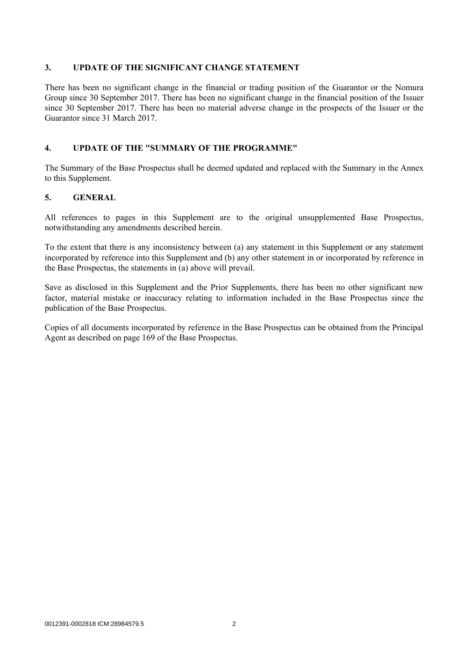#### **3. UPDATE OF THE SIGNIFICANT CHANGE STATEMENT**

There has been no significant change in the financial or trading position of the Guarantor or the Nomura Group since 30 September 2017. There has been no significant change in the financial position of the Issuer since 30 September 2017. There has been no material adverse change in the prospects of the Issuer or the Guarantor since 31 March 2017.

#### **4. UPDATE OF THE "SUMMARY OF THE PROGRAMME"**

The Summary of the Base Prospectus shall be deemed updated and replaced with the Summary in the Annex to this Supplement.

#### **5. GENERAL**

All references to pages in this Supplement are to the original unsupplemented Base Prospectus, notwithstanding any amendments described herein.

To the extent that there is any inconsistency between (a) any statement in this Supplement or any statement incorporated by reference into this Supplement and (b) any other statement in or incorporated by reference in the Base Prospectus, the statements in (a) above will prevail.

Save as disclosed in this Supplement and the Prior Supplements, there has been no other significant new factor, material mistake or inaccuracy relating to information included in the Base Prospectus since the publication of the Base Prospectus.

Copies of all documents incorporated by reference in the Base Prospectus can be obtained from the Principal Agent as described on page 169 of the Base Prospectus.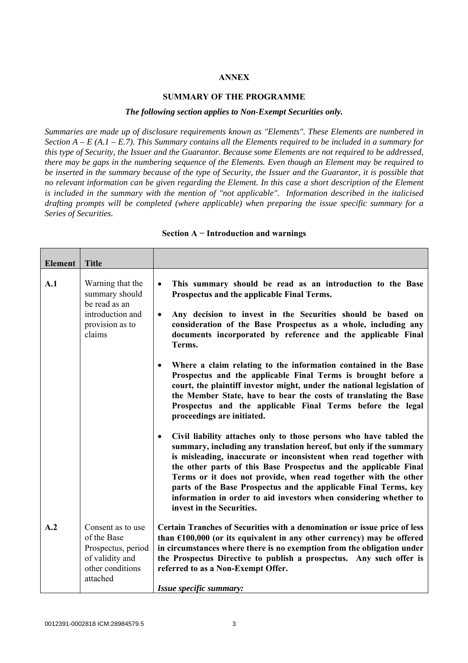#### **ANNEX**

#### **SUMMARY OF THE PROGRAMME**

#### *The following section applies to Non-Exempt Securities only.*

*Summaries are made up of disclosure requirements known as "Elements". These Elements are numbered in Section A – E (A.1 – E.7). This Summary contains all the Elements required to be included in a summary for this type of Security, the Issuer and the Guarantor. Because some Elements are not required to be addressed, there may be gaps in the numbering sequence of the Elements. Even though an Element may be required to be inserted in the summary because of the type of Security, the Issuer and the Guarantor, it is possible that no relevant information can be given regarding the Element. In this case a short description of the Element is included in the summary with the mention of "not applicable". Information described in the italicised drafting prompts will be completed (where applicable) when preparing the issue specific summary for a Series of Securities.*

| <b>Element</b> | <b>Title</b>                                                                                              |                                                                                                                                                                                                                                                                                                                                                                                                                                                                                                                                         |
|----------------|-----------------------------------------------------------------------------------------------------------|-----------------------------------------------------------------------------------------------------------------------------------------------------------------------------------------------------------------------------------------------------------------------------------------------------------------------------------------------------------------------------------------------------------------------------------------------------------------------------------------------------------------------------------------|
| A.1            | Warning that the<br>summary should<br>be read as an<br>introduction and<br>provision as to<br>claims      | This summary should be read as an introduction to the Base<br>$\bullet$<br>Prospectus and the applicable Final Terms.<br>Any decision to invest in the Securities should be based on<br>$\bullet$<br>consideration of the Base Prospectus as a whole, including any<br>documents incorporated by reference and the applicable Final<br>Terms.                                                                                                                                                                                           |
|                |                                                                                                           | Where a claim relating to the information contained in the Base<br>$\bullet$<br>Prospectus and the applicable Final Terms is brought before a<br>court, the plaintiff investor might, under the national legislation of<br>the Member State, have to bear the costs of translating the Base<br>Prospectus and the applicable Final Terms before the legal<br>proceedings are initiated.                                                                                                                                                 |
|                |                                                                                                           | Civil liability attaches only to those persons who have tabled the<br>$\bullet$<br>summary, including any translation hereof, but only if the summary<br>is misleading, inaccurate or inconsistent when read together with<br>the other parts of this Base Prospectus and the applicable Final<br>Terms or it does not provide, when read together with the other<br>parts of the Base Prospectus and the applicable Final Terms, key<br>information in order to aid investors when considering whether to<br>invest in the Securities. |
| A.2            | Consent as to use<br>of the Base<br>Prospectus, period<br>of validity and<br>other conditions<br>attached | Certain Tranches of Securities with a denomination or issue price of less<br>than $£100,000$ (or its equivalent in any other currency) may be offered<br>in circumstances where there is no exemption from the obligation under<br>the Prospectus Directive to publish a prospectus. Any such offer is<br>referred to as a Non-Exempt Offer.<br>Issue specific summary:                                                                                                                                                                 |

#### **Section A − Introduction and warnings**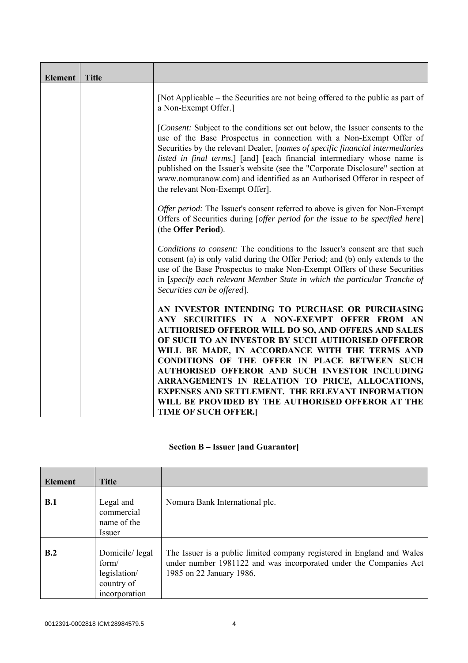| <b>Element</b> | <b>Title</b> |                                                                                                                                                                                                                                                                                                                                                                                                                                                                                                                    |
|----------------|--------------|--------------------------------------------------------------------------------------------------------------------------------------------------------------------------------------------------------------------------------------------------------------------------------------------------------------------------------------------------------------------------------------------------------------------------------------------------------------------------------------------------------------------|
|                |              | [Not Applicable – the Securities are not being offered to the public as part of<br>a Non-Exempt Offer.]                                                                                                                                                                                                                                                                                                                                                                                                            |
|                |              | [Consent: Subject to the conditions set out below, the Issuer consents to the<br>use of the Base Prospectus in connection with a Non-Exempt Offer of<br>Securities by the relevant Dealer, [names of specific financial intermediaries]<br>listed in final terms,] [and] [each financial intermediary whose name is<br>published on the Issuer's website (see the "Corporate Disclosure" section at<br>www.nomuranow.com) and identified as an Authorised Offeror in respect of<br>the relevant Non-Exempt Offer]. |
|                |              | Offer period: The Issuer's consent referred to above is given for Non-Exempt<br>Offers of Securities during [offer period for the issue to be specified here]<br>(the Offer Period).                                                                                                                                                                                                                                                                                                                               |
|                |              | Conditions to consent: The conditions to the Issuer's consent are that such<br>consent (a) is only valid during the Offer Period; and (b) only extends to the<br>use of the Base Prospectus to make Non-Exempt Offers of these Securities<br>in [specify each relevant Member State in which the particular Tranche of<br>Securities can be offered.                                                                                                                                                               |
|                |              | AN INVESTOR INTENDING TO PURCHASE OR PURCHASING<br>ANY SECURITIES IN A NON-EXEMPT OFFER FROM AN<br><b>AUTHORISED OFFEROR WILL DO SO, AND OFFERS AND SALES</b><br>OF SUCH TO AN INVESTOR BY SUCH AUTHORISED OFFEROR<br>WILL BE MADE, IN ACCORDANCE WITH THE TERMS AND<br><b>CONDITIONS OF THE OFFER IN PLACE BETWEEN SUCH</b>                                                                                                                                                                                       |
|                |              | AUTHORISED OFFEROR AND SUCH INVESTOR INCLUDING<br>ARRANGEMENTS IN RELATION TO PRICE, ALLOCATIONS,<br><b>EXPENSES AND SETTLEMENT. THE RELEVANT INFORMATION</b><br>WILL BE PROVIDED BY THE AUTHORISED OFFEROR AT THE                                                                                                                                                                                                                                                                                                 |
|                |              | <b>TIME OF SUCH OFFER.]</b>                                                                                                                                                                                                                                                                                                                                                                                                                                                                                        |

# **Section B – Issuer [and Guarantor]**

| <b>Element</b> | <b>Title</b>                                                           |                                                                                                                                                                         |
|----------------|------------------------------------------------------------------------|-------------------------------------------------------------------------------------------------------------------------------------------------------------------------|
| <b>B.1</b>     | Legal and<br>commercial<br>name of the<br>Issuer                       | Nomura Bank International plc.                                                                                                                                          |
| B.2            | Domicile/legal<br>form/<br>legislation/<br>country of<br>incorporation | The Issuer is a public limited company registered in England and Wales<br>under number 1981122 and was incorporated under the Companies Act<br>1985 on 22 January 1986. |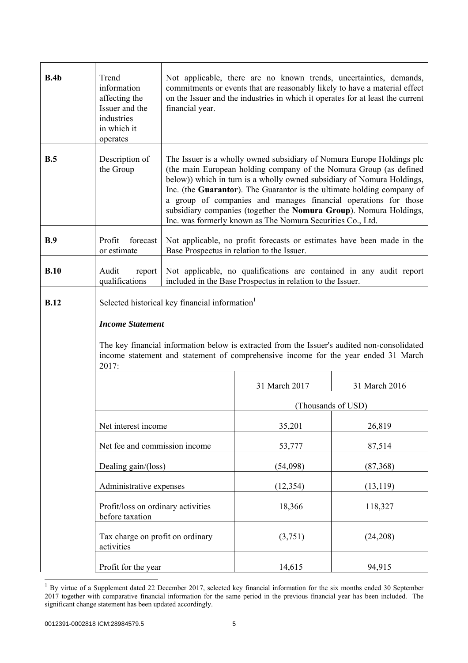| B.4b        | Trend<br>information<br>affecting the<br>Issuer and the<br>industries<br>in which it<br>operates | Not applicable, there are no known trends, uncertainties, demands,<br>commitments or events that are reasonably likely to have a material effect<br>on the Issuer and the industries in which it operates for at least the current<br>financial year.                                                                                                                                                                                                                                                  |                                                                                                                                                                                   |                    |
|-------------|--------------------------------------------------------------------------------------------------|--------------------------------------------------------------------------------------------------------------------------------------------------------------------------------------------------------------------------------------------------------------------------------------------------------------------------------------------------------------------------------------------------------------------------------------------------------------------------------------------------------|-----------------------------------------------------------------------------------------------------------------------------------------------------------------------------------|--------------------|
| B.5         | Description of<br>the Group                                                                      | The Issuer is a wholly owned subsidiary of Nomura Europe Holdings plc<br>(the main European holding company of the Nomura Group (as defined<br>below)) which in turn is a wholly owned subsidiary of Nomura Holdings,<br>Inc. (the Guarantor). The Guarantor is the ultimate holding company of<br>a group of companies and manages financial operations for those<br>subsidiary companies (together the Nomura Group). Nomura Holdings,<br>Inc. was formerly known as The Nomura Securities Co., Ltd. |                                                                                                                                                                                   |                    |
| B.9         | forecast<br>Profit<br>or estimate                                                                | Not applicable, no profit forecasts or estimates have been made in the<br>Base Prospectus in relation to the Issuer.                                                                                                                                                                                                                                                                                                                                                                                   |                                                                                                                                                                                   |                    |
| B.10        | Audit<br>report<br>qualifications                                                                | Not applicable, no qualifications are contained in any audit report<br>included in the Base Prospectus in relation to the Issuer.                                                                                                                                                                                                                                                                                                                                                                      |                                                                                                                                                                                   |                    |
| <b>B.12</b> |                                                                                                  | Selected historical key financial information                                                                                                                                                                                                                                                                                                                                                                                                                                                          |                                                                                                                                                                                   |                    |
|             | <b>Income Statement</b>                                                                          |                                                                                                                                                                                                                                                                                                                                                                                                                                                                                                        |                                                                                                                                                                                   |                    |
|             | 2017:                                                                                            |                                                                                                                                                                                                                                                                                                                                                                                                                                                                                                        | The key financial information below is extracted from the Issuer's audited non-consolidated<br>income statement and statement of comprehensive income for the year ended 31 March |                    |
|             |                                                                                                  |                                                                                                                                                                                                                                                                                                                                                                                                                                                                                                        | 31 March 2017                                                                                                                                                                     | 31 March 2016      |
|             |                                                                                                  |                                                                                                                                                                                                                                                                                                                                                                                                                                                                                                        |                                                                                                                                                                                   | (Thousands of USD) |
|             | Net interest income                                                                              |                                                                                                                                                                                                                                                                                                                                                                                                                                                                                                        | 35,201                                                                                                                                                                            | 26,819             |
|             | Net fee and commission income                                                                    |                                                                                                                                                                                                                                                                                                                                                                                                                                                                                                        | 53,777                                                                                                                                                                            | 87,514             |
|             | Dealing gain/(loss)                                                                              |                                                                                                                                                                                                                                                                                                                                                                                                                                                                                                        | (54,098)                                                                                                                                                                          | (87,368)           |
|             | Administrative expenses                                                                          |                                                                                                                                                                                                                                                                                                                                                                                                                                                                                                        | (12, 354)                                                                                                                                                                         | (13, 119)          |
|             | Profit/loss on ordinary activities<br>before taxation                                            |                                                                                                                                                                                                                                                                                                                                                                                                                                                                                                        | 18,366                                                                                                                                                                            | 118,327            |
|             | Tax charge on profit on ordinary<br>activities                                                   |                                                                                                                                                                                                                                                                                                                                                                                                                                                                                                        | (3,751)                                                                                                                                                                           | (24,208)           |
|             | Profit for the year                                                                              |                                                                                                                                                                                                                                                                                                                                                                                                                                                                                                        | 14,615                                                                                                                                                                            | 94,915             |

 $1$  By virtue of a Supplement dated 22 December 2017, selected key financial information for the six months ended 30 September 2017 together with comparative financial information for the same period in the previous financial year has been included. The significant change statement has been updated accordingly.

 $\overline{a}$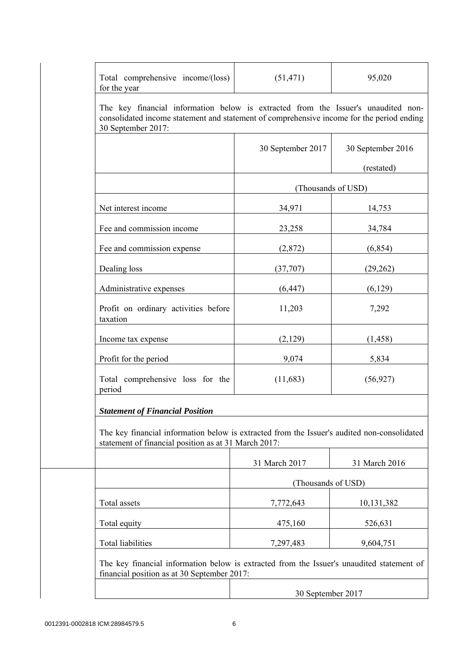| Total comprehensive income/(loss)<br>for the year                                                                                                                                                    | (51, 471)          | 95,020            |  |  |
|------------------------------------------------------------------------------------------------------------------------------------------------------------------------------------------------------|--------------------|-------------------|--|--|
| The key financial information below is extracted from the Issuer's unaudited non-<br>consolidated income statement and statement of comprehensive income for the period ending<br>30 September 2017: |                    |                   |  |  |
|                                                                                                                                                                                                      | 30 September 2017  | 30 September 2016 |  |  |
|                                                                                                                                                                                                      |                    | (restated)        |  |  |
|                                                                                                                                                                                                      | (Thousands of USD) |                   |  |  |
| Net interest income                                                                                                                                                                                  | 34,971             | 14,753            |  |  |
| Fee and commission income                                                                                                                                                                            | 23,258             | 34,784            |  |  |
| Fee and commission expense                                                                                                                                                                           | (2,872)            | (6, 854)          |  |  |
| Dealing loss                                                                                                                                                                                         | (37,707)           | (29, 262)         |  |  |
| Administrative expenses                                                                                                                                                                              | (6, 447)           | (6,129)           |  |  |
| Profit on ordinary activities before<br>taxation                                                                                                                                                     | 11,203             | 7,292             |  |  |
| Income tax expense                                                                                                                                                                                   | (2,129)            | (1, 458)          |  |  |
| Profit for the period                                                                                                                                                                                | 9,074              | 5,834             |  |  |
| Total comprehensive loss for the<br>period                                                                                                                                                           | (11,683)           | (56, 927)         |  |  |
| <b>Statement of Financial Position</b>                                                                                                                                                               |                    |                   |  |  |
| The key financial information below is extracted from the Issuer's audited non-consolidated<br>statement of financial position as at 31 March 2017:                                                  |                    |                   |  |  |
|                                                                                                                                                                                                      | 31 March 2017      | 31 March 2016     |  |  |
|                                                                                                                                                                                                      | (Thousands of USD) |                   |  |  |
| Total assets                                                                                                                                                                                         | 7,772,643          | 10,131,382        |  |  |
| Total equity                                                                                                                                                                                         | 475,160            | 526,631           |  |  |
| <b>Total liabilities</b>                                                                                                                                                                             | 7,297,483          | 9,604,751         |  |  |
| The key financial information below is extracted from the Issuer's unaudited statement of<br>financial position as at 30 September 2017:                                                             |                    |                   |  |  |
|                                                                                                                                                                                                      | 30 September 2017  |                   |  |  |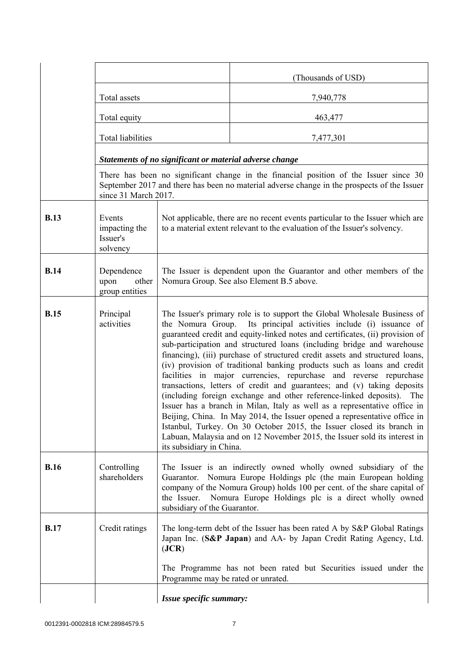|             |                                                 |                                                                                                                                                                                                                                                                                                                                                                                                                                                                                                                                                                                                                                                                                                                                                                                                                                                                                                                                                                                                                                           | (Thousands of USD)                                                                                                                                                                   |  |
|-------------|-------------------------------------------------|-------------------------------------------------------------------------------------------------------------------------------------------------------------------------------------------------------------------------------------------------------------------------------------------------------------------------------------------------------------------------------------------------------------------------------------------------------------------------------------------------------------------------------------------------------------------------------------------------------------------------------------------------------------------------------------------------------------------------------------------------------------------------------------------------------------------------------------------------------------------------------------------------------------------------------------------------------------------------------------------------------------------------------------------|--------------------------------------------------------------------------------------------------------------------------------------------------------------------------------------|--|
|             | Total assets                                    |                                                                                                                                                                                                                                                                                                                                                                                                                                                                                                                                                                                                                                                                                                                                                                                                                                                                                                                                                                                                                                           | 7,940,778                                                                                                                                                                            |  |
|             | Total equity                                    |                                                                                                                                                                                                                                                                                                                                                                                                                                                                                                                                                                                                                                                                                                                                                                                                                                                                                                                                                                                                                                           | 463,477                                                                                                                                                                              |  |
|             | Total liabilities                               |                                                                                                                                                                                                                                                                                                                                                                                                                                                                                                                                                                                                                                                                                                                                                                                                                                                                                                                                                                                                                                           | 7,477,301                                                                                                                                                                            |  |
|             |                                                 | Statements of no significant or material adverse change                                                                                                                                                                                                                                                                                                                                                                                                                                                                                                                                                                                                                                                                                                                                                                                                                                                                                                                                                                                   |                                                                                                                                                                                      |  |
|             | since 31 March 2017.                            |                                                                                                                                                                                                                                                                                                                                                                                                                                                                                                                                                                                                                                                                                                                                                                                                                                                                                                                                                                                                                                           | There has been no significant change in the financial position of the Issuer since 30<br>September 2017 and there has been no material adverse change in the prospects of the Issuer |  |
| <b>B.13</b> | Events<br>impacting the<br>Issuer's<br>solvency | Not applicable, there are no recent events particular to the Issuer which are<br>to a material extent relevant to the evaluation of the Issuer's solvency.                                                                                                                                                                                                                                                                                                                                                                                                                                                                                                                                                                                                                                                                                                                                                                                                                                                                                |                                                                                                                                                                                      |  |
| <b>B.14</b> | Dependence<br>upon<br>other<br>group entities   | The Issuer is dependent upon the Guarantor and other members of the<br>Nomura Group. See also Element B.5 above.                                                                                                                                                                                                                                                                                                                                                                                                                                                                                                                                                                                                                                                                                                                                                                                                                                                                                                                          |                                                                                                                                                                                      |  |
| <b>B.15</b> | Principal<br>activities                         | The Issuer's primary role is to support the Global Wholesale Business of<br>the Nomura Group. Its principal activities include (i) issuance of<br>guaranteed credit and equity-linked notes and certificates, (ii) provision of<br>sub-participation and structured loans (including bridge and warehouse<br>financing), (iii) purchase of structured credit assets and structured loans,<br>(iv) provision of traditional banking products such as loans and credit<br>facilities in major currencies, repurchase and reverse repurchase<br>transactions, letters of credit and guarantees; and (v) taking deposits<br>(including foreign exchange and other reference-linked deposits). The<br>Issuer has a branch in Milan, Italy as well as a representative office in<br>Beijing, China. In May 2014, the Issuer opened a representative office in<br>Istanbul, Turkey. On 30 October 2015, the Issuer closed its branch in<br>Labuan, Malaysia and on 12 November 2015, the Issuer sold its interest in<br>its subsidiary in China. |                                                                                                                                                                                      |  |
| <b>B.16</b> | Controlling<br>shareholders                     | The Issuer is an indirectly owned wholly owned subsidiary of the<br>Nomura Europe Holdings plc (the main European holding<br>Guarantor.<br>company of the Nomura Group) holds 100 per cent. of the share capital of<br>Nomura Europe Holdings plc is a direct wholly owned<br>the Issuer.<br>subsidiary of the Guarantor.                                                                                                                                                                                                                                                                                                                                                                                                                                                                                                                                                                                                                                                                                                                 |                                                                                                                                                                                      |  |
| <b>B.17</b> | Credit ratings                                  | The long-term debt of the Issuer has been rated A by S&P Global Ratings<br>Japan Inc. (S&P Japan) and AA- by Japan Credit Rating Agency, Ltd.<br>( <b>JCR</b> )                                                                                                                                                                                                                                                                                                                                                                                                                                                                                                                                                                                                                                                                                                                                                                                                                                                                           |                                                                                                                                                                                      |  |
|             |                                                 | Programme may be rated or unrated.                                                                                                                                                                                                                                                                                                                                                                                                                                                                                                                                                                                                                                                                                                                                                                                                                                                                                                                                                                                                        | The Programme has not been rated but Securities issued under the                                                                                                                     |  |
|             |                                                 | Issue specific summary:                                                                                                                                                                                                                                                                                                                                                                                                                                                                                                                                                                                                                                                                                                                                                                                                                                                                                                                                                                                                                   |                                                                                                                                                                                      |  |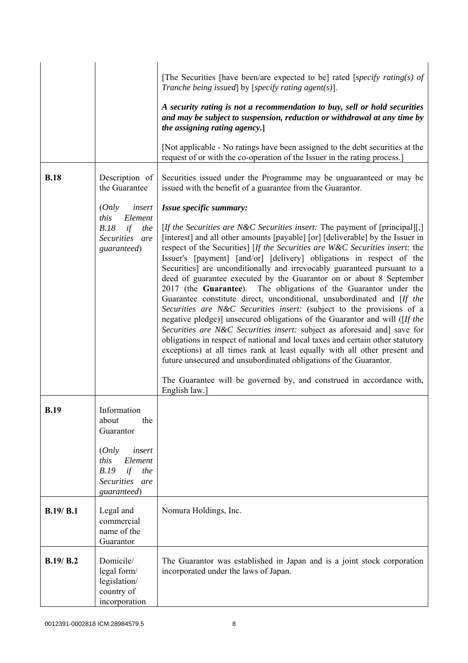|             |                                                                                          | [The Securities [have been/are expected to be] rated [specify rating(s) of<br>Tranche being issued] by [specify rating agent(s)].                                                                                                                                                                                                                                                                                                                                                                                                                                                                                                                                                                                                                                                                                                                                                                                                                                                                                                                                                                                                                                                      |
|-------------|------------------------------------------------------------------------------------------|----------------------------------------------------------------------------------------------------------------------------------------------------------------------------------------------------------------------------------------------------------------------------------------------------------------------------------------------------------------------------------------------------------------------------------------------------------------------------------------------------------------------------------------------------------------------------------------------------------------------------------------------------------------------------------------------------------------------------------------------------------------------------------------------------------------------------------------------------------------------------------------------------------------------------------------------------------------------------------------------------------------------------------------------------------------------------------------------------------------------------------------------------------------------------------------|
|             |                                                                                          | A security rating is not a recommendation to buy, sell or hold securities<br>and may be subject to suspension, reduction or withdrawal at any time by<br>the assigning rating agency.]                                                                                                                                                                                                                                                                                                                                                                                                                                                                                                                                                                                                                                                                                                                                                                                                                                                                                                                                                                                                 |
|             |                                                                                          | [Not applicable - No ratings have been assigned to the debt securities at the<br>request of or with the co-operation of the Issuer in the rating process.]                                                                                                                                                                                                                                                                                                                                                                                                                                                                                                                                                                                                                                                                                                                                                                                                                                                                                                                                                                                                                             |
| <b>B.18</b> | Description of<br>the Guarantee                                                          | Securities issued under the Programme may be unguaranteed or may be<br>issued with the benefit of a guarantee from the Guarantor.                                                                                                                                                                                                                                                                                                                                                                                                                                                                                                                                                                                                                                                                                                                                                                                                                                                                                                                                                                                                                                                      |
|             | (Only<br>insert                                                                          | Issue specific summary:                                                                                                                                                                                                                                                                                                                                                                                                                                                                                                                                                                                                                                                                                                                                                                                                                                                                                                                                                                                                                                                                                                                                                                |
|             | this<br>Element<br>B.18<br>if<br>the<br>Securities are<br>guaranteed)                    | [If the Securities are N&C Securities insert: The payment of [principal][,]<br>[interest] and all other amounts [payable] [or] [deliverable] by the Issuer in<br>respect of the Securities] [If the Securities are W&C Securities insert: the<br>Issuer's [payment] [and/or] [delivery] obligations in respect of the<br>Securities] are unconditionally and irrevocably guaranteed pursuant to a<br>deed of guarantee executed by the Guarantor on or about 8 September<br>2017 (the Guarantee). The obligations of the Guarantor under the<br>Guarantee constitute direct, unconditional, unsubordinated and [If the<br>Securities are N&C Securities insert: (subject to the provisions of a<br>negative pledge)] unsecured obligations of the Guarantor and will ([If the<br>Securities are N&C Securities insert: subject as aforesaid and] save for<br>obligations in respect of national and local taxes and certain other statutory<br>exceptions) at all times rank at least equally with all other present and<br>future unsecured and unsubordinated obligations of the Guarantor.<br>The Guarantee will be governed by, and construed in accordance with,<br>English law.] |
| <b>B.19</b> | Information<br>the<br>about<br>Guarantor                                                 |                                                                                                                                                                                                                                                                                                                                                                                                                                                                                                                                                                                                                                                                                                                                                                                                                                                                                                                                                                                                                                                                                                                                                                                        |
|             | (Only<br>insert<br>Element<br>this<br>B.19<br>if<br>the<br>Securities are<br>guaranteed) |                                                                                                                                                                                                                                                                                                                                                                                                                                                                                                                                                                                                                                                                                                                                                                                                                                                                                                                                                                                                                                                                                                                                                                                        |
| B.19/ B.1   | Legal and<br>commercial<br>name of the<br>Guarantor                                      | Nomura Holdings, Inc.                                                                                                                                                                                                                                                                                                                                                                                                                                                                                                                                                                                                                                                                                                                                                                                                                                                                                                                                                                                                                                                                                                                                                                  |
| B.19/B.2    | Domicile/<br>legal form/<br>legislation/<br>country of<br>incorporation                  | The Guarantor was established in Japan and is a joint stock corporation<br>incorporated under the laws of Japan.                                                                                                                                                                                                                                                                                                                                                                                                                                                                                                                                                                                                                                                                                                                                                                                                                                                                                                                                                                                                                                                                       |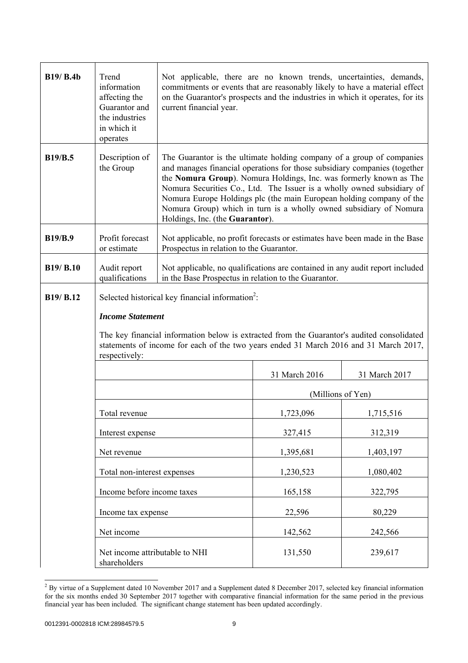| <b>B19/ B.4b</b> | Trend<br>information<br>affecting the<br>Guarantor and<br>the industries<br>in which it<br>operates | Not applicable, there are no known trends, uncertainties, demands,<br>commitments or events that are reasonably likely to have a material effect<br>on the Guarantor's prospects and the industries in which it operates, for its<br>current financial year.                                                                                                                                                                                                                        |                   |               |
|------------------|-----------------------------------------------------------------------------------------------------|-------------------------------------------------------------------------------------------------------------------------------------------------------------------------------------------------------------------------------------------------------------------------------------------------------------------------------------------------------------------------------------------------------------------------------------------------------------------------------------|-------------------|---------------|
| <b>B19/B.5</b>   | Description of<br>the Group                                                                         | The Guarantor is the ultimate holding company of a group of companies<br>and manages financial operations for those subsidiary companies (together<br>the Nomura Group). Nomura Holdings, Inc. was formerly known as The<br>Nomura Securities Co., Ltd. The Issuer is a wholly owned subsidiary of<br>Nomura Europe Holdings plc (the main European holding company of the<br>Nomura Group) which in turn is a wholly owned subsidiary of Nomura<br>Holdings, Inc. (the Guarantor). |                   |               |
| <b>B19/B.9</b>   | Profit forecast<br>or estimate                                                                      | Not applicable, no profit forecasts or estimates have been made in the Base<br>Prospectus in relation to the Guarantor.                                                                                                                                                                                                                                                                                                                                                             |                   |               |
| B19/ B.10        | Audit report<br>qualifications                                                                      | Not applicable, no qualifications are contained in any audit report included<br>in the Base Prospectus in relation to the Guarantor.                                                                                                                                                                                                                                                                                                                                                |                   |               |
| B19/ B.12        | <b>Income Statement</b><br>respectively:                                                            | Selected historical key financial information <sup>2</sup> :<br>The key financial information below is extracted from the Guarantor's audited consolidated<br>statements of income for each of the two years ended 31 March 2016 and 31 March 2017,                                                                                                                                                                                                                                 |                   |               |
|                  |                                                                                                     |                                                                                                                                                                                                                                                                                                                                                                                                                                                                                     | 31 March 2016     | 31 March 2017 |
|                  |                                                                                                     |                                                                                                                                                                                                                                                                                                                                                                                                                                                                                     | (Millions of Yen) |               |
|                  | Total revenue                                                                                       |                                                                                                                                                                                                                                                                                                                                                                                                                                                                                     | 1,723,096         | 1,715,516     |
|                  | Interest expense                                                                                    |                                                                                                                                                                                                                                                                                                                                                                                                                                                                                     | 327,415           | 312,319       |
|                  | Net revenue                                                                                         |                                                                                                                                                                                                                                                                                                                                                                                                                                                                                     | 1,395,681         | 1,403,197     |
|                  | Total non-interest expenses                                                                         |                                                                                                                                                                                                                                                                                                                                                                                                                                                                                     | 1,230,523         | 1,080,402     |
|                  | Income before income taxes                                                                          |                                                                                                                                                                                                                                                                                                                                                                                                                                                                                     | 165,158           | 322,795       |
|                  | Income tax expense                                                                                  |                                                                                                                                                                                                                                                                                                                                                                                                                                                                                     | 22,596            | 80,229        |
|                  | Net income                                                                                          |                                                                                                                                                                                                                                                                                                                                                                                                                                                                                     | 142,562           | 242,566       |
|                  | Net income attributable to NHI<br>shareholders                                                      |                                                                                                                                                                                                                                                                                                                                                                                                                                                                                     | 131,550           | 239,617       |

<sup>&</sup>lt;sup>2</sup> By virtue of a Supplement dated 10 November 2017 and a Supplement dated 8 December 2017, selected key financial information for the six months ended 30 September 2017 together with comparative financial information for the same period in the previous financial year has been included. The significant change statement has been updated accordingly.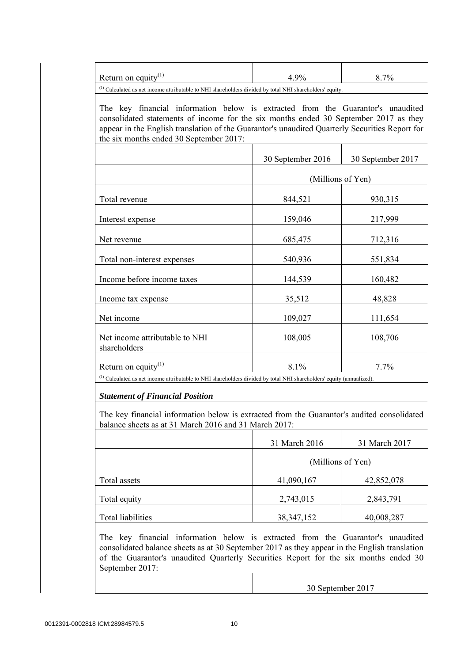| $^{(1)}$ Calculated as net income attributable to NHI shareholders divided by total NHI shareholders' equity.                                                                                                                                                                                                        |                   |                   |
|----------------------------------------------------------------------------------------------------------------------------------------------------------------------------------------------------------------------------------------------------------------------------------------------------------------------|-------------------|-------------------|
| The key financial information below is extracted from the Guarantor's unaudited<br>consolidated statements of income for the six months ended 30 September 2017 as they<br>appear in the English translation of the Guarantor's unaudited Quarterly Securities Report for<br>the six months ended 30 September 2017: |                   |                   |
|                                                                                                                                                                                                                                                                                                                      | 30 September 2016 | 30 September 2017 |
|                                                                                                                                                                                                                                                                                                                      |                   | (Millions of Yen) |
| Total revenue                                                                                                                                                                                                                                                                                                        | 844,521           | 930,315           |
| Interest expense                                                                                                                                                                                                                                                                                                     | 159,046           | 217,999           |
| Net revenue                                                                                                                                                                                                                                                                                                          | 685,475           | 712,316           |
| Total non-interest expenses                                                                                                                                                                                                                                                                                          | 540,936           | 551,834           |
| Income before income taxes                                                                                                                                                                                                                                                                                           | 144,539           | 160,482           |
| Income tax expense                                                                                                                                                                                                                                                                                                   | 35,512            | 48,828            |
| Net income                                                                                                                                                                                                                                                                                                           | 109,027           | 111,654           |
| Net income attributable to NHI<br>shareholders                                                                                                                                                                                                                                                                       | 108,005           | 108,706           |
| Return on equity <sup>(1)</sup>                                                                                                                                                                                                                                                                                      | 8.1%              | 7.7%              |
| <sup>(1)</sup> Calculated as net income attributable to NHI shareholders divided by total NHI shareholders' equity (annualized).<br><b>Statement of Financial Position</b>                                                                                                                                           |                   |                   |
| The key financial information below is extracted from the Guarantor's audited consolidated<br>balance sheets as at 31 March 2016 and 31 March 2017:                                                                                                                                                                  |                   |                   |
|                                                                                                                                                                                                                                                                                                                      | 31 March 2016     | 31 March 2017     |
|                                                                                                                                                                                                                                                                                                                      |                   | (Millione of Van) |

|                   |              | (Millions of Yen) |
|-------------------|--------------|-------------------|
| Total assets      | 41,090,167   | 42,852,078        |
| Total equity      | 2,743,015    | 2,843,791         |
| Total liabilities | 38, 347, 152 | 40,008,287        |

 The key financial information below is extracted from the Guarantor's unaudited consolidated balance sheets as at 30 September 2017 as they appear in the English translation of the Guarantor's unaudited Quarterly Securities Report for the six months ended 30 September 2017:

30 September 2017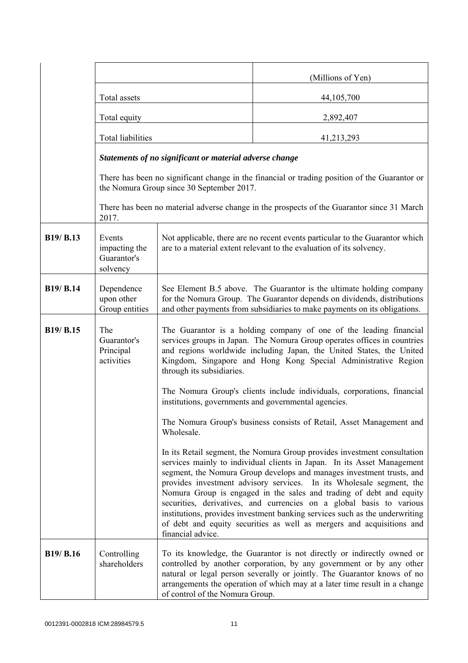|           |                                                    |                                                                                                                                                                                                                                                                                                                                                                                                                                                                                                                                                                                                                                                                                                       | (Millions of Yen)                                                                                                                                                                                                                                                                                       |
|-----------|----------------------------------------------------|-------------------------------------------------------------------------------------------------------------------------------------------------------------------------------------------------------------------------------------------------------------------------------------------------------------------------------------------------------------------------------------------------------------------------------------------------------------------------------------------------------------------------------------------------------------------------------------------------------------------------------------------------------------------------------------------------------|---------------------------------------------------------------------------------------------------------------------------------------------------------------------------------------------------------------------------------------------------------------------------------------------------------|
|           | Total assets                                       |                                                                                                                                                                                                                                                                                                                                                                                                                                                                                                                                                                                                                                                                                                       | 44, 105, 700                                                                                                                                                                                                                                                                                            |
|           | Total equity                                       |                                                                                                                                                                                                                                                                                                                                                                                                                                                                                                                                                                                                                                                                                                       | 2,892,407                                                                                                                                                                                                                                                                                               |
|           | <b>Total liabilities</b>                           |                                                                                                                                                                                                                                                                                                                                                                                                                                                                                                                                                                                                                                                                                                       | 41,213,293                                                                                                                                                                                                                                                                                              |
|           |                                                    | Statements of no significant or material adverse change                                                                                                                                                                                                                                                                                                                                                                                                                                                                                                                                                                                                                                               |                                                                                                                                                                                                                                                                                                         |
|           |                                                    | the Nomura Group since 30 September 2017.                                                                                                                                                                                                                                                                                                                                                                                                                                                                                                                                                                                                                                                             | There has been no significant change in the financial or trading position of the Guarantor or                                                                                                                                                                                                           |
|           | 2017.                                              | There has been no material adverse change in the prospects of the Guarantor since 31 March                                                                                                                                                                                                                                                                                                                                                                                                                                                                                                                                                                                                            |                                                                                                                                                                                                                                                                                                         |
| B19/ B.13 | Events<br>impacting the<br>Guarantor's<br>solvency | Not applicable, there are no recent events particular to the Guarantor which<br>are to a material extent relevant to the evaluation of its solvency.                                                                                                                                                                                                                                                                                                                                                                                                                                                                                                                                                  |                                                                                                                                                                                                                                                                                                         |
| B19/ B.14 | Dependence<br>upon other<br>Group entities         | See Element B.5 above. The Guarantor is the ultimate holding company<br>for the Nomura Group. The Guarantor depends on dividends, distributions<br>and other payments from subsidiaries to make payments on its obligations.                                                                                                                                                                                                                                                                                                                                                                                                                                                                          |                                                                                                                                                                                                                                                                                                         |
| B19/ B.15 | The<br>Guarantor's<br>Principal<br>activities      | The Guarantor is a holding company of one of the leading financial<br>services groups in Japan. The Nomura Group operates offices in countries<br>and regions worldwide including Japan, the United States, the United<br>Kingdom, Singapore and Hong Kong Special Administrative Region<br>through its subsidiaries.<br>The Nomura Group's clients include individuals, corporations, financial<br>institutions, governments and governmental agencies.<br>The Nomura Group's business consists of Retail, Asset Management and<br>Wholesale.<br>In its Retail segment, the Nomura Group provides investment consultation<br>services mainly to individual clients in Japan. In its Asset Management |                                                                                                                                                                                                                                                                                                         |
|           |                                                    | segment, the Nomura Group develops and manages investment trusts, and<br>provides investment advisory services. In its Wholesale segment, the<br>Nomura Group is engaged in the sales and trading of debt and equity<br>securities, derivatives, and currencies on a global basis to various<br>institutions, provides investment banking services such as the underwriting<br>of debt and equity securities as well as mergers and acquisitions and<br>financial advice.                                                                                                                                                                                                                             |                                                                                                                                                                                                                                                                                                         |
| B19/ B.16 | Controlling<br>shareholders                        | of control of the Nomura Group.                                                                                                                                                                                                                                                                                                                                                                                                                                                                                                                                                                                                                                                                       | To its knowledge, the Guarantor is not directly or indirectly owned or<br>controlled by another corporation, by any government or by any other<br>natural or legal person severally or jointly. The Guarantor knows of no<br>arrangements the operation of which may at a later time result in a change |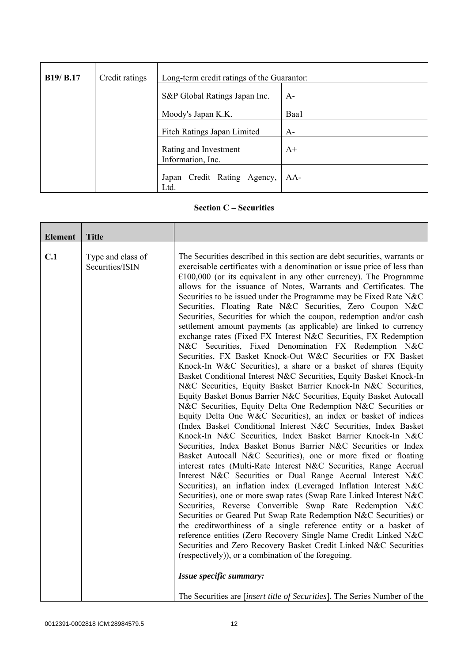| <b>B19/ B.17</b> | Credit ratings | Long-term credit ratings of the Guarantor: |      |
|------------------|----------------|--------------------------------------------|------|
|                  |                | S&P Global Ratings Japan Inc.              | $A-$ |
|                  |                | Moody's Japan K.K.                         | Baa1 |
|                  |                | Fitch Ratings Japan Limited                | $A-$ |
|                  |                | Rating and Investment<br>Information, Inc. | $A+$ |
|                  |                | Japan Credit Rating Agency,<br>Ltd.        | AA-  |

## **Section C – Securities**

| <b>Element</b> | <b>Title</b>                         |                                                                                                                                                                                                                                                                                                                                                                                                                                                                                                                                                                                                                                                                                                                                                                                                                                                                                                                                                                                                                                                                                                                                                                                                                                                                                                                                                                                                                                                                                                                                                                                                                                                                                                                                                                                                                                                                                                                                                                                                                                                                                                                                                                                                                                                                   |
|----------------|--------------------------------------|-------------------------------------------------------------------------------------------------------------------------------------------------------------------------------------------------------------------------------------------------------------------------------------------------------------------------------------------------------------------------------------------------------------------------------------------------------------------------------------------------------------------------------------------------------------------------------------------------------------------------------------------------------------------------------------------------------------------------------------------------------------------------------------------------------------------------------------------------------------------------------------------------------------------------------------------------------------------------------------------------------------------------------------------------------------------------------------------------------------------------------------------------------------------------------------------------------------------------------------------------------------------------------------------------------------------------------------------------------------------------------------------------------------------------------------------------------------------------------------------------------------------------------------------------------------------------------------------------------------------------------------------------------------------------------------------------------------------------------------------------------------------------------------------------------------------------------------------------------------------------------------------------------------------------------------------------------------------------------------------------------------------------------------------------------------------------------------------------------------------------------------------------------------------------------------------------------------------------------------------------------------------|
| C.1            | Type and class of<br>Securities/ISIN | The Securities described in this section are debt securities, warrants or<br>exercisable certificates with a denomination or issue price of less than<br>$€100,000$ (or its equivalent in any other currency). The Programme<br>allows for the issuance of Notes, Warrants and Certificates. The<br>Securities to be issued under the Programme may be Fixed Rate N&C<br>Securities, Floating Rate N&C Securities, Zero Coupon N&C<br>Securities, Securities for which the coupon, redemption and/or cash<br>settlement amount payments (as applicable) are linked to currency<br>exchange rates (Fixed FX Interest N&C Securities, FX Redemption<br>N&C Securities, Fixed Denomination FX Redemption N&C<br>Securities, FX Basket Knock-Out W&C Securities or FX Basket<br>Knock-In W&C Securities), a share or a basket of shares (Equity<br>Basket Conditional Interest N&C Securities, Equity Basket Knock-In<br>N&C Securities, Equity Basket Barrier Knock-In N&C Securities,<br>Equity Basket Bonus Barrier N&C Securities, Equity Basket Autocall<br>N&C Securities, Equity Delta One Redemption N&C Securities or<br>Equity Delta One W&C Securities), an index or basket of indices<br>(Index Basket Conditional Interest N&C Securities, Index Basket<br>Knock-In N&C Securities, Index Basket Barrier Knock-In N&C<br>Securities, Index Basket Bonus Barrier N&C Securities or Index<br>Basket Autocall N&C Securities), one or more fixed or floating<br>interest rates (Multi-Rate Interest N&C Securities, Range Accrual<br>Interest N&C Securities or Dual Range Accrual Interest N&C<br>Securities), an inflation index (Leveraged Inflation Interest N&C<br>Securities), one or more swap rates (Swap Rate Linked Interest N&C<br>Securities, Reverse Convertible Swap Rate Redemption N&C<br>Securities or Geared Put Swap Rate Redemption N&C Securities) or<br>the creditworthiness of a single reference entity or a basket of<br>reference entities (Zero Recovery Single Name Credit Linked N&C<br>Securities and Zero Recovery Basket Credit Linked N&C Securities<br>(respectively), or a combination of the foregoing.<br>Issue specific summary:<br>The Securities are <i>[insert title of Securities]</i> . The Series Number of the |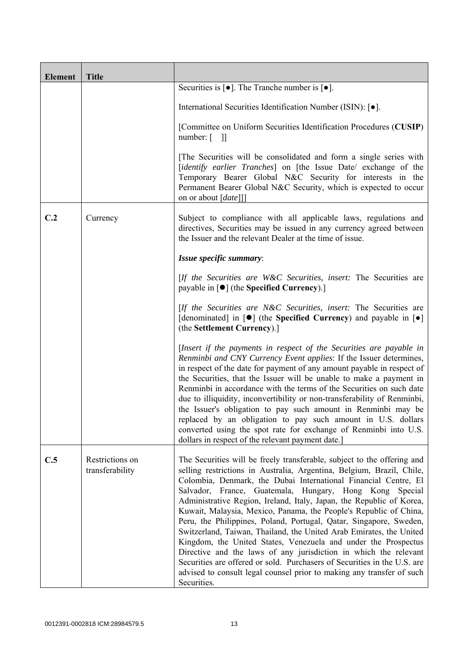| <b>Element</b> | <b>Title</b>                       |                                                                                                                                                                                                                                                                                                                                                                                                                                                                                                                                                                                                                                                                                                                                                                                                                                                                                    |
|----------------|------------------------------------|------------------------------------------------------------------------------------------------------------------------------------------------------------------------------------------------------------------------------------------------------------------------------------------------------------------------------------------------------------------------------------------------------------------------------------------------------------------------------------------------------------------------------------------------------------------------------------------------------------------------------------------------------------------------------------------------------------------------------------------------------------------------------------------------------------------------------------------------------------------------------------|
|                |                                    | Securities is $\lceil \bullet \rceil$ . The Tranche number is $\lceil \bullet \rceil$ .                                                                                                                                                                                                                                                                                                                                                                                                                                                                                                                                                                                                                                                                                                                                                                                            |
|                |                                    | International Securities Identification Number (ISIN): [ $\bullet$ ].                                                                                                                                                                                                                                                                                                                                                                                                                                                                                                                                                                                                                                                                                                                                                                                                              |
|                |                                    | [Committee on Uniform Securities Identification Procedures (CUSIP)<br>number: $\begin{bmatrix} 1 \end{bmatrix}$                                                                                                                                                                                                                                                                                                                                                                                                                                                                                                                                                                                                                                                                                                                                                                    |
|                |                                    | The Securities will be consolidated and form a single series with<br>[identify earlier Tranches] on [the Issue Date/ exchange of the<br>Temporary Bearer Global N&C Security for interests in the<br>Permanent Bearer Global N&C Security, which is expected to occur<br>on or about [date]]]                                                                                                                                                                                                                                                                                                                                                                                                                                                                                                                                                                                      |
| C.2            | Currency                           | Subject to compliance with all applicable laws, regulations and<br>directives, Securities may be issued in any currency agreed between<br>the Issuer and the relevant Dealer at the time of issue.                                                                                                                                                                                                                                                                                                                                                                                                                                                                                                                                                                                                                                                                                 |
|                |                                    | Issue specific summary:                                                                                                                                                                                                                                                                                                                                                                                                                                                                                                                                                                                                                                                                                                                                                                                                                                                            |
|                |                                    | [If the Securities are W&C Securities, insert: The Securities are<br>payable in $\lceil \bullet \rceil$ (the Specified Currency).]                                                                                                                                                                                                                                                                                                                                                                                                                                                                                                                                                                                                                                                                                                                                                 |
|                |                                    | [If the Securities are N&C Securities, insert: The Securities are<br>[denominated] in $[\bullet]$ (the Specified Currency) and payable in $[\bullet]$<br>(the Settlement Currency).]                                                                                                                                                                                                                                                                                                                                                                                                                                                                                                                                                                                                                                                                                               |
|                |                                    | [Insert if the payments in respect of the Securities are payable in<br>Renminbi and CNY Currency Event applies: If the Issuer determines,<br>in respect of the date for payment of any amount payable in respect of<br>the Securities, that the Issuer will be unable to make a payment in<br>Renminbi in accordance with the terms of the Securities on such date<br>due to illiquidity, inconvertibility or non-transferability of Renminbi,<br>the Issuer's obligation to pay such amount in Renminbi may be<br>replaced by an obligation to pay such amount in U.S. dollars<br>converted using the spot rate for exchange of Renminbi into U.S.<br>dollars in respect of the relevant payment date.                                                                                                                                                                            |
| C.5            | Restrictions on<br>transferability | The Securities will be freely transferable, subject to the offering and<br>selling restrictions in Australia, Argentina, Belgium, Brazil, Chile,<br>Colombia, Denmark, the Dubai International Financial Centre, El<br>Salvador, France, Guatemala, Hungary, Hong Kong Special<br>Administrative Region, Ireland, Italy, Japan, the Republic of Korea,<br>Kuwait, Malaysia, Mexico, Panama, the People's Republic of China,<br>Peru, the Philippines, Poland, Portugal, Qatar, Singapore, Sweden,<br>Switzerland, Taiwan, Thailand, the United Arab Emirates, the United<br>Kingdom, the United States, Venezuela and under the Prospectus<br>Directive and the laws of any jurisdiction in which the relevant<br>Securities are offered or sold. Purchasers of Securities in the U.S. are<br>advised to consult legal counsel prior to making any transfer of such<br>Securities. |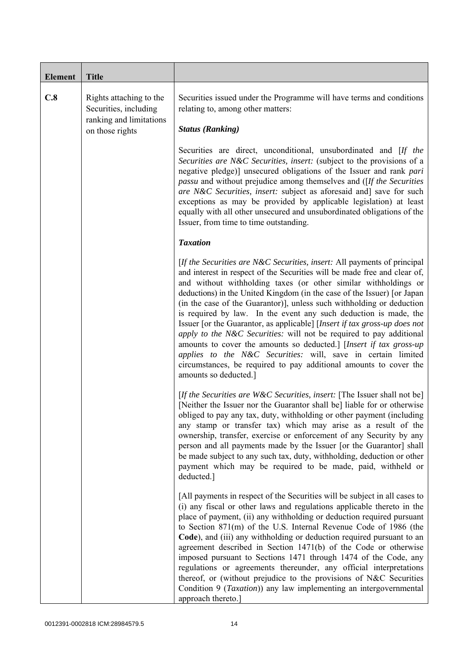| <b>Element</b> | <b>Title</b>                                                                                   |                                                                                                                                                                                                                                                                                                                                                                                                                                                                                                                                                                                                                                                                                                                                                                                                                                         |
|----------------|------------------------------------------------------------------------------------------------|-----------------------------------------------------------------------------------------------------------------------------------------------------------------------------------------------------------------------------------------------------------------------------------------------------------------------------------------------------------------------------------------------------------------------------------------------------------------------------------------------------------------------------------------------------------------------------------------------------------------------------------------------------------------------------------------------------------------------------------------------------------------------------------------------------------------------------------------|
| C.8            | Rights attaching to the<br>Securities, including<br>ranking and limitations<br>on those rights | Securities issued under the Programme will have terms and conditions<br>relating to, among other matters:<br><b>Status (Ranking)</b>                                                                                                                                                                                                                                                                                                                                                                                                                                                                                                                                                                                                                                                                                                    |
|                |                                                                                                | Securities are direct, unconditional, unsubordinated and [If the<br>Securities are N&C Securities, insert: (subject to the provisions of a<br>negative pledge)] unsecured obligations of the Issuer and rank pari<br><i>passu</i> and without prejudice among themselves and ([If the Securities]<br>are N&C Securities, insert: subject as aforesaid and] save for such<br>exceptions as may be provided by applicable legislation) at least<br>equally with all other unsecured and unsubordinated obligations of the<br>Issuer, from time to time outstanding.                                                                                                                                                                                                                                                                       |
|                |                                                                                                | <b>Taxation</b>                                                                                                                                                                                                                                                                                                                                                                                                                                                                                                                                                                                                                                                                                                                                                                                                                         |
|                |                                                                                                | [If the Securities are N&C Securities, insert: All payments of principal<br>and interest in respect of the Securities will be made free and clear of,<br>and without withholding taxes (or other similar withholdings or<br>deductions) in the United Kingdom (in the case of the Issuer) [or Japan<br>(in the case of the Guarantor), unless such withholding or deduction<br>is required by law. In the event any such deduction is made, the<br>Issuer [or the Guarantor, as applicable] [Insert if tax gross-up does not<br>apply to the N&C Securities: will not be required to pay additional<br>amounts to cover the amounts so deducted.] [Insert if tax gross-up<br>applies to the N&C Securities: will, save in certain limited<br>circumstances, be required to pay additional amounts to cover the<br>amounts so deducted.] |
|                |                                                                                                | [If the Securities are W&C Securities, insert: [The Issuer shall not be]<br>[Neither the Issuer nor the Guarantor shall be] liable for or otherwise<br>obliged to pay any tax, duty, withholding or other payment (including<br>any stamp or transfer tax) which may arise as a result of the<br>ownership, transfer, exercise or enforcement of any Security by any<br>person and all payments made by the Issuer [or the Guarantor] shall<br>be made subject to any such tax, duty, withholding, deduction or other<br>payment which may be required to be made, paid, withheld or<br>deducted.]                                                                                                                                                                                                                                      |
|                |                                                                                                | [All payments in respect of the Securities will be subject in all cases to<br>(i) any fiscal or other laws and regulations applicable thereto in the<br>place of payment, (ii) any withholding or deduction required pursuant<br>to Section 871(m) of the U.S. Internal Revenue Code of 1986 (the<br>Code), and (iii) any withholding or deduction required pursuant to an<br>agreement described in Section 1471(b) of the Code or otherwise<br>imposed pursuant to Sections 1471 through 1474 of the Code, any<br>regulations or agreements thereunder, any official interpretations<br>thereof, or (without prejudice to the provisions of N&C Securities<br>Condition 9 (Taxation)) any law implementing an intergovernmental<br>approach thereto.]                                                                                 |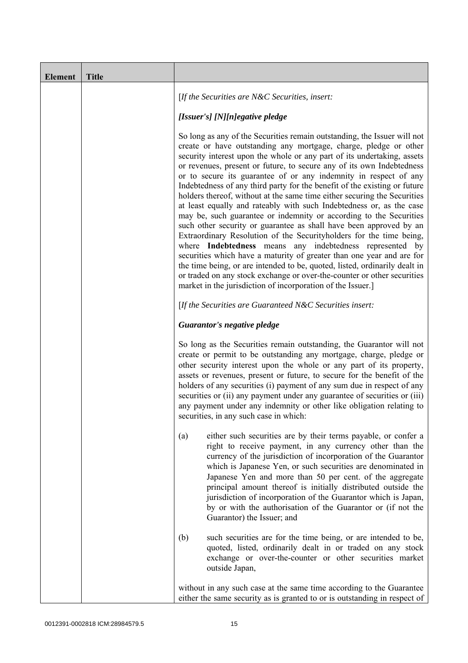| <b>Element</b> | <b>Title</b> |                                                                                                                                                                                                                                                                                                                                                                                                                                                                                                                                                                                                                                                                                                                                                                                                                                                                                                                                                                                                                                                                                                                                                                                       |
|----------------|--------------|---------------------------------------------------------------------------------------------------------------------------------------------------------------------------------------------------------------------------------------------------------------------------------------------------------------------------------------------------------------------------------------------------------------------------------------------------------------------------------------------------------------------------------------------------------------------------------------------------------------------------------------------------------------------------------------------------------------------------------------------------------------------------------------------------------------------------------------------------------------------------------------------------------------------------------------------------------------------------------------------------------------------------------------------------------------------------------------------------------------------------------------------------------------------------------------|
|                |              | [If the Securities are $N\&C$ Securities, insert:                                                                                                                                                                                                                                                                                                                                                                                                                                                                                                                                                                                                                                                                                                                                                                                                                                                                                                                                                                                                                                                                                                                                     |
|                |              | [Issuer's] [N][n]egative pledge                                                                                                                                                                                                                                                                                                                                                                                                                                                                                                                                                                                                                                                                                                                                                                                                                                                                                                                                                                                                                                                                                                                                                       |
|                |              | So long as any of the Securities remain outstanding, the Issuer will not<br>create or have outstanding any mortgage, charge, pledge or other<br>security interest upon the whole or any part of its undertaking, assets<br>or revenues, present or future, to secure any of its own Indebtedness<br>or to secure its guarantee of or any indemnity in respect of any<br>Indebtedness of any third party for the benefit of the existing or future<br>holders thereof, without at the same time either securing the Securities<br>at least equally and rateably with such Indebtedness or, as the case<br>may be, such guarantee or indemnity or according to the Securities<br>such other security or guarantee as shall have been approved by an<br>Extraordinary Resolution of the Securityholders for the time being,<br>where Indebtedness means any indebtedness represented by<br>securities which have a maturity of greater than one year and are for<br>the time being, or are intended to be, quoted, listed, ordinarily dealt in<br>or traded on any stock exchange or over-the-counter or other securities<br>market in the jurisdiction of incorporation of the Issuer.] |
|                |              | [If the Securities are Guaranteed N&C Securities insert:                                                                                                                                                                                                                                                                                                                                                                                                                                                                                                                                                                                                                                                                                                                                                                                                                                                                                                                                                                                                                                                                                                                              |
|                |              | Guarantor's negative pledge                                                                                                                                                                                                                                                                                                                                                                                                                                                                                                                                                                                                                                                                                                                                                                                                                                                                                                                                                                                                                                                                                                                                                           |
|                |              | So long as the Securities remain outstanding, the Guarantor will not<br>create or permit to be outstanding any mortgage, charge, pledge or<br>other security interest upon the whole or any part of its property,<br>assets or revenues, present or future, to secure for the benefit of the<br>holders of any securities (i) payment of any sum due in respect of any<br>securities or (ii) any payment under any guarantee of securities or (iii)<br>any payment under any indemnity or other like obligation relating to<br>securities, in any such case in which:                                                                                                                                                                                                                                                                                                                                                                                                                                                                                                                                                                                                                 |
|                |              | either such securities are by their terms payable, or confer a<br>(a)<br>right to receive payment, in any currency other than the<br>currency of the jurisdiction of incorporation of the Guarantor<br>which is Japanese Yen, or such securities are denominated in<br>Japanese Yen and more than 50 per cent. of the aggregate<br>principal amount thereof is initially distributed outside the<br>jurisdiction of incorporation of the Guarantor which is Japan,<br>by or with the authorisation of the Guarantor or (if not the<br>Guarantor) the Issuer; and                                                                                                                                                                                                                                                                                                                                                                                                                                                                                                                                                                                                                      |
|                |              | (b)<br>such securities are for the time being, or are intended to be,<br>quoted, listed, ordinarily dealt in or traded on any stock<br>exchange or over-the-counter or other securities market<br>outside Japan,                                                                                                                                                                                                                                                                                                                                                                                                                                                                                                                                                                                                                                                                                                                                                                                                                                                                                                                                                                      |
|                |              | without in any such case at the same time according to the Guarantee<br>either the same security as is granted to or is outstanding in respect of                                                                                                                                                                                                                                                                                                                                                                                                                                                                                                                                                                                                                                                                                                                                                                                                                                                                                                                                                                                                                                     |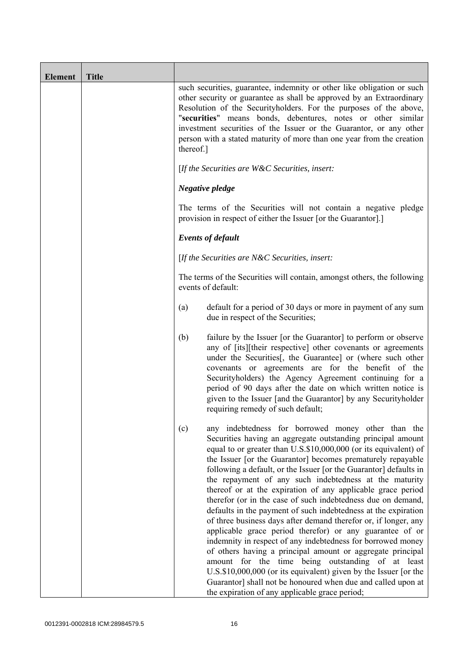| <b>Element</b> | <b>Title</b> |           |                                                                                                                                                                                                                                                                                                                                                                                                                                                                                                                                                                                                                                                                                                                                                                                                                                                                                                                                                                                                                                                                                             |
|----------------|--------------|-----------|---------------------------------------------------------------------------------------------------------------------------------------------------------------------------------------------------------------------------------------------------------------------------------------------------------------------------------------------------------------------------------------------------------------------------------------------------------------------------------------------------------------------------------------------------------------------------------------------------------------------------------------------------------------------------------------------------------------------------------------------------------------------------------------------------------------------------------------------------------------------------------------------------------------------------------------------------------------------------------------------------------------------------------------------------------------------------------------------|
|                |              | thereof.] | such securities, guarantee, indemnity or other like obligation or such<br>other security or guarantee as shall be approved by an Extraordinary<br>Resolution of the Securityholders. For the purposes of the above,<br>"securities" means bonds, debentures, notes or other similar<br>investment securities of the Issuer or the Guarantor, or any other<br>person with a stated maturity of more than one year from the creation                                                                                                                                                                                                                                                                                                                                                                                                                                                                                                                                                                                                                                                          |
|                |              |           | [If the Securities are $W\&C$ Securities, insert:                                                                                                                                                                                                                                                                                                                                                                                                                                                                                                                                                                                                                                                                                                                                                                                                                                                                                                                                                                                                                                           |
|                |              |           | Negative pledge                                                                                                                                                                                                                                                                                                                                                                                                                                                                                                                                                                                                                                                                                                                                                                                                                                                                                                                                                                                                                                                                             |
|                |              |           | The terms of the Securities will not contain a negative pledge<br>provision in respect of either the Issuer [or the Guarantor].]                                                                                                                                                                                                                                                                                                                                                                                                                                                                                                                                                                                                                                                                                                                                                                                                                                                                                                                                                            |
|                |              |           | <b>Events of default</b>                                                                                                                                                                                                                                                                                                                                                                                                                                                                                                                                                                                                                                                                                                                                                                                                                                                                                                                                                                                                                                                                    |
|                |              |           | [If the Securities are $N\&C$ Securities, insert:                                                                                                                                                                                                                                                                                                                                                                                                                                                                                                                                                                                                                                                                                                                                                                                                                                                                                                                                                                                                                                           |
|                |              |           | The terms of the Securities will contain, amongst others, the following<br>events of default:                                                                                                                                                                                                                                                                                                                                                                                                                                                                                                                                                                                                                                                                                                                                                                                                                                                                                                                                                                                               |
|                |              | (a)       | default for a period of 30 days or more in payment of any sum<br>due in respect of the Securities;                                                                                                                                                                                                                                                                                                                                                                                                                                                                                                                                                                                                                                                                                                                                                                                                                                                                                                                                                                                          |
|                |              | (b)       | failure by the Issuer [or the Guarantor] to perform or observe<br>any of [its][their respective] other covenants or agreements<br>under the Securities [, the Guarantee] or (where such other<br>covenants or agreements are for the benefit of the<br>Securityholders) the Agency Agreement continuing for a<br>period of 90 days after the date on which written notice is<br>given to the Issuer [and the Guarantor] by any Securityholder<br>requiring remedy of such default;                                                                                                                                                                                                                                                                                                                                                                                                                                                                                                                                                                                                          |
|                |              | (c)       | any indebtedness for borrowed money other than the<br>Securities having an aggregate outstanding principal amount<br>equal to or greater than U.S.\$10,000,000 (or its equivalent) of<br>the Issuer [or the Guarantor] becomes prematurely repayable<br>following a default, or the Issuer [or the Guarantor] defaults in<br>the repayment of any such indebtedness at the maturity<br>thereof or at the expiration of any applicable grace period<br>therefor (or in the case of such indebtedness due on demand,<br>defaults in the payment of such indebtedness at the expiration<br>of three business days after demand therefor or, if longer, any<br>applicable grace period therefor) or any guarantee of or<br>indemnity in respect of any indebtedness for borrowed money<br>of others having a principal amount or aggregate principal<br>amount for the time being outstanding of at least<br>U.S.\$10,000,000 (or its equivalent) given by the Issuer [or the<br>Guarantor] shall not be honoured when due and called upon at<br>the expiration of any applicable grace period; |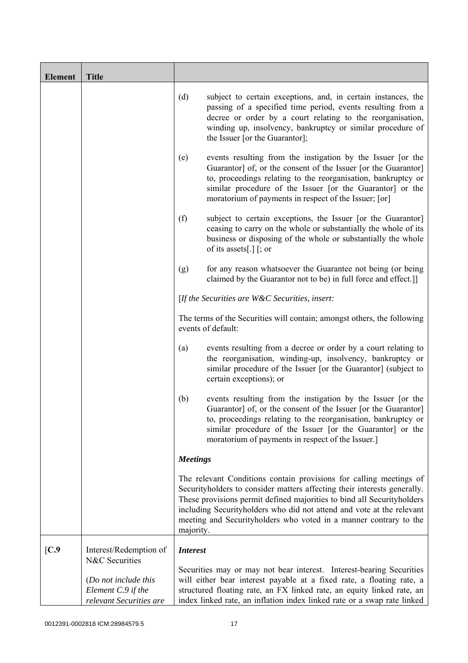| <b>Element</b> | <b>Title</b>                                                                            |                                                                                                                                                                                                                                                                                                                                                                                     |
|----------------|-----------------------------------------------------------------------------------------|-------------------------------------------------------------------------------------------------------------------------------------------------------------------------------------------------------------------------------------------------------------------------------------------------------------------------------------------------------------------------------------|
|                |                                                                                         | (d)<br>subject to certain exceptions, and, in certain instances, the<br>passing of a specified time period, events resulting from a<br>decree or order by a court relating to the reorganisation,<br>winding up, insolvency, bankruptcy or similar procedure of<br>the Issuer [or the Guarantor];                                                                                   |
|                |                                                                                         | events resulting from the instigation by the Issuer [or the<br>(e)<br>Guarantor] of, or the consent of the Issuer [or the Guarantor]<br>to, proceedings relating to the reorganisation, bankruptcy or<br>similar procedure of the Issuer [or the Guarantor] or the<br>moratorium of payments in respect of the Issuer; [or]                                                         |
|                |                                                                                         | (f)<br>subject to certain exceptions, the Issuer [or the Guarantor]<br>ceasing to carry on the whole or substantially the whole of its<br>business or disposing of the whole or substantially the whole<br>of its assets[.] $\lceil$ ; or                                                                                                                                           |
|                |                                                                                         | for any reason whatsoever the Guarantee not being (or being<br>(g)<br>claimed by the Guarantor not to be) in full force and effect.]                                                                                                                                                                                                                                                |
|                |                                                                                         | [If the Securities are $W\&C$ Securities, insert:                                                                                                                                                                                                                                                                                                                                   |
|                |                                                                                         | The terms of the Securities will contain; amongst others, the following<br>events of default:                                                                                                                                                                                                                                                                                       |
|                |                                                                                         | events resulting from a decree or order by a court relating to<br>(a)<br>the reorganisation, winding-up, insolvency, bankruptcy or<br>similar procedure of the Issuer [or the Guarantor] (subject to<br>certain exceptions); or                                                                                                                                                     |
|                |                                                                                         | events resulting from the instigation by the Issuer [or the<br>(b)<br>Guarantor] of, or the consent of the Issuer [or the Guarantor]<br>to, proceedings relating to the reorganisation, bankruptcy or<br>similar procedure of the Issuer [or the Guarantor] or the<br>moratorium of payments in respect of the Issuer.]                                                             |
|                |                                                                                         | <b>Meetings</b>                                                                                                                                                                                                                                                                                                                                                                     |
|                |                                                                                         | The relevant Conditions contain provisions for calling meetings of<br>Securityholders to consider matters affecting their interests generally.<br>These provisions permit defined majorities to bind all Securityholders<br>including Securityholders who did not attend and vote at the relevant<br>meeting and Securityholders who voted in a manner contrary to the<br>majority. |
| [C.9]          | Interest/Redemption of                                                                  | <b>Interest</b>                                                                                                                                                                                                                                                                                                                                                                     |
|                | N&C Securities<br>(Do not include this<br>Element C.9 if the<br>relevant Securities are | Securities may or may not bear interest. Interest-bearing Securities<br>will either bear interest payable at a fixed rate, a floating rate, a<br>structured floating rate, an FX linked rate, an equity linked rate, an<br>index linked rate, an inflation index linked rate or a swap rate linked                                                                                  |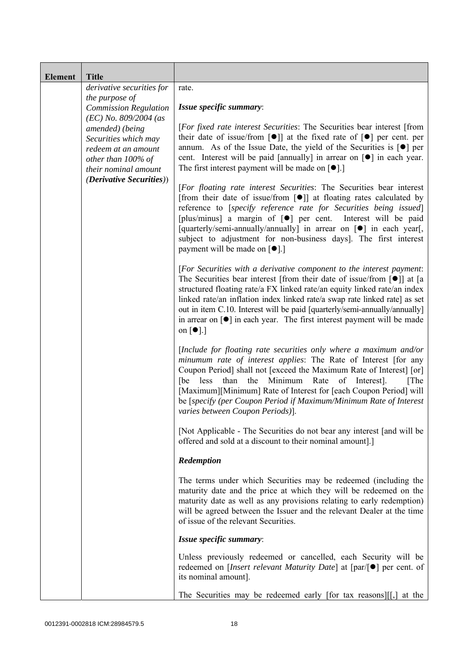| <b>Element</b> | <b>Title</b>                                                                                                                                                                                                                                              |                                                                                                                                                                                                                                                                                                                                                                                                                                                                                                                                                                                                                                                                                                                                                                                                                                                                                                                                                                    |
|----------------|-----------------------------------------------------------------------------------------------------------------------------------------------------------------------------------------------------------------------------------------------------------|--------------------------------------------------------------------------------------------------------------------------------------------------------------------------------------------------------------------------------------------------------------------------------------------------------------------------------------------------------------------------------------------------------------------------------------------------------------------------------------------------------------------------------------------------------------------------------------------------------------------------------------------------------------------------------------------------------------------------------------------------------------------------------------------------------------------------------------------------------------------------------------------------------------------------------------------------------------------|
|                | derivative securities for<br>the purpose of<br><b>Commission Regulation</b><br>$(EC)$ No. 809/2004 (as<br>amended) (being<br>Securities which may<br>redeem at an amount<br>other than 100% of<br>their nominal amount<br><i>(Derivative Securities))</i> | rate.<br>Issue specific summary:                                                                                                                                                                                                                                                                                                                                                                                                                                                                                                                                                                                                                                                                                                                                                                                                                                                                                                                                   |
|                |                                                                                                                                                                                                                                                           | <i>[For fixed rate interest Securities: The Securities bear interest [from</i> ]<br>their date of issue/from $\lceil \bullet \rceil$ at the fixed rate of $\lceil \bullet \rceil$ per cent. per<br>annum. As of the Issue Date, the yield of the Securities is $\lceil \bullet \rceil$ per<br>cent. Interest will be paid [annually] in arrear on $\lceil \bullet \rceil$ in each year.<br>The first interest payment will be made on $[•]$ .]<br>[For floating rate interest Securities: The Securities bear interest<br>[from their date of issue/from [ $\bullet$ ]] at floating rates calculated by<br>reference to [specify reference rate for Securities being issued]<br>[plus/minus] a margin of $\lceil \bullet \rceil$ per cent.<br>Interest will be paid<br>[quarterly/semi-annually/annually] in arrear on [ $\bullet$ ] in each year[,<br>subject to adjustment for non-business days]. The first interest<br>payment will be made on [ $\bullet$ ].] |
|                |                                                                                                                                                                                                                                                           | [For Securities with a derivative component to the interest payment:<br>The Securities bear interest [from their date of issue/from $\lceil \bullet \rceil$ ] at [a<br>structured floating rate/a FX linked rate/an equity linked rate/an index<br>linked rate/an inflation index linked rate/a swap rate linked rate] as set<br>out in item C.10. Interest will be paid [quarterly/semi-annually/annually]<br>in arrear on $\lceil \bullet \rceil$ in each year. The first interest payment will be made<br>on $\lceil \bullet \rceil$ .]                                                                                                                                                                                                                                                                                                                                                                                                                         |
|                |                                                                                                                                                                                                                                                           | [Include for floating rate securities only where a maximum and/or<br>minumum rate of interest applies: The Rate of Interest [for any<br>Coupon Period] shall not [exceed the Maximum Rate of Interest] [or]<br>than<br>Minimum<br>Rate<br>of<br>[The]<br>[be less<br>the<br>Interest.<br>[Maximum][Minimum] Rate of Interest for [each Coupon Period] will<br>be [specify (per Coupon Period if Maximum/Minimum Rate of Interest<br>varies between Coupon Periods)].                                                                                                                                                                                                                                                                                                                                                                                                                                                                                               |
|                |                                                                                                                                                                                                                                                           | [Not Applicable - The Securities do not bear any interest [and will be<br>offered and sold at a discount to their nominal amount].]                                                                                                                                                                                                                                                                                                                                                                                                                                                                                                                                                                                                                                                                                                                                                                                                                                |
|                |                                                                                                                                                                                                                                                           | Redemption                                                                                                                                                                                                                                                                                                                                                                                                                                                                                                                                                                                                                                                                                                                                                                                                                                                                                                                                                         |
|                |                                                                                                                                                                                                                                                           | The terms under which Securities may be redeemed (including the<br>maturity date and the price at which they will be redeemed on the<br>maturity date as well as any provisions relating to early redemption)<br>will be agreed between the Issuer and the relevant Dealer at the time<br>of issue of the relevant Securities.                                                                                                                                                                                                                                                                                                                                                                                                                                                                                                                                                                                                                                     |
|                |                                                                                                                                                                                                                                                           | Issue specific summary:                                                                                                                                                                                                                                                                                                                                                                                                                                                                                                                                                                                                                                                                                                                                                                                                                                                                                                                                            |
|                |                                                                                                                                                                                                                                                           | Unless previously redeemed or cancelled, each Security will be<br>redeemed on [ <i>Insert relevant Maturity Date</i> ] at $\lceil par/\lceil \bullet \rceil$ per cent. of<br>its nominal amount].                                                                                                                                                                                                                                                                                                                                                                                                                                                                                                                                                                                                                                                                                                                                                                  |
|                |                                                                                                                                                                                                                                                           | The Securities may be redeemed early [for tax reasons][[,] at the $\vert$                                                                                                                                                                                                                                                                                                                                                                                                                                                                                                                                                                                                                                                                                                                                                                                                                                                                                          |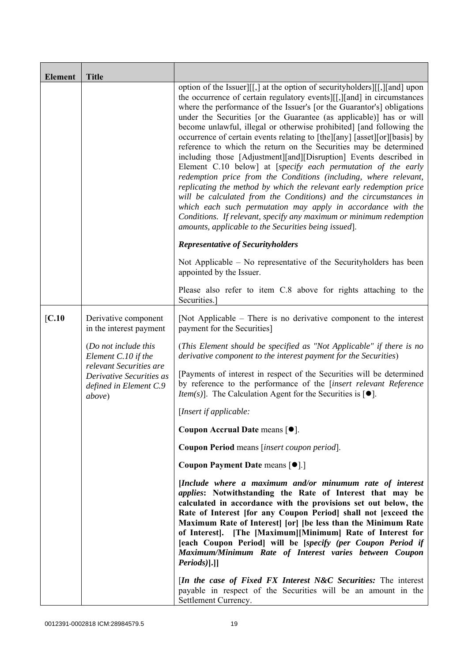| <b>Element</b> | <b>Title</b>                                                                                                                           |                                                                                                                                                                                                                                                                                                                                                                                                                                                                                                                                                                                                                                                                                                                                                                                                                                                                                                                                                                                                                                                                                   |
|----------------|----------------------------------------------------------------------------------------------------------------------------------------|-----------------------------------------------------------------------------------------------------------------------------------------------------------------------------------------------------------------------------------------------------------------------------------------------------------------------------------------------------------------------------------------------------------------------------------------------------------------------------------------------------------------------------------------------------------------------------------------------------------------------------------------------------------------------------------------------------------------------------------------------------------------------------------------------------------------------------------------------------------------------------------------------------------------------------------------------------------------------------------------------------------------------------------------------------------------------------------|
|                |                                                                                                                                        | option of the Issuer][[,] at the option of securityholders][[,][and] upon<br>the occurrence of certain regulatory events][[,][and] in circumstances<br>where the performance of the Issuer's [or the Guarantor's] obligations<br>under the Securities [or the Guarantee (as applicable)] has or will<br>become unlawful, illegal or otherwise prohibited] [and following the<br>occurrence of certain events relating to [the][any] [asset][or][basis] by<br>reference to which the return on the Securities may be determined<br>including those [Adjustment][and][Disruption] Events described in<br>Element C.10 below] at [specify each permutation of the early<br>redemption price from the Conditions (including, where relevant,<br>replicating the method by which the relevant early redemption price<br>will be calculated from the Conditions) and the circumstances in<br>which each such permutation may apply in accordance with the<br>Conditions. If relevant, specify any maximum or minimum redemption<br>amounts, applicable to the Securities being issued]. |
|                |                                                                                                                                        | <b>Representative of Securityholders</b>                                                                                                                                                                                                                                                                                                                                                                                                                                                                                                                                                                                                                                                                                                                                                                                                                                                                                                                                                                                                                                          |
|                |                                                                                                                                        | Not Applicable – No representative of the Security holders has been<br>appointed by the Issuer.                                                                                                                                                                                                                                                                                                                                                                                                                                                                                                                                                                                                                                                                                                                                                                                                                                                                                                                                                                                   |
|                |                                                                                                                                        | Please also refer to item C.8 above for rights attaching to the<br>Securities.                                                                                                                                                                                                                                                                                                                                                                                                                                                                                                                                                                                                                                                                                                                                                                                                                                                                                                                                                                                                    |
| [C.10          | Derivative component<br>in the interest payment                                                                                        | [Not Applicable – There is no derivative component to the interest<br>payment for the Securities]                                                                                                                                                                                                                                                                                                                                                                                                                                                                                                                                                                                                                                                                                                                                                                                                                                                                                                                                                                                 |
|                | (Do not include this<br>Element C.10 if the<br>relevant Securities are<br>Derivative Securities as<br>defined in Element C.9<br>above) | (This Element should be specified as "Not Applicable" if there is no<br>derivative component to the interest payment for the Securities)                                                                                                                                                                                                                                                                                                                                                                                                                                                                                                                                                                                                                                                                                                                                                                                                                                                                                                                                          |
|                |                                                                                                                                        | [Payments of interest in respect of the Securities will be determined<br>by reference to the performance of the [insert relevant Reference<br><i>Item(s)</i> ]. The Calculation Agent for the Securities is $[•]$ .                                                                                                                                                                                                                                                                                                                                                                                                                                                                                                                                                                                                                                                                                                                                                                                                                                                               |
|                |                                                                                                                                        | [Insert if applicable:                                                                                                                                                                                                                                                                                                                                                                                                                                                                                                                                                                                                                                                                                                                                                                                                                                                                                                                                                                                                                                                            |
|                |                                                                                                                                        | Coupon Accrual Date means [ $\bullet$ ].                                                                                                                                                                                                                                                                                                                                                                                                                                                                                                                                                                                                                                                                                                                                                                                                                                                                                                                                                                                                                                          |
|                |                                                                                                                                        | Coupon Period means [insert coupon period].                                                                                                                                                                                                                                                                                                                                                                                                                                                                                                                                                                                                                                                                                                                                                                                                                                                                                                                                                                                                                                       |
|                |                                                                                                                                        | Coupon Payment Date means [ $\bullet$ ].]                                                                                                                                                                                                                                                                                                                                                                                                                                                                                                                                                                                                                                                                                                                                                                                                                                                                                                                                                                                                                                         |
|                |                                                                                                                                        | [Include where a maximum and/or minumum rate of interest<br><i>applies:</i> Notwithstanding the Rate of Interest that may be<br>calculated in accordance with the provisions set out below, the<br>Rate of Interest [for any Coupon Period] shall not [exceed the<br>Maximum Rate of Interest [or] [be less than the Minimum Rate<br>of Interest]. [The [Maximum][Minimum] Rate of Interest for<br>[each Coupon Period] will be [specify (per Coupon Period if<br>Maximum/Minimum Rate of Interest varies between Coupon<br>$Periods$ ].]                                                                                                                                                                                                                                                                                                                                                                                                                                                                                                                                         |
|                |                                                                                                                                        | [In the case of Fixed FX Interest N&C Securities: The interest<br>payable in respect of the Securities will be an amount in the<br>Settlement Currency.                                                                                                                                                                                                                                                                                                                                                                                                                                                                                                                                                                                                                                                                                                                                                                                                                                                                                                                           |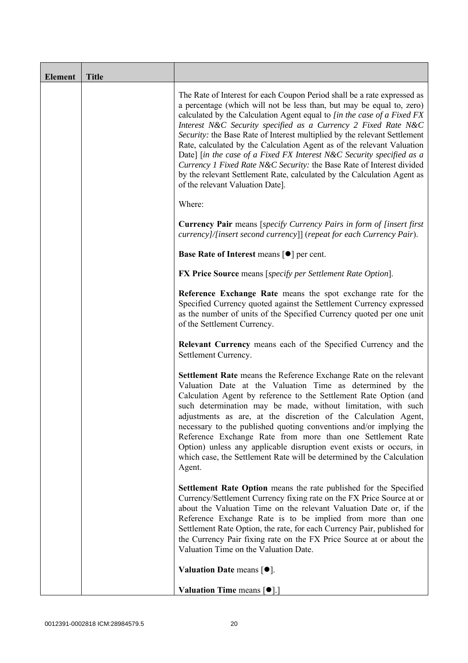| <b>Element</b> | <b>Title</b> |                                                                                                                                                                                                                                                                                                                                                                                                                                                                                                                                                                                                                                                                                                                        |
|----------------|--------------|------------------------------------------------------------------------------------------------------------------------------------------------------------------------------------------------------------------------------------------------------------------------------------------------------------------------------------------------------------------------------------------------------------------------------------------------------------------------------------------------------------------------------------------------------------------------------------------------------------------------------------------------------------------------------------------------------------------------|
|                |              | The Rate of Interest for each Coupon Period shall be a rate expressed as<br>a percentage (which will not be less than, but may be equal to, zero)<br>calculated by the Calculation Agent equal to [in the case of a Fixed FX<br>Interest N&C Security specified as a Currency 2 Fixed Rate N&C<br>Security: the Base Rate of Interest multiplied by the relevant Settlement<br>Rate, calculated by the Calculation Agent as of the relevant Valuation<br>Date] [in the case of a Fixed FX Interest N&C Security specified as a<br>Currency 1 Fixed Rate N&C Security: the Base Rate of Interest divided<br>by the relevant Settlement Rate, calculated by the Calculation Agent as<br>of the relevant Valuation Date]. |
|                |              | Where:                                                                                                                                                                                                                                                                                                                                                                                                                                                                                                                                                                                                                                                                                                                 |
|                |              | <b>Currency Pair</b> means [specify Currency Pairs in form of [insert first]<br>currency]/[insert second currency]] (repeat for each Currency Pair).                                                                                                                                                                                                                                                                                                                                                                                                                                                                                                                                                                   |
|                |              | <b>Base Rate of Interest means [<math>\bullet</math>] per cent.</b>                                                                                                                                                                                                                                                                                                                                                                                                                                                                                                                                                                                                                                                    |
|                |              | <b>FX Price Source</b> means [specify per Settlement Rate Option].                                                                                                                                                                                                                                                                                                                                                                                                                                                                                                                                                                                                                                                     |
|                |              | Reference Exchange Rate means the spot exchange rate for the<br>Specified Currency quoted against the Settlement Currency expressed<br>as the number of units of the Specified Currency quoted per one unit<br>of the Settlement Currency.                                                                                                                                                                                                                                                                                                                                                                                                                                                                             |
|                |              | Relevant Currency means each of the Specified Currency and the<br>Settlement Currency.                                                                                                                                                                                                                                                                                                                                                                                                                                                                                                                                                                                                                                 |
|                |              | Settlement Rate means the Reference Exchange Rate on the relevant<br>Valuation Date at the Valuation Time as determined by the<br>Calculation Agent by reference to the Settlement Rate Option (and<br>such determination may be made, without limitation, with such<br>adjustments as are, at the discretion of the Calculation Agent,<br>necessary to the published quoting conventions and/or implying the<br>Reference Exchange Rate from more than one Settlement Rate<br>Option) unless any applicable disruption event exists or occurs, in<br>which case, the Settlement Rate will be determined by the Calculation<br>Agent.                                                                                  |
|                |              | <b>Settlement Rate Option</b> means the rate published for the Specified<br>Currency/Settlement Currency fixing rate on the FX Price Source at or<br>about the Valuation Time on the relevant Valuation Date or, if the<br>Reference Exchange Rate is to be implied from more than one<br>Settlement Rate Option, the rate, for each Currency Pair, published for<br>the Currency Pair fixing rate on the FX Price Source at or about the<br>Valuation Time on the Valuation Date.                                                                                                                                                                                                                                     |
|                |              | Valuation Date means $[•]$ .                                                                                                                                                                                                                                                                                                                                                                                                                                                                                                                                                                                                                                                                                           |
|                |              | <b>Valuation Time means <math>\lceil \bullet \rceil</math>.</b>                                                                                                                                                                                                                                                                                                                                                                                                                                                                                                                                                                                                                                                        |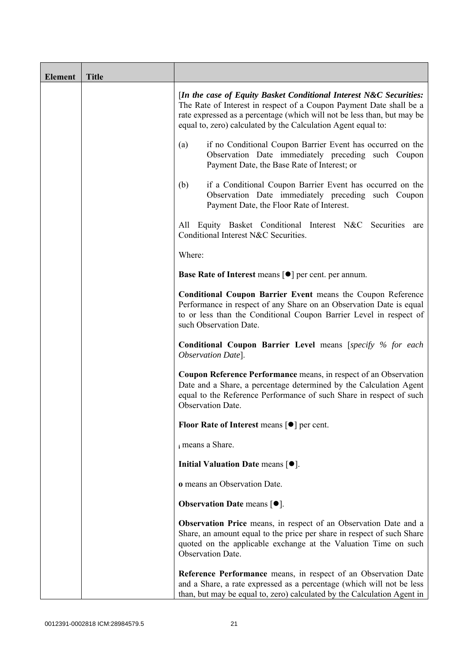| <b>Element</b> | <b>Title</b> |                                                                                                                                                                                                                                                                                       |
|----------------|--------------|---------------------------------------------------------------------------------------------------------------------------------------------------------------------------------------------------------------------------------------------------------------------------------------|
|                |              | [In the case of Equity Basket Conditional Interest N&C Securities:<br>The Rate of Interest in respect of a Coupon Payment Date shall be a<br>rate expressed as a percentage (which will not be less than, but may be<br>equal to, zero) calculated by the Calculation Agent equal to: |
|                |              | if no Conditional Coupon Barrier Event has occurred on the<br>(a)<br>Observation Date immediately preceding such Coupon<br>Payment Date, the Base Rate of Interest; or                                                                                                                |
|                |              | if a Conditional Coupon Barrier Event has occurred on the<br>(b)<br>Observation Date immediately preceding such Coupon<br>Payment Date, the Floor Rate of Interest.                                                                                                                   |
|                |              | All Equity Basket Conditional Interest N&C Securities<br>are<br>Conditional Interest N&C Securities.                                                                                                                                                                                  |
|                |              | Where:                                                                                                                                                                                                                                                                                |
|                |              | <b>Base Rate of Interest means [<math>\bullet</math>] per cent. per annum.</b>                                                                                                                                                                                                        |
|                |              | <b>Conditional Coupon Barrier Event means the Coupon Reference</b><br>Performance in respect of any Share on an Observation Date is equal<br>to or less than the Conditional Coupon Barrier Level in respect of<br>such Observation Date.                                             |
|                |              | <b>Conditional Coupon Barrier Level means [specify % for each</b><br>Observation Date].                                                                                                                                                                                               |
|                |              | Coupon Reference Performance means, in respect of an Observation<br>Date and a Share, a percentage determined by the Calculation Agent<br>equal to the Reference Performance of such Share in respect of such<br>Observation Date.                                                    |
|                |              | Floor Rate of Interest means [●] per cent.                                                                                                                                                                                                                                            |
|                |              | i means a Share.                                                                                                                                                                                                                                                                      |
|                |              | Initial Valuation Date means $[•]$ .                                                                                                                                                                                                                                                  |
|                |              | o means an Observation Date.                                                                                                                                                                                                                                                          |
|                |              | <b>Observation Date means <math>[•]</math>.</b>                                                                                                                                                                                                                                       |
|                |              | <b>Observation Price</b> means, in respect of an Observation Date and a<br>Share, an amount equal to the price per share in respect of such Share<br>quoted on the applicable exchange at the Valuation Time on such<br>Observation Date.                                             |
|                |              | Reference Performance means, in respect of an Observation Date<br>and a Share, a rate expressed as a percentage (which will not be less<br>than, but may be equal to, zero) calculated by the Calculation Agent in                                                                    |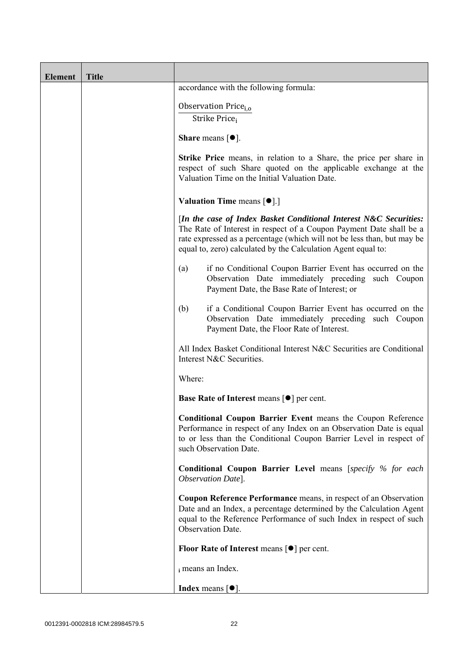| <b>Element</b> | <b>Title</b> |                                                                                                                                                                                                                                                                                      |
|----------------|--------------|--------------------------------------------------------------------------------------------------------------------------------------------------------------------------------------------------------------------------------------------------------------------------------------|
|                |              | accordance with the following formula:                                                                                                                                                                                                                                               |
|                |              | Observation Price <sub>i.o</sub>                                                                                                                                                                                                                                                     |
|                |              | Strike Price;                                                                                                                                                                                                                                                                        |
|                |              | <b>Share</b> means $\lceil \bullet \rceil$ .                                                                                                                                                                                                                                         |
|                |              | Strike Price means, in relation to a Share, the price per share in<br>respect of such Share quoted on the applicable exchange at the<br>Valuation Time on the Initial Valuation Date.                                                                                                |
|                |              | <b>Valuation Time means <math>\lceil \bullet \rceil</math>.</b>                                                                                                                                                                                                                      |
|                |              | [In the case of Index Basket Conditional Interest N&C Securities:<br>The Rate of Interest in respect of a Coupon Payment Date shall be a<br>rate expressed as a percentage (which will not be less than, but may be<br>equal to, zero) calculated by the Calculation Agent equal to: |
|                |              | if no Conditional Coupon Barrier Event has occurred on the<br>(a)<br>Observation Date immediately preceding such Coupon<br>Payment Date, the Base Rate of Interest; or                                                                                                               |
|                |              | if a Conditional Coupon Barrier Event has occurred on the<br>(b)<br>Observation Date immediately preceding such Coupon<br>Payment Date, the Floor Rate of Interest.                                                                                                                  |
|                |              | All Index Basket Conditional Interest N&C Securities are Conditional<br>Interest N&C Securities.                                                                                                                                                                                     |
|                |              | Where:                                                                                                                                                                                                                                                                               |
|                |              | <b>Base Rate of Interest means <math>\lceil \bullet \rceil</math> per cent.</b>                                                                                                                                                                                                      |
|                |              | <b>Conditional Coupon Barrier Event means the Coupon Reference</b><br>Performance in respect of any Index on an Observation Date is equal<br>to or less than the Conditional Coupon Barrier Level in respect of<br>such Observation Date.                                            |
|                |              | <b>Conditional Coupon Barrier Level means [specify % for each</b><br>Observation Date].                                                                                                                                                                                              |
|                |              | <b>Coupon Reference Performance</b> means, in respect of an Observation<br>Date and an Index, a percentage determined by the Calculation Agent<br>equal to the Reference Performance of such Index in respect of such<br><b>Observation Date.</b>                                    |
|                |              | Floor Rate of Interest means $\lceil \bullet \rceil$ per cent.                                                                                                                                                                                                                       |
|                |              | i means an Index.                                                                                                                                                                                                                                                                    |
|                |              | <b>Index</b> means $\lceil \bullet \rceil$ .                                                                                                                                                                                                                                         |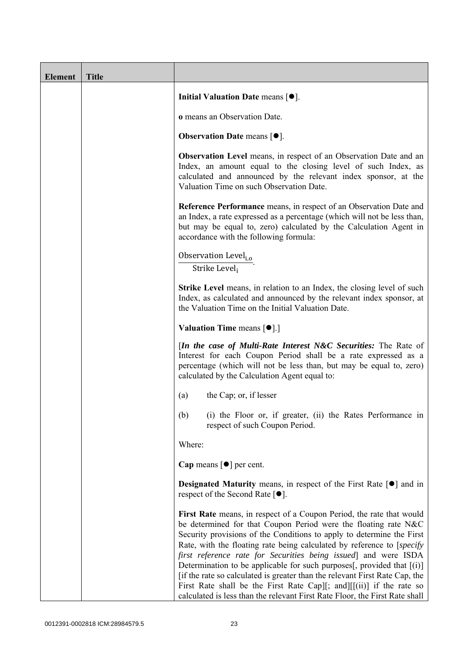| <b>Element</b> | <b>Title</b> |                                                                                                                                                                                                                                                                                                                                                                                                                                                                                                                                                                                                                                                                                 |
|----------------|--------------|---------------------------------------------------------------------------------------------------------------------------------------------------------------------------------------------------------------------------------------------------------------------------------------------------------------------------------------------------------------------------------------------------------------------------------------------------------------------------------------------------------------------------------------------------------------------------------------------------------------------------------------------------------------------------------|
|                |              | Initial Valuation Date means $[•]$ .                                                                                                                                                                                                                                                                                                                                                                                                                                                                                                                                                                                                                                            |
|                |              | o means an Observation Date.                                                                                                                                                                                                                                                                                                                                                                                                                                                                                                                                                                                                                                                    |
|                |              | <b>Observation Date means <math>\lceil \bullet \rceil</math>.</b>                                                                                                                                                                                                                                                                                                                                                                                                                                                                                                                                                                                                               |
|                |              | <b>Observation Level</b> means, in respect of an Observation Date and an<br>Index, an amount equal to the closing level of such Index, as<br>calculated and announced by the relevant index sponsor, at the<br>Valuation Time on such Observation Date.                                                                                                                                                                                                                                                                                                                                                                                                                         |
|                |              | Reference Performance means, in respect of an Observation Date and<br>an Index, a rate expressed as a percentage (which will not be less than,<br>but may be equal to, zero) calculated by the Calculation Agent in<br>accordance with the following formula:                                                                                                                                                                                                                                                                                                                                                                                                                   |
|                |              | Observation Level <sub>i,o</sub><br>Strike Level;                                                                                                                                                                                                                                                                                                                                                                                                                                                                                                                                                                                                                               |
|                |              | <b>Strike Level</b> means, in relation to an Index, the closing level of such<br>Index, as calculated and announced by the relevant index sponsor, at<br>the Valuation Time on the Initial Valuation Date.                                                                                                                                                                                                                                                                                                                                                                                                                                                                      |
|                |              | <b>Valuation Time means <math>\lceil \bullet \rceil</math>.</b>                                                                                                                                                                                                                                                                                                                                                                                                                                                                                                                                                                                                                 |
|                |              | [In the case of Multi-Rate Interest N&C Securities: The Rate of<br>Interest for each Coupon Period shall be a rate expressed as a<br>percentage (which will not be less than, but may be equal to, zero)<br>calculated by the Calculation Agent equal to:                                                                                                                                                                                                                                                                                                                                                                                                                       |
|                |              | the Cap; or, if lesser<br>(a)                                                                                                                                                                                                                                                                                                                                                                                                                                                                                                                                                                                                                                                   |
|                |              | (b)<br>(i) the Floor or, if greater, (ii) the Rates Performance in<br>respect of such Coupon Period.                                                                                                                                                                                                                                                                                                                                                                                                                                                                                                                                                                            |
|                |              | Where:                                                                                                                                                                                                                                                                                                                                                                                                                                                                                                                                                                                                                                                                          |
|                |              | Cap means $\lceil \bullet \rceil$ per cent.                                                                                                                                                                                                                                                                                                                                                                                                                                                                                                                                                                                                                                     |
|                |              | <b>Designated Maturity</b> means, in respect of the First Rate $\lceil \bullet \rceil$ and in<br>respect of the Second Rate $[•]$ .                                                                                                                                                                                                                                                                                                                                                                                                                                                                                                                                             |
|                |              | First Rate means, in respect of a Coupon Period, the rate that would<br>be determined for that Coupon Period were the floating rate N&C<br>Security provisions of the Conditions to apply to determine the First<br>Rate, with the floating rate being calculated by reference to [specify]<br>first reference rate for Securities being issued and were ISDA<br>Determination to be applicable for such purposes[, provided that $[(i)]$<br>[if the rate so calculated is greater than the relevant First Rate Cap, the<br>First Rate shall be the First Rate Cap][; and][[(ii)] if the rate so<br>calculated is less than the relevant First Rate Floor, the First Rate shall |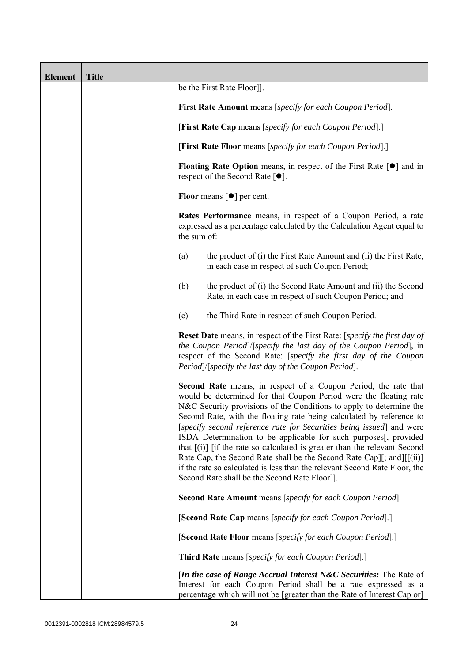| <b>Element</b> | <b>Title</b> |                                                                                                                                                                                                                                                                                                                                                                                                                                                                                                                                                                                                                                                                                                                              |
|----------------|--------------|------------------------------------------------------------------------------------------------------------------------------------------------------------------------------------------------------------------------------------------------------------------------------------------------------------------------------------------------------------------------------------------------------------------------------------------------------------------------------------------------------------------------------------------------------------------------------------------------------------------------------------------------------------------------------------------------------------------------------|
|                |              | be the First Rate Floor]].                                                                                                                                                                                                                                                                                                                                                                                                                                                                                                                                                                                                                                                                                                   |
|                |              | <b>First Rate Amount</b> means [specify for each Coupon Period].                                                                                                                                                                                                                                                                                                                                                                                                                                                                                                                                                                                                                                                             |
|                |              | [First Rate Cap means [specify for each Coupon Period].]                                                                                                                                                                                                                                                                                                                                                                                                                                                                                                                                                                                                                                                                     |
|                |              | [First Rate Floor means [specify for each Coupon Period].]                                                                                                                                                                                                                                                                                                                                                                                                                                                                                                                                                                                                                                                                   |
|                |              | <b>Floating Rate Option</b> means, in respect of the First Rate $\lceil \bullet \rceil$ and in<br>respect of the Second Rate $[•]$ .                                                                                                                                                                                                                                                                                                                                                                                                                                                                                                                                                                                         |
|                |              | <b>Floor</b> means $\lceil \bullet \rceil$ per cent.                                                                                                                                                                                                                                                                                                                                                                                                                                                                                                                                                                                                                                                                         |
|                |              | Rates Performance means, in respect of a Coupon Period, a rate<br>expressed as a percentage calculated by the Calculation Agent equal to<br>the sum of:                                                                                                                                                                                                                                                                                                                                                                                                                                                                                                                                                                      |
|                |              | the product of (i) the First Rate Amount and (ii) the First Rate,<br>(a)<br>in each case in respect of such Coupon Period;                                                                                                                                                                                                                                                                                                                                                                                                                                                                                                                                                                                                   |
|                |              | the product of (i) the Second Rate Amount and (ii) the Second<br>(b)<br>Rate, in each case in respect of such Coupon Period; and                                                                                                                                                                                                                                                                                                                                                                                                                                                                                                                                                                                             |
|                |              | the Third Rate in respect of such Coupon Period.<br>(c)                                                                                                                                                                                                                                                                                                                                                                                                                                                                                                                                                                                                                                                                      |
|                |              | <b>Reset Date</b> means, in respect of the First Rate: [specify the first day of<br>the Coupon Period]/[specify the last day of the Coupon Period], in<br>respect of the Second Rate: [specify the first day of the Coupon<br>Period /[specify the last day of the Coupon Period].                                                                                                                                                                                                                                                                                                                                                                                                                                           |
|                |              | <b>Second Rate</b> means, in respect of a Coupon Period, the rate that<br>would be determined for that Coupon Period were the floating rate<br>N&C Security provisions of the Conditions to apply to determine the<br>Second Rate, with the floating rate being calculated by reference to<br>[specify second reference rate for Securities being issued] and were<br>ISDA Determination to be applicable for such purposes[, provided<br>that $[(i)]$ if the rate so calculated is greater than the relevant Second<br>Rate Cap, the Second Rate shall be the Second Rate Cap][; and][[(ii)]<br>if the rate so calculated is less than the relevant Second Rate Floor, the<br>Second Rate shall be the Second Rate Floor]]. |
|                |              | Second Rate Amount means [specify for each Coupon Period].                                                                                                                                                                                                                                                                                                                                                                                                                                                                                                                                                                                                                                                                   |
|                |              | [Second Rate Cap means [specify for each Coupon Period].]                                                                                                                                                                                                                                                                                                                                                                                                                                                                                                                                                                                                                                                                    |
|                |              | [Second Rate Floor means [specify for each Coupon Period].]                                                                                                                                                                                                                                                                                                                                                                                                                                                                                                                                                                                                                                                                  |
|                |              | <b>Third Rate</b> means [specify for each Coupon Period].]                                                                                                                                                                                                                                                                                                                                                                                                                                                                                                                                                                                                                                                                   |
|                |              | <i>In the case of Range Accrual Interest N&amp;C Securities:</i> The Rate of<br>Interest for each Coupon Period shall be a rate expressed as a<br>percentage which will not be [greater than the Rate of Interest Cap or]                                                                                                                                                                                                                                                                                                                                                                                                                                                                                                    |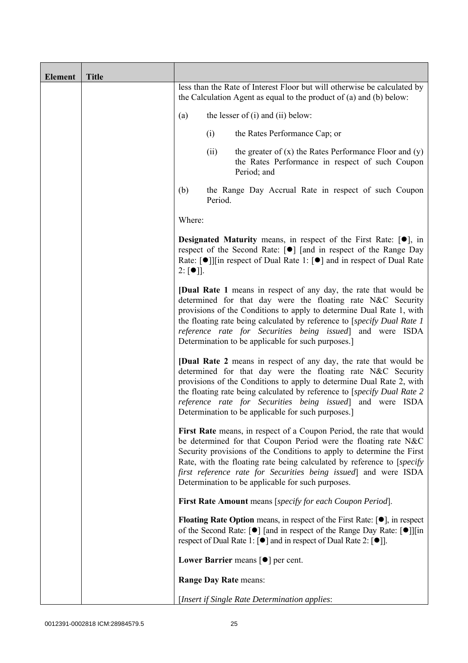| <b>Element</b> | <b>Title</b> |                                                                                                                                                                                                                                                                                                                                                                                                                              |
|----------------|--------------|------------------------------------------------------------------------------------------------------------------------------------------------------------------------------------------------------------------------------------------------------------------------------------------------------------------------------------------------------------------------------------------------------------------------------|
|                |              | less than the Rate of Interest Floor but will otherwise be calculated by<br>the Calculation Agent as equal to the product of $(a)$ and $(b)$ below:                                                                                                                                                                                                                                                                          |
|                |              | the lesser of (i) and (ii) below:<br>(a)                                                                                                                                                                                                                                                                                                                                                                                     |
|                |              | (i)<br>the Rates Performance Cap; or                                                                                                                                                                                                                                                                                                                                                                                         |
|                |              | the greater of $(x)$ the Rates Performance Floor and $(y)$<br>(ii)<br>the Rates Performance in respect of such Coupon<br>Period; and                                                                                                                                                                                                                                                                                         |
|                |              | (b)<br>the Range Day Accrual Rate in respect of such Coupon<br>Period.                                                                                                                                                                                                                                                                                                                                                       |
|                |              | Where:                                                                                                                                                                                                                                                                                                                                                                                                                       |
|                |              | <b>Designated Maturity</b> means, in respect of the First Rate: $[•]$ , in<br>respect of the Second Rate: [●] [and in respect of the Range Day<br>Rate: $\lceil \bullet \rceil$   [in respect of Dual Rate 1: $\lceil \bullet \rceil$ and in respect of Dual Rate<br>$2: [\bullet]$ ].                                                                                                                                       |
|                |              | <b>[Dual Rate 1</b> means in respect of any day, the rate that would be<br>determined for that day were the floating rate N&C Security<br>provisions of the Conditions to apply to determine Dual Rate 1, with<br>the floating rate being calculated by reference to [specify Dual Rate 1]<br>reference rate for Securities being issued] and were ISDA<br>Determination to be applicable for such purposes.                 |
|                |              | <b>[Dual Rate 2</b> means in respect of any day, the rate that would be<br>determined for that day were the floating rate N&C Security<br>provisions of the Conditions to apply to determine Dual Rate 2, with<br>the floating rate being calculated by reference to [specify Dual Rate 2<br>reference rate for Securities being issued] and were ISDA<br>Determination to be applicable for such purposes.]                 |
|                |              | First Rate means, in respect of a Coupon Period, the rate that would<br>be determined for that Coupon Period were the floating rate N&C<br>Security provisions of the Conditions to apply to determine the First<br>Rate, with the floating rate being calculated by reference to [ <i>specify</i> ]<br>first reference rate for Securities being issued] and were ISDA<br>Determination to be applicable for such purposes. |
|                |              | First Rate Amount means [specify for each Coupon Period].                                                                                                                                                                                                                                                                                                                                                                    |
|                |              | <b>Floating Rate Option</b> means, in respect of the First Rate: $[\bullet]$ , in respect<br>of the Second Rate: [ $\bullet$ ] [and in respect of the Range Day Rate: [ $\bullet$ ]][in<br>respect of Dual Rate 1: $\lceil \bullet \rceil$ and in respect of Dual Rate 2: $\lceil \bullet \rceil$ .                                                                                                                          |
|                |              | Lower Barrier means $\lceil \bullet \rceil$ per cent.                                                                                                                                                                                                                                                                                                                                                                        |
|                |              | <b>Range Day Rate means:</b>                                                                                                                                                                                                                                                                                                                                                                                                 |
|                |              | [Insert if Single Rate Determination applies:                                                                                                                                                                                                                                                                                                                                                                                |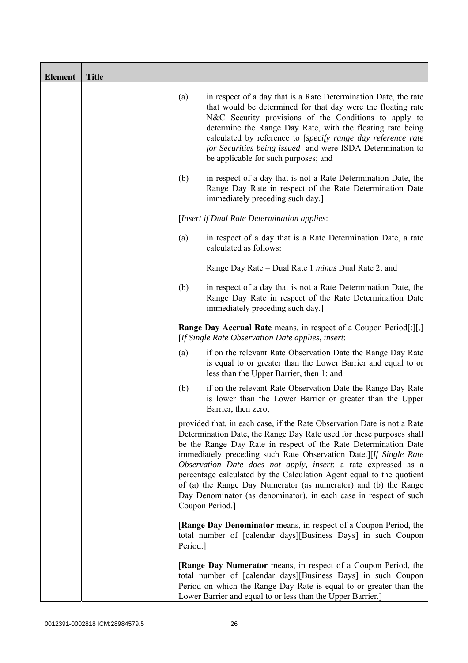| <b>Element</b> | <b>Title</b> |          |                                                                                                                                                                                                                                                                                                                                                                                                                                                                                                                                                                                              |
|----------------|--------------|----------|----------------------------------------------------------------------------------------------------------------------------------------------------------------------------------------------------------------------------------------------------------------------------------------------------------------------------------------------------------------------------------------------------------------------------------------------------------------------------------------------------------------------------------------------------------------------------------------------|
|                |              | (a)      | in respect of a day that is a Rate Determination Date, the rate<br>that would be determined for that day were the floating rate<br>N&C Security provisions of the Conditions to apply to<br>determine the Range Day Rate, with the floating rate being<br>calculated by reference to [specify range day reference rate<br>for Securities being issued] and were ISDA Determination to<br>be applicable for such purposes; and                                                                                                                                                                |
|                |              | (b)      | in respect of a day that is not a Rate Determination Date, the<br>Range Day Rate in respect of the Rate Determination Date<br>immediately preceding such day.]                                                                                                                                                                                                                                                                                                                                                                                                                               |
|                |              |          | [Insert if Dual Rate Determination applies:                                                                                                                                                                                                                                                                                                                                                                                                                                                                                                                                                  |
|                |              | (a)      | in respect of a day that is a Rate Determination Date, a rate<br>calculated as follows:                                                                                                                                                                                                                                                                                                                                                                                                                                                                                                      |
|                |              |          | Range Day Rate = Dual Rate 1 <i>minus</i> Dual Rate 2; and                                                                                                                                                                                                                                                                                                                                                                                                                                                                                                                                   |
|                |              | (b)      | in respect of a day that is not a Rate Determination Date, the<br>Range Day Rate in respect of the Rate Determination Date<br>immediately preceding such day.]                                                                                                                                                                                                                                                                                                                                                                                                                               |
|                |              |          | Range Day Accrual Rate means, in respect of a Coupon Period[:][,]<br>[If Single Rate Observation Date applies, insert:                                                                                                                                                                                                                                                                                                                                                                                                                                                                       |
|                |              | (a)      | if on the relevant Rate Observation Date the Range Day Rate<br>is equal to or greater than the Lower Barrier and equal to or<br>less than the Upper Barrier, then 1; and                                                                                                                                                                                                                                                                                                                                                                                                                     |
|                |              | (b)      | if on the relevant Rate Observation Date the Range Day Rate<br>is lower than the Lower Barrier or greater than the Upper<br>Barrier, then zero,                                                                                                                                                                                                                                                                                                                                                                                                                                              |
|                |              |          | provided that, in each case, if the Rate Observation Date is not a Rate<br>Determination Date, the Range Day Rate used for these purposes shall<br>be the Range Day Rate in respect of the Rate Determination Date<br>immediately preceding such Rate Observation Date.][If Single Rate<br>Observation Date does not apply, insert: a rate expressed as a<br>percentage calculated by the Calculation Agent equal to the quotient<br>of (a) the Range Day Numerator (as numerator) and (b) the Range<br>Day Denominator (as denominator), in each case in respect of such<br>Coupon Period.] |
|                |              | Period.] | <b>[Range Day Denominator</b> means, in respect of a Coupon Period, the<br>total number of [calendar days][Business Days] in such Coupon                                                                                                                                                                                                                                                                                                                                                                                                                                                     |
|                |              |          | [Range Day Numerator means, in respect of a Coupon Period, the<br>total number of [calendar days][Business Days] in such Coupon<br>Period on which the Range Day Rate is equal to or greater than the<br>Lower Barrier and equal to or less than the Upper Barrier.]                                                                                                                                                                                                                                                                                                                         |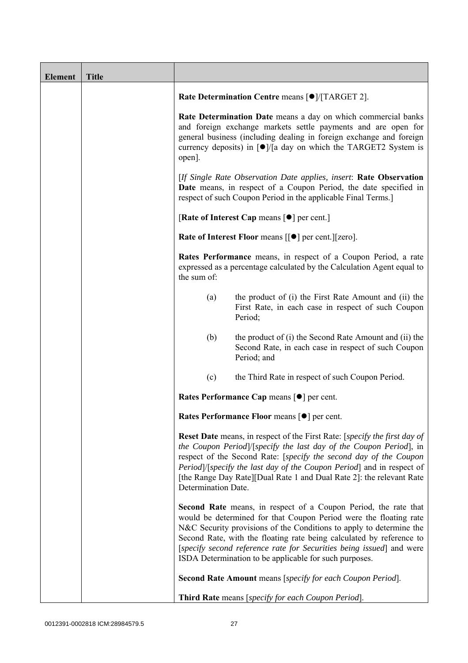| <b>Element</b> | <b>Title</b> |                     |                                                                                                                                                                                                                                                                                                                                                                                                                       |
|----------------|--------------|---------------------|-----------------------------------------------------------------------------------------------------------------------------------------------------------------------------------------------------------------------------------------------------------------------------------------------------------------------------------------------------------------------------------------------------------------------|
|                |              |                     | Rate Determination Centre means [ $\bullet$ ]/[TARGET 2].                                                                                                                                                                                                                                                                                                                                                             |
|                |              | open].              | Rate Determination Date means a day on which commercial banks<br>and foreign exchange markets settle payments and are open for<br>general business (including dealing in foreign exchange and foreign<br>currency deposits) in $\lceil \bullet \rceil / \lceil a \rceil$ day on which the TARGET2 System is                                                                                                           |
|                |              |                     | [If Single Rate Observation Date applies, insert: Rate Observation<br>Date means, in respect of a Coupon Period, the date specified in<br>respect of such Coupon Period in the applicable Final Terms.]                                                                                                                                                                                                               |
|                |              |                     | [Rate of Interest Cap means $\lceil \bullet \rceil$ per cent.]                                                                                                                                                                                                                                                                                                                                                        |
|                |              |                     | Rate of Interest Floor means [[ $\bullet$ ] per cent.][zero].                                                                                                                                                                                                                                                                                                                                                         |
|                |              | the sum of:         | Rates Performance means, in respect of a Coupon Period, a rate<br>expressed as a percentage calculated by the Calculation Agent equal to                                                                                                                                                                                                                                                                              |
|                |              | (a)                 | the product of (i) the First Rate Amount and (ii) the<br>First Rate, in each case in respect of such Coupon<br>Period;                                                                                                                                                                                                                                                                                                |
|                |              | (b)                 | the product of (i) the Second Rate Amount and (ii) the<br>Second Rate, in each case in respect of such Coupon<br>Period; and                                                                                                                                                                                                                                                                                          |
|                |              | (c)                 | the Third Rate in respect of such Coupon Period.                                                                                                                                                                                                                                                                                                                                                                      |
|                |              |                     | Rates Performance Cap means [ $\bullet$ ] per cent.                                                                                                                                                                                                                                                                                                                                                                   |
|                |              |                     | Rates Performance Floor means [ $\bullet$ ] per cent.                                                                                                                                                                                                                                                                                                                                                                 |
|                |              | Determination Date. | <b>Reset Date</b> means, in respect of the First Rate: [specify the first day of<br>the Coupon Period /[specify the last day of the Coupon Period], in<br>respect of the Second Rate: [specify the second day of the Coupon<br>Period /[specify the last day of the Coupon Period] and in respect of<br>[the Range Day Rate][Dual Rate 1 and Dual Rate 2]: the relevant Rate                                          |
|                |              |                     | Second Rate means, in respect of a Coupon Period, the rate that<br>would be determined for that Coupon Period were the floating rate<br>N&C Security provisions of the Conditions to apply to determine the<br>Second Rate, with the floating rate being calculated by reference to<br>[specify second reference rate for Securities being issued] and were<br>ISDA Determination to be applicable for such purposes. |
|                |              |                     | Second Rate Amount means [specify for each Coupon Period].                                                                                                                                                                                                                                                                                                                                                            |
|                |              |                     | Third Rate means [specify for each Coupon Period].                                                                                                                                                                                                                                                                                                                                                                    |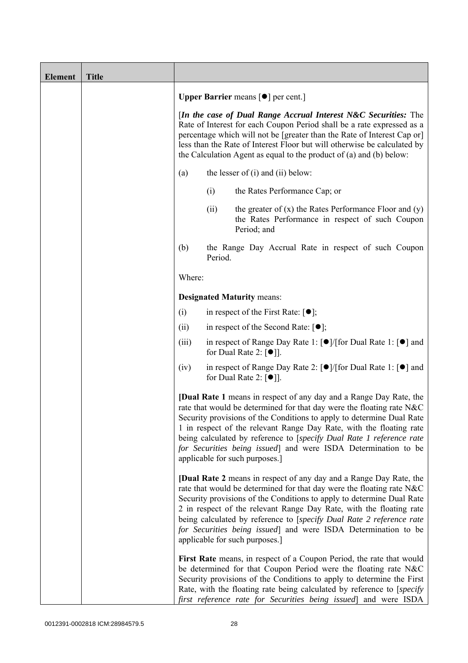| <b>Element</b> | <b>Title</b> |        |         |                                                                                                                                                                                                                                                                                                                                                                                                                                                                                |
|----------------|--------------|--------|---------|--------------------------------------------------------------------------------------------------------------------------------------------------------------------------------------------------------------------------------------------------------------------------------------------------------------------------------------------------------------------------------------------------------------------------------------------------------------------------------|
|                |              |        |         | <b>Upper Barrier</b> means $\lceil \bullet \rceil$ per cent.                                                                                                                                                                                                                                                                                                                                                                                                                   |
|                |              |        |         | [In the case of Dual Range Accrual Interest N&C Securities: The<br>Rate of Interest for each Coupon Period shall be a rate expressed as a<br>percentage which will not be [greater than the Rate of Interest Cap or]<br>less than the Rate of Interest Floor but will otherwise be calculated by<br>the Calculation Agent as equal to the product of $(a)$ and $(b)$ below:                                                                                                    |
|                |              | (a)    |         | the lesser of $(i)$ and $(ii)$ below:                                                                                                                                                                                                                                                                                                                                                                                                                                          |
|                |              |        | (i)     | the Rates Performance Cap; or                                                                                                                                                                                                                                                                                                                                                                                                                                                  |
|                |              |        | (ii)    | the greater of $(x)$ the Rates Performance Floor and $(y)$<br>the Rates Performance in respect of such Coupon<br>Period; and                                                                                                                                                                                                                                                                                                                                                   |
|                |              | (b)    | Period. | the Range Day Accrual Rate in respect of such Coupon                                                                                                                                                                                                                                                                                                                                                                                                                           |
|                |              | Where: |         |                                                                                                                                                                                                                                                                                                                                                                                                                                                                                |
|                |              |        |         | <b>Designated Maturity means:</b>                                                                                                                                                                                                                                                                                                                                                                                                                                              |
|                |              | (i)    |         | in respect of the First Rate: $[•]$ ;                                                                                                                                                                                                                                                                                                                                                                                                                                          |
|                |              | (ii)   |         | in respect of the Second Rate: $[•]$ ;                                                                                                                                                                                                                                                                                                                                                                                                                                         |
|                |              | (iii)  |         | in respect of Range Day Rate 1: $\lceil \bullet \rceil / \lceil \text{for Dual Rate 1} \rceil \rceil$ and<br>for Dual Rate 2: $\lceil \bullet \rceil$ .                                                                                                                                                                                                                                                                                                                        |
|                |              | (iv)   |         | in respect of Range Day Rate 2: [●]/[for Dual Rate 1: [●] and<br>for Dual Rate 2: $[•]$ ].                                                                                                                                                                                                                                                                                                                                                                                     |
|                |              |        |         | <b>[Dual Rate 1</b> means in respect of any day and a Range Day Rate, the<br>rate that would be determined for that day were the floating rate N&C<br>Security provisions of the Conditions to apply to determine Dual Rate<br>1 in respect of the relevant Range Day Rate, with the floating rate<br>being calculated by reference to [specify Dual Rate 1 reference rate<br>for Securities being issued] and were ISDA Determination to be<br>applicable for such purposes.] |
|                |              |        |         | [Dual Rate 2 means in respect of any day and a Range Day Rate, the<br>rate that would be determined for that day were the floating rate N&C<br>Security provisions of the Conditions to apply to determine Dual Rate<br>2 in respect of the relevant Range Day Rate, with the floating rate<br>being calculated by reference to [specify Dual Rate 2 reference rate<br>for Securities being issued] and were ISDA Determination to be<br>applicable for such purposes.]        |
|                |              |        |         | First Rate means, in respect of a Coupon Period, the rate that would<br>be determined for that Coupon Period were the floating rate N&C<br>Security provisions of the Conditions to apply to determine the First<br>Rate, with the floating rate being calculated by reference to [specify]<br>first reference rate for Securities being issued and were ISDA                                                                                                                  |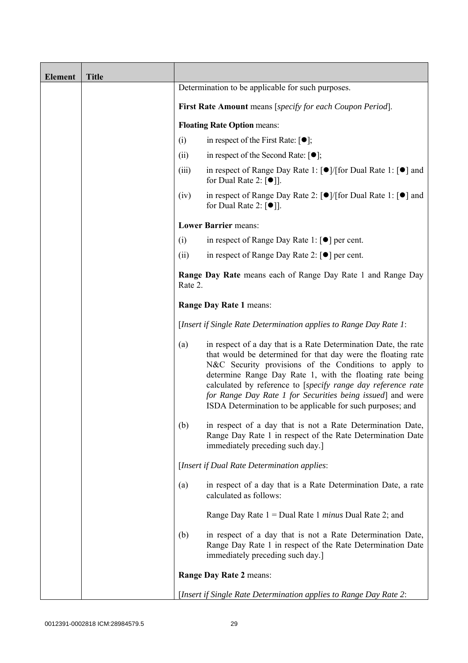| <b>Element</b> | <b>Title</b> |                                                                          |                                                                                                                                                                                                                                                                                                                                                                                                                                                  |  |
|----------------|--------------|--------------------------------------------------------------------------|--------------------------------------------------------------------------------------------------------------------------------------------------------------------------------------------------------------------------------------------------------------------------------------------------------------------------------------------------------------------------------------------------------------------------------------------------|--|
|                |              | Determination to be applicable for such purposes.                        |                                                                                                                                                                                                                                                                                                                                                                                                                                                  |  |
|                |              | First Rate Amount means [specify for each Coupon Period].                |                                                                                                                                                                                                                                                                                                                                                                                                                                                  |  |
|                |              |                                                                          | <b>Floating Rate Option means:</b>                                                                                                                                                                                                                                                                                                                                                                                                               |  |
|                |              | (i)                                                                      | in respect of the First Rate: $[\bullet]$ ;                                                                                                                                                                                                                                                                                                                                                                                                      |  |
|                |              | (ii)                                                                     | in respect of the Second Rate: $[•]$ ;                                                                                                                                                                                                                                                                                                                                                                                                           |  |
|                |              | (iii)                                                                    | in respect of Range Day Rate 1: $\lceil \bullet \rceil / \lceil \text{for Dual Rate 1} \rceil \rceil$ and<br>for Dual Rate 2: $\lceil \bullet \rceil$ .                                                                                                                                                                                                                                                                                          |  |
|                |              | (iv)                                                                     | in respect of Range Day Rate 2: $\lceil \bullet \rceil / \lceil \text{for Dual Rate 1} \rceil \rceil$ and<br>for Dual Rate 2: $\lceil \bullet \rceil$ .                                                                                                                                                                                                                                                                                          |  |
|                |              |                                                                          | <b>Lower Barrier means:</b>                                                                                                                                                                                                                                                                                                                                                                                                                      |  |
|                |              | (i)<br>in respect of Range Day Rate 1: $\lceil \bullet \rceil$ per cent. |                                                                                                                                                                                                                                                                                                                                                                                                                                                  |  |
|                |              | in respect of Range Day Rate 2: $[\bullet]$ per cent.<br>(ii)            |                                                                                                                                                                                                                                                                                                                                                                                                                                                  |  |
|                |              | Rate 2.                                                                  | Range Day Rate means each of Range Day Rate 1 and Range Day                                                                                                                                                                                                                                                                                                                                                                                      |  |
|                |              | Range Day Rate 1 means:                                                  |                                                                                                                                                                                                                                                                                                                                                                                                                                                  |  |
|                |              | [Insert if Single Rate Determination applies to Range Day Rate 1:        |                                                                                                                                                                                                                                                                                                                                                                                                                                                  |  |
|                |              | (a)                                                                      | in respect of a day that is a Rate Determination Date, the rate<br>that would be determined for that day were the floating rate<br>N&C Security provisions of the Conditions to apply to<br>determine Range Day Rate 1, with the floating rate being<br>calculated by reference to [specify range day reference rate<br>for Range Day Rate 1 for Securities being issued] and were<br>ISDA Determination to be applicable for such purposes; and |  |
|                |              | (b)                                                                      | in respect of a day that is not a Rate Determination Date,<br>Range Day Rate 1 in respect of the Rate Determination Date<br>immediately preceding such day.]                                                                                                                                                                                                                                                                                     |  |
|                |              |                                                                          | [Insert if Dual Rate Determination applies:                                                                                                                                                                                                                                                                                                                                                                                                      |  |
|                |              | (a)                                                                      | in respect of a day that is a Rate Determination Date, a rate<br>calculated as follows:                                                                                                                                                                                                                                                                                                                                                          |  |
|                |              |                                                                          | Range Day Rate $1 =$ Dual Rate 1 <i>minus</i> Dual Rate 2; and                                                                                                                                                                                                                                                                                                                                                                                   |  |
|                |              | (b)                                                                      | in respect of a day that is not a Rate Determination Date,<br>Range Day Rate 1 in respect of the Rate Determination Date<br>immediately preceding such day.]                                                                                                                                                                                                                                                                                     |  |
|                |              |                                                                          | Range Day Rate 2 means:                                                                                                                                                                                                                                                                                                                                                                                                                          |  |
|                |              |                                                                          | [Insert if Single Rate Determination applies to Range Day Rate 2:                                                                                                                                                                                                                                                                                                                                                                                |  |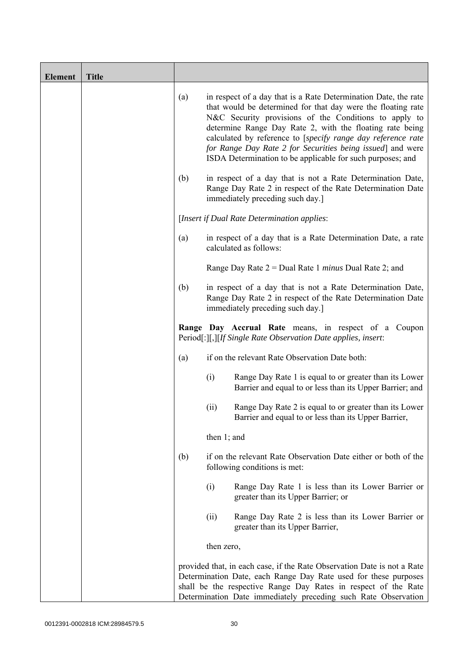| <b>Element</b> | <b>Title</b> |     |                                                                                                                                                                                                                                                                                                                                                                                                                                                  |
|----------------|--------------|-----|--------------------------------------------------------------------------------------------------------------------------------------------------------------------------------------------------------------------------------------------------------------------------------------------------------------------------------------------------------------------------------------------------------------------------------------------------|
|                |              | (a) | in respect of a day that is a Rate Determination Date, the rate<br>that would be determined for that day were the floating rate<br>N&C Security provisions of the Conditions to apply to<br>determine Range Day Rate 2, with the floating rate being<br>calculated by reference to [specify range day reference rate<br>for Range Day Rate 2 for Securities being issued] and were<br>ISDA Determination to be applicable for such purposes; and |
|                |              | (b) | in respect of a day that is not a Rate Determination Date,<br>Range Day Rate 2 in respect of the Rate Determination Date<br>immediately preceding such day.]                                                                                                                                                                                                                                                                                     |
|                |              |     | [Insert if Dual Rate Determination applies:                                                                                                                                                                                                                                                                                                                                                                                                      |
|                |              | (a) | in respect of a day that is a Rate Determination Date, a rate<br>calculated as follows:                                                                                                                                                                                                                                                                                                                                                          |
|                |              |     | Range Day Rate $2 =$ Dual Rate 1 <i>minus</i> Dual Rate 2; and                                                                                                                                                                                                                                                                                                                                                                                   |
|                |              | (b) | in respect of a day that is not a Rate Determination Date,<br>Range Day Rate 2 in respect of the Rate Determination Date<br>immediately preceding such day.]                                                                                                                                                                                                                                                                                     |
|                |              |     | Range Day Accrual Rate means, in respect of a Coupon<br>Period[:][,][If Single Rate Observation Date applies, insert:                                                                                                                                                                                                                                                                                                                            |
|                |              | (a) | if on the relevant Rate Observation Date both:                                                                                                                                                                                                                                                                                                                                                                                                   |
|                |              |     | (i)<br>Range Day Rate 1 is equal to or greater than its Lower<br>Barrier and equal to or less than its Upper Barrier; and                                                                                                                                                                                                                                                                                                                        |
|                |              |     | Range Day Rate 2 is equal to or greater than its Lower<br>(ii)<br>Barrier and equal to or less than its Upper Barrier,                                                                                                                                                                                                                                                                                                                           |
|                |              |     | then $1$ ; and                                                                                                                                                                                                                                                                                                                                                                                                                                   |
|                |              | (b) | if on the relevant Rate Observation Date either or both of the<br>following conditions is met:                                                                                                                                                                                                                                                                                                                                                   |
|                |              |     | (i)<br>Range Day Rate 1 is less than its Lower Barrier or<br>greater than its Upper Barrier; or                                                                                                                                                                                                                                                                                                                                                  |
|                |              |     | Range Day Rate 2 is less than its Lower Barrier or<br>(ii)<br>greater than its Upper Barrier,                                                                                                                                                                                                                                                                                                                                                    |
|                |              |     | then zero,                                                                                                                                                                                                                                                                                                                                                                                                                                       |
|                |              |     | provided that, in each case, if the Rate Observation Date is not a Rate<br>Determination Date, each Range Day Rate used for these purposes<br>shall be the respective Range Day Rates in respect of the Rate<br>Determination Date immediately preceding such Rate Observation                                                                                                                                                                   |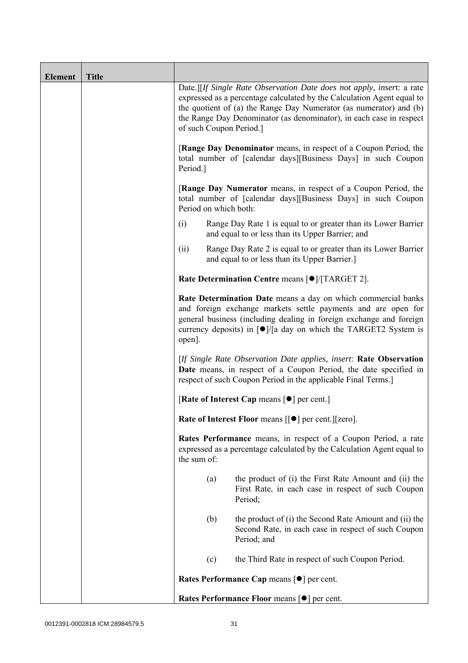| <b>Element</b> | <b>Title</b> |                                                                                                                                                                                                                                                                                                                         |
|----------------|--------------|-------------------------------------------------------------------------------------------------------------------------------------------------------------------------------------------------------------------------------------------------------------------------------------------------------------------------|
|                |              | Date.][If Single Rate Observation Date does not apply, insert: a rate<br>expressed as a percentage calculated by the Calculation Agent equal to<br>the quotient of (a) the Range Day Numerator (as numerator) and (b)<br>the Range Day Denominator (as denominator), in each case in respect<br>of such Coupon Period.] |
|                |              | <b>[Range Day Denominator</b> means, in respect of a Coupon Period, the<br>total number of [calendar days][Business Days] in such Coupon<br>Period.]                                                                                                                                                                    |
|                |              | <b>[Range Day Numerator</b> means, in respect of a Coupon Period, the<br>total number of [calendar days][Business Days] in such Coupon<br>Period on which both:                                                                                                                                                         |
|                |              | (i)<br>Range Day Rate 1 is equal to or greater than its Lower Barrier<br>and equal to or less than its Upper Barrier; and                                                                                                                                                                                               |
|                |              | Range Day Rate 2 is equal to or greater than its Lower Barrier<br>(ii)<br>and equal to or less than its Upper Barrier.]                                                                                                                                                                                                 |
|                |              | Rate Determination Centre means [ $\bullet$ ]/[TARGET 2].                                                                                                                                                                                                                                                               |
|                |              | Rate Determination Date means a day on which commercial banks<br>and foreign exchange markets settle payments and are open for<br>general business (including dealing in foreign exchange and foreign<br>currency deposits) in $\lceil \bullet \rceil$ a day on which the TARGET2 System is<br>open].                   |
|                |              | [If Single Rate Observation Date applies, insert: Rate Observation<br>Date means, in respect of a Coupon Period, the date specified in<br>respect of such Coupon Period in the applicable Final Terms.]                                                                                                                 |
|                |              | [Rate of Interest Cap means $\lceil \bullet \rceil$ per cent.]                                                                                                                                                                                                                                                          |
|                |              | Rate of Interest Floor means [[ $\bullet$ ] per cent.][zero].                                                                                                                                                                                                                                                           |
|                |              | Rates Performance means, in respect of a Coupon Period, a rate<br>expressed as a percentage calculated by the Calculation Agent equal to<br>the sum of:                                                                                                                                                                 |
|                |              | the product of (i) the First Rate Amount and (ii) the<br>(a)<br>First Rate, in each case in respect of such Coupon<br>Period;                                                                                                                                                                                           |
|                |              | the product of (i) the Second Rate Amount and (ii) the<br>(b)<br>Second Rate, in each case in respect of such Coupon<br>Period; and                                                                                                                                                                                     |
|                |              | (c)<br>the Third Rate in respect of such Coupon Period.                                                                                                                                                                                                                                                                 |
|                |              | Rates Performance Cap means [ $\bullet$ ] per cent.                                                                                                                                                                                                                                                                     |
|                |              | Rates Performance Floor means [ $\bullet$ ] per cent.                                                                                                                                                                                                                                                                   |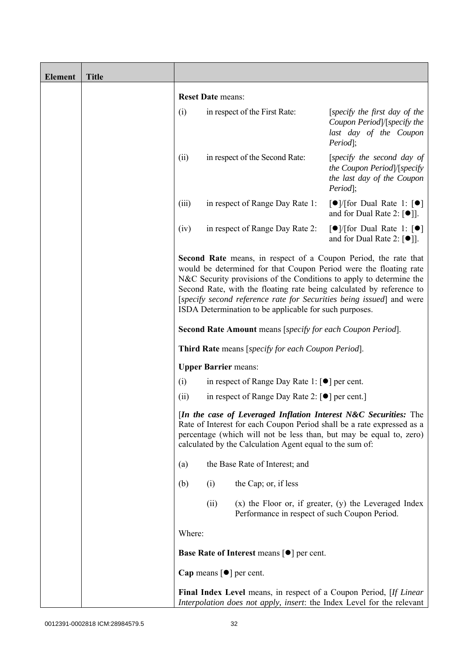| <b>Element</b> | <b>Title</b> |        |                          |                                                                                 |                                                                                                                                                                                                                                                                                                                                                                    |
|----------------|--------------|--------|--------------------------|---------------------------------------------------------------------------------|--------------------------------------------------------------------------------------------------------------------------------------------------------------------------------------------------------------------------------------------------------------------------------------------------------------------------------------------------------------------|
|                |              |        | <b>Reset Date means:</b> |                                                                                 |                                                                                                                                                                                                                                                                                                                                                                    |
|                |              | (i)    |                          | in respect of the First Rate:                                                   | [specify the first day of the<br>Coupon Period /[specify the<br>last day of the Coupon<br>Period];                                                                                                                                                                                                                                                                 |
|                |              | (ii)   |                          | in respect of the Second Rate:                                                  | [specify the second day of<br>the Coupon Period /[specify<br>the last day of the Coupon<br>Period];                                                                                                                                                                                                                                                                |
|                |              | (iii)  |                          | in respect of Range Day Rate 1:                                                 | $\lceil \bullet \rceil$ (for Dual Rate 1: $\lceil \bullet \rceil$<br>and for Dual Rate 2: $[\bullet]$ ].                                                                                                                                                                                                                                                           |
|                |              | (iv)   |                          | in respect of Range Day Rate 2:                                                 | $\lceil \bullet \rceil$ (for Dual Rate 1: $\lceil \bullet \rceil$<br>and for Dual Rate 2: $\lceil \bullet \rceil$ .                                                                                                                                                                                                                                                |
|                |              |        |                          | ISDA Determination to be applicable for such purposes.                          | <b>Second Rate</b> means, in respect of a Coupon Period, the rate that<br>would be determined for that Coupon Period were the floating rate<br>N&C Security provisions of the Conditions to apply to determine the<br>Second Rate, with the floating rate being calculated by reference to<br>[specify second reference rate for Securities being issued] and were |
|                |              |        |                          | <b>Second Rate Amount</b> means [specify for each Coupon Period].               |                                                                                                                                                                                                                                                                                                                                                                    |
|                |              |        |                          | <b>Third Rate</b> means [specify for each Coupon Period].                       |                                                                                                                                                                                                                                                                                                                                                                    |
|                |              |        |                          | <b>Upper Barrier means:</b>                                                     |                                                                                                                                                                                                                                                                                                                                                                    |
|                |              | (i)    |                          | in respect of Range Day Rate 1: $\lceil \bullet \rceil$ per cent.               |                                                                                                                                                                                                                                                                                                                                                                    |
|                |              | (ii)   |                          | in respect of Range Day Rate 2: [●] per cent.]                                  |                                                                                                                                                                                                                                                                                                                                                                    |
|                |              |        |                          | calculated by the Calculation Agent equal to the sum of:                        | [In the case of Leveraged Inflation Interest N&C Securities: The<br>Rate of Interest for each Coupon Period shall be a rate expressed as a<br>percentage (which will not be less than, but may be equal to, zero)                                                                                                                                                  |
|                |              | (a)    |                          | the Base Rate of Interest; and                                                  |                                                                                                                                                                                                                                                                                                                                                                    |
|                |              | (b)    | (i)                      | the Cap; or, if less                                                            |                                                                                                                                                                                                                                                                                                                                                                    |
|                |              |        | (ii)                     | Performance in respect of such Coupon Period.                                   | $(x)$ the Floor or, if greater, $(y)$ the Leveraged Index                                                                                                                                                                                                                                                                                                          |
|                |              | Where: |                          |                                                                                 |                                                                                                                                                                                                                                                                                                                                                                    |
|                |              |        |                          | <b>Base Rate of Interest means <math>\lceil \bullet \rceil</math> per cent.</b> |                                                                                                                                                                                                                                                                                                                                                                    |
|                |              |        |                          | Cap means $\lceil \bullet \rceil$ per cent.                                     |                                                                                                                                                                                                                                                                                                                                                                    |
|                |              |        |                          |                                                                                 | <b>Final Index Level</b> means, in respect of a Coupon Period, [If Linear]<br>Interpolation does not apply, insert: the Index Level for the relevant                                                                                                                                                                                                               |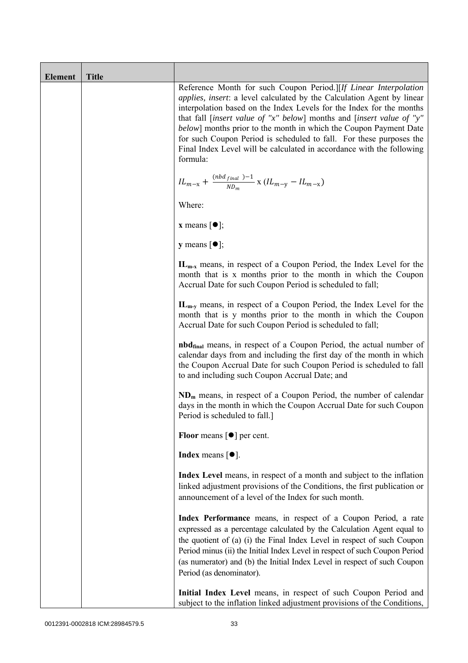| <b>Element</b> | <b>Title</b> |                                                                                                                                                                                                                                                                                                                                                                                                                                                                                                                                     |
|----------------|--------------|-------------------------------------------------------------------------------------------------------------------------------------------------------------------------------------------------------------------------------------------------------------------------------------------------------------------------------------------------------------------------------------------------------------------------------------------------------------------------------------------------------------------------------------|
|                |              | Reference Month for such Coupon Period.][If Linear Interpolation<br><i>applies, insert: a level calculated by the Calculation Agent by linear</i><br>interpolation based on the Index Levels for the Index for the months<br>that fall [insert value of "x" below] months and [insert value of "y"<br>below] months prior to the month in which the Coupon Payment Date<br>for such Coupon Period is scheduled to fall. For these purposes the<br>Final Index Level will be calculated in accordance with the following<br>formula: |
|                |              | $IL_{m-x} + \frac{(nbd_{final})-1}{ND_m}$ x $(IL_{m-y} - IL_{m-x})$                                                                                                                                                                                                                                                                                                                                                                                                                                                                 |
|                |              | Where:                                                                                                                                                                                                                                                                                                                                                                                                                                                                                                                              |
|                |              | <b>x</b> means $\lceil \bullet \rceil$ ;                                                                                                                                                                                                                                                                                                                                                                                                                                                                                            |
|                |              | $y$ means $[\bullet]$ ;                                                                                                                                                                                                                                                                                                                                                                                                                                                                                                             |
|                |              | $IL_{m-x}$ means, in respect of a Coupon Period, the Index Level for the<br>month that is x months prior to the month in which the Coupon<br>Accrual Date for such Coupon Period is scheduled to fall;                                                                                                                                                                                                                                                                                                                              |
|                |              | $IL_{m-v}$ means, in respect of a Coupon Period, the Index Level for the<br>month that is y months prior to the month in which the Coupon<br>Accrual Date for such Coupon Period is scheduled to fall;                                                                                                                                                                                                                                                                                                                              |
|                |              | <b>nbd</b> <sub>final</sub> means, in respect of a Coupon Period, the actual number of<br>calendar days from and including the first day of the month in which<br>the Coupon Accrual Date for such Coupon Period is scheduled to fall<br>to and including such Coupon Accrual Date; and                                                                                                                                                                                                                                             |
|                |              | $NDm$ means, in respect of a Coupon Period, the number of calendar<br>days in the month in which the Coupon Accrual Date for such Coupon<br>Period is scheduled to fall.]                                                                                                                                                                                                                                                                                                                                                           |
|                |              | <b>Floor</b> means $\lceil \bullet \rceil$ per cent.                                                                                                                                                                                                                                                                                                                                                                                                                                                                                |
|                |              | <b>Index</b> means $[①]$ .                                                                                                                                                                                                                                                                                                                                                                                                                                                                                                          |
|                |              | Index Level means, in respect of a month and subject to the inflation<br>linked adjustment provisions of the Conditions, the first publication or<br>announcement of a level of the Index for such month.                                                                                                                                                                                                                                                                                                                           |
|                |              | Index Performance means, in respect of a Coupon Period, a rate<br>expressed as a percentage calculated by the Calculation Agent equal to<br>the quotient of (a) (i) the Final Index Level in respect of such Coupon<br>Period minus (ii) the Initial Index Level in respect of such Coupon Period<br>(as numerator) and (b) the Initial Index Level in respect of such Coupon<br>Period (as denominator).                                                                                                                           |
|                |              | Initial Index Level means, in respect of such Coupon Period and<br>subject to the inflation linked adjustment provisions of the Conditions,                                                                                                                                                                                                                                                                                                                                                                                         |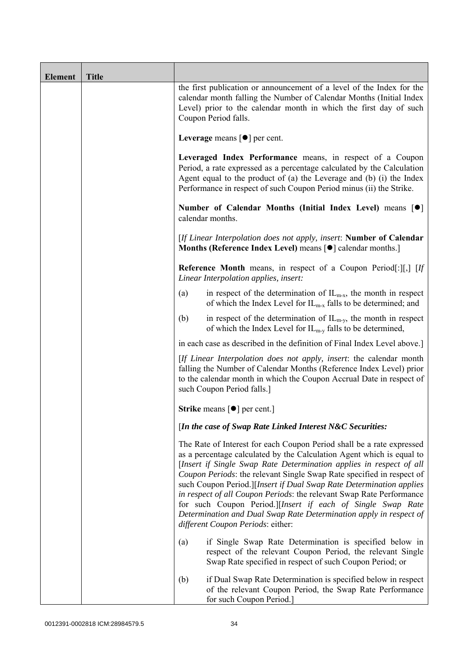| <b>Element</b> | <b>Title</b> |                                                                                                                                                                                                                                                                                                                                                                                                                                                                                                                                                                                                                         |
|----------------|--------------|-------------------------------------------------------------------------------------------------------------------------------------------------------------------------------------------------------------------------------------------------------------------------------------------------------------------------------------------------------------------------------------------------------------------------------------------------------------------------------------------------------------------------------------------------------------------------------------------------------------------------|
|                |              | the first publication or announcement of a level of the Index for the<br>calendar month falling the Number of Calendar Months (Initial Index<br>Level) prior to the calendar month in which the first day of such<br>Coupon Period falls.                                                                                                                                                                                                                                                                                                                                                                               |
|                |              | Leverage means $\lceil \bullet \rceil$ per cent.                                                                                                                                                                                                                                                                                                                                                                                                                                                                                                                                                                        |
|                |              | Leveraged Index Performance means, in respect of a Coupon<br>Period, a rate expressed as a percentage calculated by the Calculation<br>Agent equal to the product of (a) the Leverage and (b) (i) the Index<br>Performance in respect of such Coupon Period minus (ii) the Strike.                                                                                                                                                                                                                                                                                                                                      |
|                |              | Number of Calendar Months (Initial Index Level) means [ $\bullet$ ]<br>calendar months.                                                                                                                                                                                                                                                                                                                                                                                                                                                                                                                                 |
|                |              | [If Linear Interpolation does not apply, insert: Number of Calendar<br>Months (Reference Index Level) means [ $\bullet$ ] calendar months.]                                                                                                                                                                                                                                                                                                                                                                                                                                                                             |
|                |              | <b>Reference Month</b> means, in respect of a Coupon Period[:][,] $[If]$<br>Linear Interpolation applies, insert:                                                                                                                                                                                                                                                                                                                                                                                                                                                                                                       |
|                |              | in respect of the determination of $IL_{m-x}$ , the month in respect<br>(a)<br>of which the Index Level for $IL_{m-x}$ falls to be determined; and                                                                                                                                                                                                                                                                                                                                                                                                                                                                      |
|                |              | in respect of the determination of $IL_{m-y}$ , the month in respect<br>(b)<br>of which the Index Level for $IL_{m-y}$ falls to be determined,                                                                                                                                                                                                                                                                                                                                                                                                                                                                          |
|                |              | in each case as described in the definition of Final Index Level above.]                                                                                                                                                                                                                                                                                                                                                                                                                                                                                                                                                |
|                |              | [If Linear Interpolation does not apply, insert: the calendar month<br>falling the Number of Calendar Months (Reference Index Level) prior<br>to the calendar month in which the Coupon Accrual Date in respect of<br>such Coupon Period falls.]                                                                                                                                                                                                                                                                                                                                                                        |
|                |              | <b>Strike</b> means $\lceil \bullet \rceil$ per cent.                                                                                                                                                                                                                                                                                                                                                                                                                                                                                                                                                                   |
|                |              | [In the case of Swap Rate Linked Interest N&C Securities:                                                                                                                                                                                                                                                                                                                                                                                                                                                                                                                                                               |
|                |              | The Rate of Interest for each Coupon Period shall be a rate expressed<br>as a percentage calculated by the Calculation Agent which is equal to<br>[Insert if Single Swap Rate Determination applies in respect of all<br>Coupon Periods: the relevant Single Swap Rate specified in respect of<br>such Coupon Period.][Insert if Dual Swap Rate Determination applies<br>in respect of all Coupon Periods: the relevant Swap Rate Performance<br>for such Coupon Period.][Insert if each of Single Swap Rate<br>Determination and Dual Swap Rate Determination apply in respect of<br>different Coupon Periods: either: |
|                |              | if Single Swap Rate Determination is specified below in<br>(a)<br>respect of the relevant Coupon Period, the relevant Single<br>Swap Rate specified in respect of such Coupon Period; or                                                                                                                                                                                                                                                                                                                                                                                                                                |
|                |              | if Dual Swap Rate Determination is specified below in respect<br>(b)<br>of the relevant Coupon Period, the Swap Rate Performance<br>for such Coupon Period.]                                                                                                                                                                                                                                                                                                                                                                                                                                                            |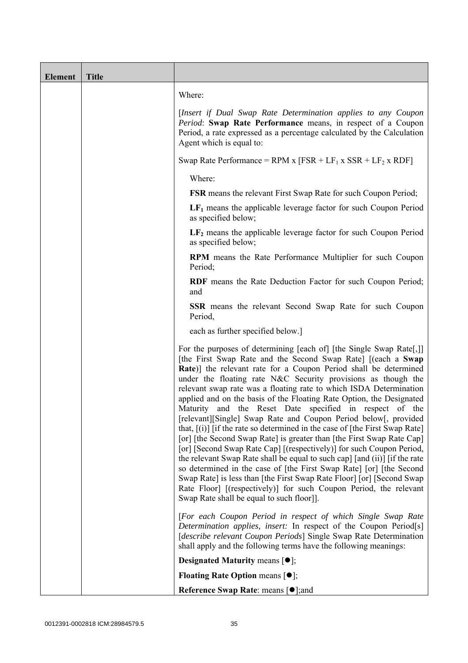| <b>Element</b> | <b>Title</b> |                                                                                                                                                                                                                                                                                                                                                                                                                                                                                                                                                                                                                                                                                                                                                                                                                                                                                                                                                                                                                                                                                                                                       |
|----------------|--------------|---------------------------------------------------------------------------------------------------------------------------------------------------------------------------------------------------------------------------------------------------------------------------------------------------------------------------------------------------------------------------------------------------------------------------------------------------------------------------------------------------------------------------------------------------------------------------------------------------------------------------------------------------------------------------------------------------------------------------------------------------------------------------------------------------------------------------------------------------------------------------------------------------------------------------------------------------------------------------------------------------------------------------------------------------------------------------------------------------------------------------------------|
|                |              | Where:                                                                                                                                                                                                                                                                                                                                                                                                                                                                                                                                                                                                                                                                                                                                                                                                                                                                                                                                                                                                                                                                                                                                |
|                |              | [Insert if Dual Swap Rate Determination applies to any Coupon<br>Period: Swap Rate Performance means, in respect of a Coupon<br>Period, a rate expressed as a percentage calculated by the Calculation<br>Agent which is equal to:                                                                                                                                                                                                                                                                                                                                                                                                                                                                                                                                                                                                                                                                                                                                                                                                                                                                                                    |
|                |              | Swap Rate Performance = RPM x $[FSR + LF_1 x SSR + LF_2 x RDF]$                                                                                                                                                                                                                                                                                                                                                                                                                                                                                                                                                                                                                                                                                                                                                                                                                                                                                                                                                                                                                                                                       |
|                |              | Where:                                                                                                                                                                                                                                                                                                                                                                                                                                                                                                                                                                                                                                                                                                                                                                                                                                                                                                                                                                                                                                                                                                                                |
|                |              | <b>FSR</b> means the relevant First Swap Rate for such Coupon Period;                                                                                                                                                                                                                                                                                                                                                                                                                                                                                                                                                                                                                                                                                                                                                                                                                                                                                                                                                                                                                                                                 |
|                |              | $LF1$ means the applicable leverage factor for such Coupon Period<br>as specified below;                                                                                                                                                                                                                                                                                                                                                                                                                                                                                                                                                                                                                                                                                                                                                                                                                                                                                                                                                                                                                                              |
|                |              | $LF2$ means the applicable leverage factor for such Coupon Period<br>as specified below;                                                                                                                                                                                                                                                                                                                                                                                                                                                                                                                                                                                                                                                                                                                                                                                                                                                                                                                                                                                                                                              |
|                |              | RPM means the Rate Performance Multiplier for such Coupon<br>Period;                                                                                                                                                                                                                                                                                                                                                                                                                                                                                                                                                                                                                                                                                                                                                                                                                                                                                                                                                                                                                                                                  |
|                |              | RDF means the Rate Deduction Factor for such Coupon Period;<br>and                                                                                                                                                                                                                                                                                                                                                                                                                                                                                                                                                                                                                                                                                                                                                                                                                                                                                                                                                                                                                                                                    |
|                |              | <b>SSR</b> means the relevant Second Swap Rate for such Coupon<br>Period,                                                                                                                                                                                                                                                                                                                                                                                                                                                                                                                                                                                                                                                                                                                                                                                                                                                                                                                                                                                                                                                             |
|                |              | each as further specified below.]                                                                                                                                                                                                                                                                                                                                                                                                                                                                                                                                                                                                                                                                                                                                                                                                                                                                                                                                                                                                                                                                                                     |
|                |              | For the purposes of determining [each of] [the Single Swap Rate[,]]<br>[the First Swap Rate and the Second Swap Rate] [(each a Swap<br>Rate)] the relevant rate for a Coupon Period shall be determined<br>under the floating rate N&C Security provisions as though the<br>relevant swap rate was a floating rate to which ISDA Determination<br>applied and on the basis of the Floating Rate Option, the Designated<br>Maturity and the Reset Date specified in respect of the<br>[relevant][Single] Swap Rate and Coupon Period below[, provided<br>that, $[(i)]$ [if the rate so determined in the case of [the First Swap Rate]<br>[or] [the Second Swap Rate] is greater than [the First Swap Rate Cap]<br>[or] [Second Swap Rate Cap] [(respectively)] for such Coupon Period,<br>the relevant Swap Rate shall be equal to such cap] [and (ii)] [if the rate<br>so determined in the case of [the First Swap Rate] [or] [the Second<br>Swap Rate is less than [the First Swap Rate Floor] [or] [Second Swap<br>Rate Floor] [(respectively)] for such Coupon Period, the relevant<br>Swap Rate shall be equal to such floor]]. |
|                |              | [For each Coupon Period in respect of which Single Swap Rate<br>Determination applies, insert: In respect of the Coupon Period[s]<br>[describe relevant Coupon Periods] Single Swap Rate Determination                                                                                                                                                                                                                                                                                                                                                                                                                                                                                                                                                                                                                                                                                                                                                                                                                                                                                                                                |
|                |              | shall apply and the following terms have the following meanings:<br><b>Designated Maturity means <math>\lceil \bullet \rceil</math>;</b>                                                                                                                                                                                                                                                                                                                                                                                                                                                                                                                                                                                                                                                                                                                                                                                                                                                                                                                                                                                              |
|                |              | <b>Floating Rate Option means <math>[•]</math>;</b>                                                                                                                                                                                                                                                                                                                                                                                                                                                                                                                                                                                                                                                                                                                                                                                                                                                                                                                                                                                                                                                                                   |
|                |              | <b>Reference Swap Rate: means [●];and</b>                                                                                                                                                                                                                                                                                                                                                                                                                                                                                                                                                                                                                                                                                                                                                                                                                                                                                                                                                                                                                                                                                             |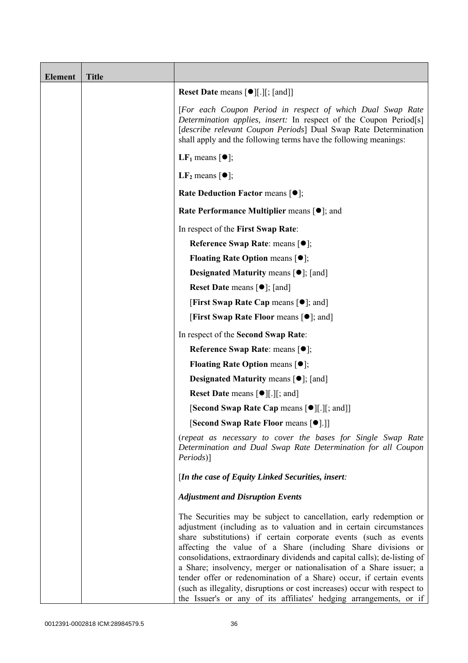| <b>Element</b> | <b>Title</b> |                                                                                                                                                                                                                                                                                                                                                                                                                                                                                                                                                                                                                                                            |
|----------------|--------------|------------------------------------------------------------------------------------------------------------------------------------------------------------------------------------------------------------------------------------------------------------------------------------------------------------------------------------------------------------------------------------------------------------------------------------------------------------------------------------------------------------------------------------------------------------------------------------------------------------------------------------------------------------|
|                |              | <b>Reset Date means [●][.][; [and]]</b>                                                                                                                                                                                                                                                                                                                                                                                                                                                                                                                                                                                                                    |
|                |              | [For each Coupon Period in respect of which Dual Swap Rate<br>Determination applies, insert: In respect of the Coupon Period[s]<br>[describe relevant Coupon Periods] Dual Swap Rate Determination<br>shall apply and the following terms have the following meanings:                                                                                                                                                                                                                                                                                                                                                                                     |
|                |              | <b>LF</b> <sub>1</sub> means $\lceil \bullet \rceil$ ;                                                                                                                                                                                                                                                                                                                                                                                                                                                                                                                                                                                                     |
|                |              | LF <sub>2</sub> means $\lceil \bullet \rceil$ ;                                                                                                                                                                                                                                                                                                                                                                                                                                                                                                                                                                                                            |
|                |              | <b>Rate Deduction Factor means <math>[•]</math>;</b>                                                                                                                                                                                                                                                                                                                                                                                                                                                                                                                                                                                                       |
|                |              | <b>Rate Performance Multiplier means [●]; and</b>                                                                                                                                                                                                                                                                                                                                                                                                                                                                                                                                                                                                          |
|                |              | In respect of the First Swap Rate:                                                                                                                                                                                                                                                                                                                                                                                                                                                                                                                                                                                                                         |
|                |              | Reference Swap Rate: means [ $\bullet$ ];                                                                                                                                                                                                                                                                                                                                                                                                                                                                                                                                                                                                                  |
|                |              | <b>Floating Rate Option means <math>\lceil \bullet \rceil</math>;</b>                                                                                                                                                                                                                                                                                                                                                                                                                                                                                                                                                                                      |
|                |              | <b>Designated Maturity means <math>\lceil \bullet \rceil</math>; [and]</b>                                                                                                                                                                                                                                                                                                                                                                                                                                                                                                                                                                                 |
|                |              | <b>Reset Date means [●]; [and]</b>                                                                                                                                                                                                                                                                                                                                                                                                                                                                                                                                                                                                                         |
|                |              | <b>[First Swap Rate Cap means [<math>\bullet</math>]; and</b> ]                                                                                                                                                                                                                                                                                                                                                                                                                                                                                                                                                                                            |
|                |              | [First Swap Rate Floor means [ $\bullet$ ]; and]                                                                                                                                                                                                                                                                                                                                                                                                                                                                                                                                                                                                           |
|                |              | In respect of the Second Swap Rate:                                                                                                                                                                                                                                                                                                                                                                                                                                                                                                                                                                                                                        |
|                |              | Reference Swap Rate: means [ $\bullet$ ];                                                                                                                                                                                                                                                                                                                                                                                                                                                                                                                                                                                                                  |
|                |              | <b>Floating Rate Option means <math>[•]</math>;</b>                                                                                                                                                                                                                                                                                                                                                                                                                                                                                                                                                                                                        |
|                |              | <b>Designated Maturity means <math>\lceil \bullet \rceil</math>; [and]</b>                                                                                                                                                                                                                                                                                                                                                                                                                                                                                                                                                                                 |
|                |              | <b>Reset Date means <math>[\bullet]</math>[.][; and]</b>                                                                                                                                                                                                                                                                                                                                                                                                                                                                                                                                                                                                   |
|                |              | [Second Swap Rate Cap means [ $\bullet$ ][.][; and]]                                                                                                                                                                                                                                                                                                                                                                                                                                                                                                                                                                                                       |
|                |              | [Second Swap Rate Floor means [●].]]                                                                                                                                                                                                                                                                                                                                                                                                                                                                                                                                                                                                                       |
|                |              | (repeat as necessary to cover the bases for Single Swap Rate<br>Determination and Dual Swap Rate Determination for all Coupon<br>Periods)]                                                                                                                                                                                                                                                                                                                                                                                                                                                                                                                 |
|                |              | [In the case of Equity Linked Securities, insert:                                                                                                                                                                                                                                                                                                                                                                                                                                                                                                                                                                                                          |
|                |              | <b>Adjustment and Disruption Events</b>                                                                                                                                                                                                                                                                                                                                                                                                                                                                                                                                                                                                                    |
|                |              | The Securities may be subject to cancellation, early redemption or<br>adjustment (including as to valuation and in certain circumstances<br>share substitutions) if certain corporate events (such as events<br>affecting the value of a Share (including Share divisions or<br>consolidations, extraordinary dividends and capital calls); de-listing of<br>a Share; insolvency, merger or nationalisation of a Share issuer; a<br>tender offer or redenomination of a Share) occur, if certain events<br>(such as illegality, disruptions or cost increases) occur with respect to<br>the Issuer's or any of its affiliates' hedging arrangements, or if |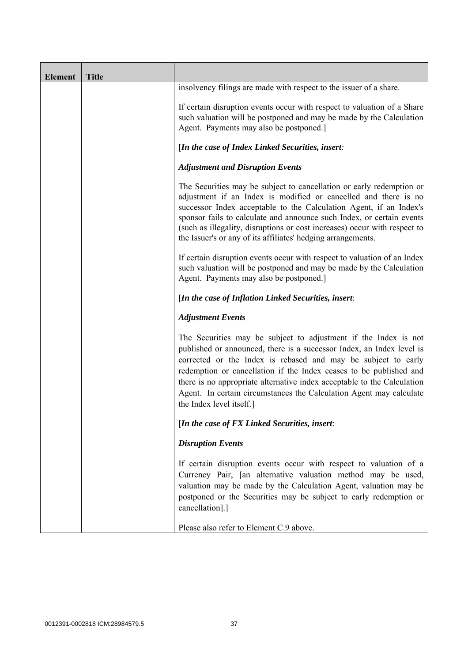| <b>Element</b> | <b>Title</b> |                                                                                                                                                                                                                                                                                                                                                                                                                                                               |
|----------------|--------------|---------------------------------------------------------------------------------------------------------------------------------------------------------------------------------------------------------------------------------------------------------------------------------------------------------------------------------------------------------------------------------------------------------------------------------------------------------------|
|                |              | insolvency filings are made with respect to the issuer of a share.                                                                                                                                                                                                                                                                                                                                                                                            |
|                |              | If certain disruption events occur with respect to valuation of a Share<br>such valuation will be postponed and may be made by the Calculation<br>Agent. Payments may also be postponed.]                                                                                                                                                                                                                                                                     |
|                |              | [In the case of Index Linked Securities, insert:                                                                                                                                                                                                                                                                                                                                                                                                              |
|                |              | <b>Adjustment and Disruption Events</b>                                                                                                                                                                                                                                                                                                                                                                                                                       |
|                |              | The Securities may be subject to cancellation or early redemption or<br>adjustment if an Index is modified or cancelled and there is no<br>successor Index acceptable to the Calculation Agent, if an Index's<br>sponsor fails to calculate and announce such Index, or certain events<br>(such as illegality, disruptions or cost increases) occur with respect to<br>the Issuer's or any of its affiliates' hedging arrangements.                           |
|                |              | If certain disruption events occur with respect to valuation of an Index<br>such valuation will be postponed and may be made by the Calculation<br>Agent. Payments may also be postponed.]                                                                                                                                                                                                                                                                    |
|                |              | [In the case of Inflation Linked Securities, insert:                                                                                                                                                                                                                                                                                                                                                                                                          |
|                |              | <b>Adjustment Events</b>                                                                                                                                                                                                                                                                                                                                                                                                                                      |
|                |              | The Securities may be subject to adjustment if the Index is not<br>published or announced, there is a successor Index, an Index level is<br>corrected or the Index is rebased and may be subject to early<br>redemption or cancellation if the Index ceases to be published and<br>there is no appropriate alternative index acceptable to the Calculation<br>Agent. In certain circumstances the Calculation Agent may calculate<br>the Index level itself.] |
|                |              | [In the case of $FX$ Linked Securities, insert:                                                                                                                                                                                                                                                                                                                                                                                                               |
|                |              | <b>Disruption Events</b>                                                                                                                                                                                                                                                                                                                                                                                                                                      |
|                |              | If certain disruption events occur with respect to valuation of a<br>Currency Pair, [an alternative valuation method may be used,<br>valuation may be made by the Calculation Agent, valuation may be<br>postponed or the Securities may be subject to early redemption or<br>cancellation].]                                                                                                                                                                 |
|                |              | Please also refer to Element C.9 above.                                                                                                                                                                                                                                                                                                                                                                                                                       |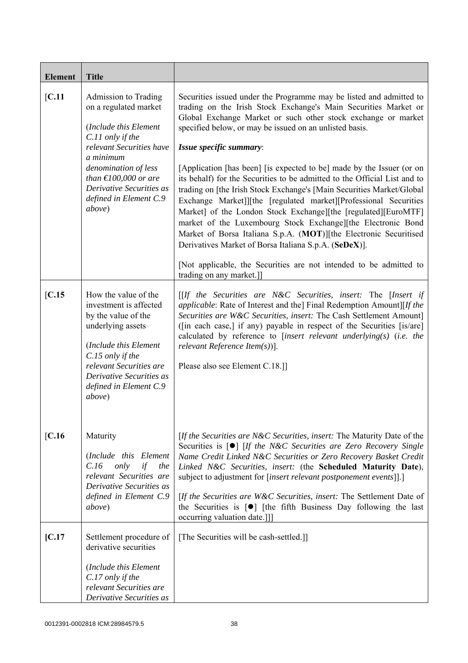| <b>Element</b> | <b>Title</b>                                                                                                                                                                                                                                                             |                                                                                                                                                                                                                                                                                                                                                                                                                                                                                                                                                                                                                                                                                                                                                                                                                                                                                                                                                                     |
|----------------|--------------------------------------------------------------------------------------------------------------------------------------------------------------------------------------------------------------------------------------------------------------------------|---------------------------------------------------------------------------------------------------------------------------------------------------------------------------------------------------------------------------------------------------------------------------------------------------------------------------------------------------------------------------------------------------------------------------------------------------------------------------------------------------------------------------------------------------------------------------------------------------------------------------------------------------------------------------------------------------------------------------------------------------------------------------------------------------------------------------------------------------------------------------------------------------------------------------------------------------------------------|
| [C.11]         | Admission to Trading<br>on a regulated market<br>(Include this Element<br>C.11 only if the<br>relevant Securities have<br>a minimum<br>denomination of less<br>than $\text{\textsterling}100,000$ or are<br>Derivative Securities as<br>defined in Element C.9<br>above) | Securities issued under the Programme may be listed and admitted to<br>trading on the Irish Stock Exchange's Main Securities Market or<br>Global Exchange Market or such other stock exchange or market<br>specified below, or may be issued on an unlisted basis.<br>Issue specific summary:<br>[Application [has been] [is expected to be] made by the Issuer (or on<br>its behalf) for the Securities to be admitted to the Official List and to<br>trading on [the Irish Stock Exchange's [Main Securities Market/Global]<br>Exchange Market]][the [regulated market][Professional Securities<br>Market] of the London Stock Exchange][the [regulated][EuroMTF]<br>market of the Luxembourg Stock Exchange][the Electronic Bond<br>Market of Borsa Italiana S.p.A. (MOT)][the Electronic Securitised<br>Derivatives Market of Borsa Italiana S.p.A. (SeDeX)].<br>[Not applicable, the Securities are not intended to be admitted to<br>trading on any market.]] |
| [C.15]         | How the value of the<br>investment is affected<br>by the value of the<br>underlying assets<br>(Include this Element<br>C.15 only if the<br>relevant Securities are<br>Derivative Securities as<br>defined in Element C.9<br>above)                                       | $[If the Securities are N&C Securities, insert: The [Insert if]$<br><i>applicable:</i> Rate of Interest and the] Final Redemption Amount][If the<br>Securities are W&C Securities, insert: The Cash Settlement Amount]<br>([in each case,] if any) payable in respect of the Securities [is/are]<br>calculated by reference to [insert relevant underlying(s) (i.e. the<br>relevant Reference Item $(s)$ ].<br>Please also see Element C.18.]                                                                                                                                                                                                                                                                                                                                                                                                                                                                                                                       |
| [C.16]         | Maturity<br>(Include this Element<br>only<br>if<br>C.16<br>the<br>relevant Securities are<br>Derivative Securities as<br>defined in Element C.9<br><i>above</i> )                                                                                                        | [If the Securities are N&C Securities, insert: The Maturity Date of the<br>Securities is [ <sup>o</sup> ] [If the N&C Securities are Zero Recovery Single<br>Name Credit Linked N&C Securities or Zero Recovery Basket Credit<br>Linked N&C Securities, insert: (the Scheduled Maturity Date),<br>subject to adjustment for [insert relevant postponement events]].]<br>[If the Securities are W&C Securities, insert: The Settlement Date of<br>the Securities is $\lceil \bullet \rceil$ [the fifth Business Day following the last<br>occurring valuation date.]]]                                                                                                                                                                                                                                                                                                                                                                                               |
| [C.17]         | Settlement procedure of<br>derivative securities<br>(Include this Element<br>C.17 only if the<br>relevant Securities are<br>Derivative Securities as                                                                                                                     | [The Securities will be cash-settled.]]                                                                                                                                                                                                                                                                                                                                                                                                                                                                                                                                                                                                                                                                                                                                                                                                                                                                                                                             |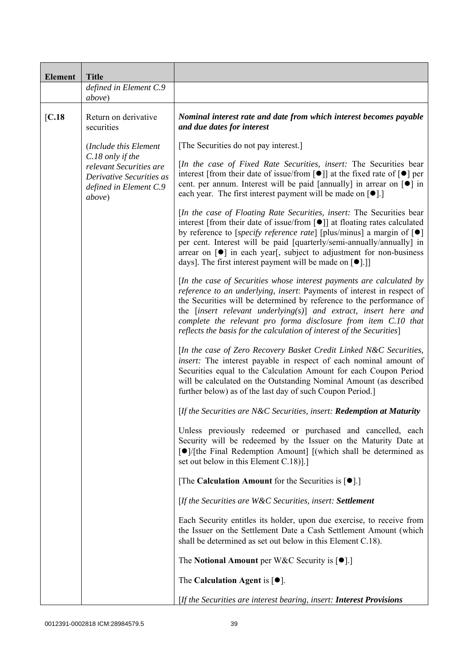| <b>Element</b> | <b>Title</b>                                                                                                |                                                                                                                                                                                                                                                                                                                                                                                                                                                                                           |
|----------------|-------------------------------------------------------------------------------------------------------------|-------------------------------------------------------------------------------------------------------------------------------------------------------------------------------------------------------------------------------------------------------------------------------------------------------------------------------------------------------------------------------------------------------------------------------------------------------------------------------------------|
|                | defined in Element C.9<br>above)                                                                            |                                                                                                                                                                                                                                                                                                                                                                                                                                                                                           |
| [C.18]         | Return on derivative<br>securities                                                                          | Nominal interest rate and date from which interest becomes payable<br>and due dates for interest                                                                                                                                                                                                                                                                                                                                                                                          |
|                | (Include this Element                                                                                       | [The Securities do not pay interest.]                                                                                                                                                                                                                                                                                                                                                                                                                                                     |
|                | C.18 only if the<br>relevant Securities are<br>Derivative Securities as<br>defined in Element C.9<br>above) | [In the case of Fixed Rate Securities, insert: The Securities bear<br>interest [from their date of issue/from [ $\bullet$ ]] at the fixed rate of $\lceil \bullet \rceil$ per<br>cent. per annum. Interest will be paid [annually] in arrear on [ $\bullet$ ] in<br>each year. The first interest payment will be made on $[•]$ .]                                                                                                                                                        |
|                |                                                                                                             | [In the case of Floating Rate Securities, insert: The Securities bear<br>interest [from their date of issue/from [ $\bullet$ ]] at floating rates calculated<br>by reference to [specify reference rate] [plus/minus] a margin of $[\bullet]$<br>per cent. Interest will be paid [quarterly/semi-annually/annually] in<br>arrear on $\lceil \bullet \rceil$ in each year, subject to adjustment for non-business<br>days]. The first interest payment will be made on [ <sup>•</sup> ].]] |
|                |                                                                                                             | [In the case of Securities whose interest payments are calculated by<br>reference to an underlying, insert: Payments of interest in respect of<br>the Securities will be determined by reference to the performance of<br>the $[insert$ relevant underlying $(s)$ ] and extract, insert here and<br>complete the relevant pro forma disclosure from item C.10 that<br>reflects the basis for the calculation of interest of the Securities]                                               |
|                |                                                                                                             | [In the case of Zero Recovery Basket Credit Linked N&C Securities,<br>insert: The interest payable in respect of each nominal amount of<br>Securities equal to the Calculation Amount for each Coupon Period<br>will be calculated on the Outstanding Nominal Amount (as described<br>further below) as of the last day of such Coupon Period.                                                                                                                                            |
|                |                                                                                                             | [If the Securities are N&C Securities, insert: Redemption at Maturity                                                                                                                                                                                                                                                                                                                                                                                                                     |
|                |                                                                                                             | Unless previously redeemed or purchased and cancelled, each<br>Security will be redeemed by the Issuer on the Maturity Date at<br>[●]/[the Final Redemption Amount] [(which shall be determined as<br>set out below in this Element C.18).]                                                                                                                                                                                                                                               |
|                |                                                                                                             | [The Calculation Amount for the Securities is $[•]$ .]                                                                                                                                                                                                                                                                                                                                                                                                                                    |
|                |                                                                                                             | [If the Securities are W&C Securities, insert: Settlement                                                                                                                                                                                                                                                                                                                                                                                                                                 |
|                |                                                                                                             | Each Security entitles its holder, upon due exercise, to receive from<br>the Issuer on the Settlement Date a Cash Settlement Amount (which<br>shall be determined as set out below in this Element C.18).                                                                                                                                                                                                                                                                                 |
|                |                                                                                                             | The Notional Amount per W&C Security is $[•]$ .                                                                                                                                                                                                                                                                                                                                                                                                                                           |
|                |                                                                                                             | The Calculation Agent is $[•]$ .                                                                                                                                                                                                                                                                                                                                                                                                                                                          |
|                |                                                                                                             | [If the Securities are interest bearing, insert: <b>Interest Provisions</b>                                                                                                                                                                                                                                                                                                                                                                                                               |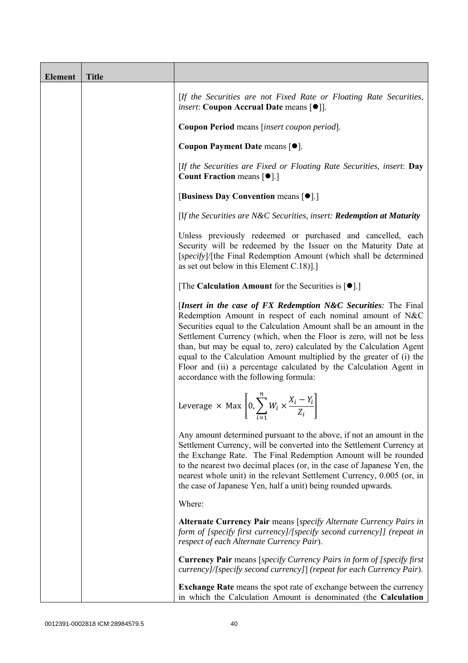| <b>Element</b> | <b>Title</b> |                                                                                                                                                                                                                                                                                                                                                                                                                                                                                                                                              |
|----------------|--------------|----------------------------------------------------------------------------------------------------------------------------------------------------------------------------------------------------------------------------------------------------------------------------------------------------------------------------------------------------------------------------------------------------------------------------------------------------------------------------------------------------------------------------------------------|
|                |              | [If the Securities are not Fixed Rate or Floating Rate Securities,<br><i>insert</i> : Coupon Accrual Date means [ $\bullet$ ].                                                                                                                                                                                                                                                                                                                                                                                                               |
|                |              | Coupon Period means [insert coupon period].                                                                                                                                                                                                                                                                                                                                                                                                                                                                                                  |
|                |              | Coupon Payment Date means [ $\bullet$ ].                                                                                                                                                                                                                                                                                                                                                                                                                                                                                                     |
|                |              | [If the Securities are Fixed or Floating Rate Securities, insert: Day<br><b>Count Fraction means [<math>\bullet</math>].</b> ]                                                                                                                                                                                                                                                                                                                                                                                                               |
|                |              | [Business Day Convention means [ $\bullet$ ].]                                                                                                                                                                                                                                                                                                                                                                                                                                                                                               |
|                |              | [If the Securities are N&C Securities, insert: Redemption at Maturity                                                                                                                                                                                                                                                                                                                                                                                                                                                                        |
|                |              | Unless previously redeemed or purchased and cancelled, each<br>Security will be redeemed by the Issuer on the Maturity Date at<br>[specify]/[the Final Redemption Amount (which shall be determined<br>as set out below in this Element $C.18$ ].]                                                                                                                                                                                                                                                                                           |
|                |              | [The Calculation Amount for the Securities is $[•]$ .]                                                                                                                                                                                                                                                                                                                                                                                                                                                                                       |
|                |              | [Insert in the case of FX Redemption N&C Securities: The Final<br>Redemption Amount in respect of each nominal amount of N&C<br>Securities equal to the Calculation Amount shall be an amount in the<br>Settlement Currency (which, when the Floor is zero, will not be less<br>than, but may be equal to, zero) calculated by the Calculation Agent<br>equal to the Calculation Amount multiplied by the greater of (i) the<br>Floor and (ii) a percentage calculated by the Calculation Agent in<br>accordance with the following formula: |
|                |              | Leverage $\times$ Max $\left[0, \sum_{i=1}^{n} W_i \times \frac{X_i - Y_i}{Z_i}\right]$                                                                                                                                                                                                                                                                                                                                                                                                                                                      |
|                |              | Any amount determined pursuant to the above, if not an amount in the<br>Settlement Currency, will be converted into the Settlement Currency at<br>the Exchange Rate. The Final Redemption Amount will be rounded<br>to the nearest two decimal places (or, in the case of Japanese Yen, the<br>nearest whole unit) in the relevant Settlement Currency, 0.005 (or, in<br>the case of Japanese Yen, half a unit) being rounded upwards.                                                                                                       |
|                |              | Where:                                                                                                                                                                                                                                                                                                                                                                                                                                                                                                                                       |
|                |              | Alternate Currency Pair means [specify Alternate Currency Pairs in<br>form of [specify first currency]/[specify second currency]] (repeat in<br>respect of each Alternate Currency Pair).                                                                                                                                                                                                                                                                                                                                                    |
|                |              | <b>Currency Pair</b> means [specify Currency Pairs in form of [specify first]<br>currency]/[specify second currency]] (repeat for each Currency Pair).                                                                                                                                                                                                                                                                                                                                                                                       |
|                |              | <b>Exchange Rate</b> means the spot rate of exchange between the currency<br>in which the Calculation Amount is denominated (the Calculation                                                                                                                                                                                                                                                                                                                                                                                                 |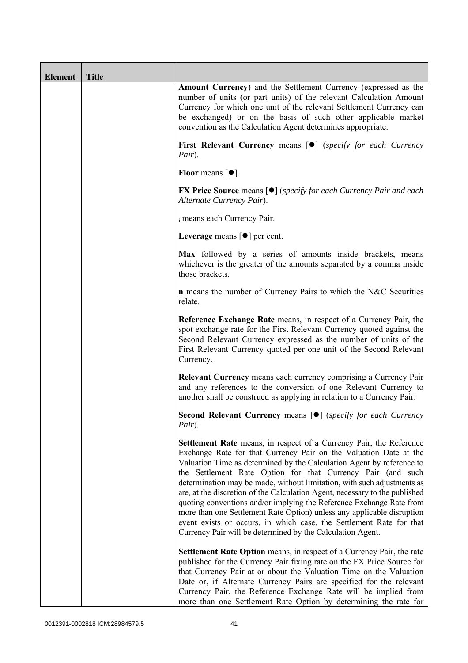| <b>Element</b> | <b>Title</b> |                                                                                                                                                                                                                                                                                                                                                                                                                                                                                                                                                                                                                                                                                                                                   |
|----------------|--------------|-----------------------------------------------------------------------------------------------------------------------------------------------------------------------------------------------------------------------------------------------------------------------------------------------------------------------------------------------------------------------------------------------------------------------------------------------------------------------------------------------------------------------------------------------------------------------------------------------------------------------------------------------------------------------------------------------------------------------------------|
|                |              | <b>Amount Currency</b> ) and the Settlement Currency (expressed as the<br>number of units (or part units) of the relevant Calculation Amount<br>Currency for which one unit of the relevant Settlement Currency can<br>be exchanged) or on the basis of such other applicable market<br>convention as the Calculation Agent determines appropriate.                                                                                                                                                                                                                                                                                                                                                                               |
|                |              | First Relevant Currency means [ $\bullet$ ] (specify for each Currency<br>Pair).                                                                                                                                                                                                                                                                                                                                                                                                                                                                                                                                                                                                                                                  |
|                |              | Floor means $[•]$ .                                                                                                                                                                                                                                                                                                                                                                                                                                                                                                                                                                                                                                                                                                               |
|                |              | <b>FX Price Source means [<math>\bullet</math>]</b> ( <i>specify for each Currency Pair and each</i><br>Alternate Currency Pair).                                                                                                                                                                                                                                                                                                                                                                                                                                                                                                                                                                                                 |
|                |              | i means each Currency Pair.                                                                                                                                                                                                                                                                                                                                                                                                                                                                                                                                                                                                                                                                                                       |
|                |              | Leverage means $\lceil \bullet \rceil$ per cent.                                                                                                                                                                                                                                                                                                                                                                                                                                                                                                                                                                                                                                                                                  |
|                |              | Max followed by a series of amounts inside brackets, means<br>whichever is the greater of the amounts separated by a comma inside<br>those brackets.                                                                                                                                                                                                                                                                                                                                                                                                                                                                                                                                                                              |
|                |              | <b>n</b> means the number of Currency Pairs to which the N&C Securities<br>relate.                                                                                                                                                                                                                                                                                                                                                                                                                                                                                                                                                                                                                                                |
|                |              | Reference Exchange Rate means, in respect of a Currency Pair, the<br>spot exchange rate for the First Relevant Currency quoted against the<br>Second Relevant Currency expressed as the number of units of the<br>First Relevant Currency quoted per one unit of the Second Relevant<br>Currency.                                                                                                                                                                                                                                                                                                                                                                                                                                 |
|                |              | <b>Relevant Currency</b> means each currency comprising a Currency Pair<br>and any references to the conversion of one Relevant Currency to<br>another shall be construed as applying in relation to a Currency Pair.                                                                                                                                                                                                                                                                                                                                                                                                                                                                                                             |
|                |              | <b>Second Relevant Currency means [O]</b> (specify for each Currency<br>Pair).                                                                                                                                                                                                                                                                                                                                                                                                                                                                                                                                                                                                                                                    |
|                |              | Settlement Rate means, in respect of a Currency Pair, the Reference<br>Exchange Rate for that Currency Pair on the Valuation Date at the<br>Valuation Time as determined by the Calculation Agent by reference to<br>the Settlement Rate Option for that Currency Pair (and such<br>determination may be made, without limitation, with such adjustments as<br>are, at the discretion of the Calculation Agent, necessary to the published<br>quoting conventions and/or implying the Reference Exchange Rate from<br>more than one Settlement Rate Option) unless any applicable disruption<br>event exists or occurs, in which case, the Settlement Rate for that<br>Currency Pair will be determined by the Calculation Agent. |
|                |              | Settlement Rate Option means, in respect of a Currency Pair, the rate<br>published for the Currency Pair fixing rate on the FX Price Source for<br>that Currency Pair at or about the Valuation Time on the Valuation<br>Date or, if Alternate Currency Pairs are specified for the relevant<br>Currency Pair, the Reference Exchange Rate will be implied from<br>more than one Settlement Rate Option by determining the rate for                                                                                                                                                                                                                                                                                               |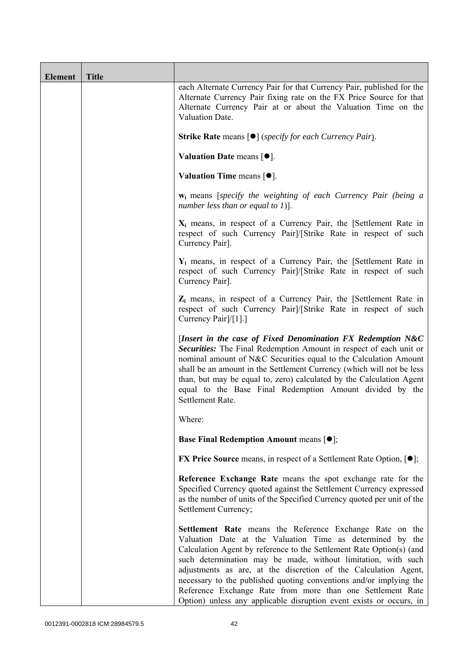| Element | <b>Title</b> |                                                                                                                                                                                                                                                                                                                                                                                                                                                                                                                                              |
|---------|--------------|----------------------------------------------------------------------------------------------------------------------------------------------------------------------------------------------------------------------------------------------------------------------------------------------------------------------------------------------------------------------------------------------------------------------------------------------------------------------------------------------------------------------------------------------|
|         |              | each Alternate Currency Pair for that Currency Pair, published for the<br>Alternate Currency Pair fixing rate on the FX Price Source for that<br>Alternate Currency Pair at or about the Valuation Time on the<br>Valuation Date.                                                                                                                                                                                                                                                                                                            |
|         |              | <b>Strike Rate</b> means $\lceil \bullet \rceil$ ( <i>specify for each Currency Pair</i> ).                                                                                                                                                                                                                                                                                                                                                                                                                                                  |
|         |              | Valuation Date means $[•]$ .                                                                                                                                                                                                                                                                                                                                                                                                                                                                                                                 |
|         |              | Valuation Time means $[•]$ .                                                                                                                                                                                                                                                                                                                                                                                                                                                                                                                 |
|         |              | <b>w</b> <sub>i</sub> means [specify the weighting of each Currency Pair (being a<br>number less than or equal to 1)].                                                                                                                                                                                                                                                                                                                                                                                                                       |
|         |              | $X_i$ means, in respect of a Currency Pair, the [Settlement Rate in<br>respect of such Currency Pair]/[Strike Rate in respect of such<br>Currency Pair].                                                                                                                                                                                                                                                                                                                                                                                     |
|         |              | $Y_i$ means, in respect of a Currency Pair, the [Settlement Rate in<br>respect of such Currency Pair]/[Strike Rate in respect of such<br>Currency Pair].                                                                                                                                                                                                                                                                                                                                                                                     |
|         |              | $Z_i$ means, in respect of a Currency Pair, the [Settlement Rate in<br>respect of such Currency Pairl/[Strike Rate in respect of such<br>Currency Pair]/[1].]                                                                                                                                                                                                                                                                                                                                                                                |
|         |              | [Insert in the case of Fixed Denomination FX Redemption N&C<br>Securities: The Final Redemption Amount in respect of each unit or<br>nominal amount of N&C Securities equal to the Calculation Amount<br>shall be an amount in the Settlement Currency (which will not be less<br>than, but may be equal to, zero) calculated by the Calculation Agent<br>equal to the Base Final Redemption Amount divided by the<br>Settlement Rate.                                                                                                       |
|         |              | Where:                                                                                                                                                                                                                                                                                                                                                                                                                                                                                                                                       |
|         |              | <b>Base Final Redemption Amount means [O];</b>                                                                                                                                                                                                                                                                                                                                                                                                                                                                                               |
|         |              | <b>FX Price Source</b> means, in respect of a Settlement Rate Option, $[•]$ ;                                                                                                                                                                                                                                                                                                                                                                                                                                                                |
|         |              | Reference Exchange Rate means the spot exchange rate for the<br>Specified Currency quoted against the Settlement Currency expressed<br>as the number of units of the Specified Currency quoted per unit of the<br>Settlement Currency;                                                                                                                                                                                                                                                                                                       |
|         |              | Settlement Rate means the Reference Exchange Rate on the<br>Valuation Date at the Valuation Time as determined by the<br>Calculation Agent by reference to the Settlement Rate Option(s) (and<br>such determination may be made, without limitation, with such<br>adjustments as are, at the discretion of the Calculation Agent,<br>necessary to the published quoting conventions and/or implying the<br>Reference Exchange Rate from more than one Settlement Rate<br>Option) unless any applicable disruption event exists or occurs, in |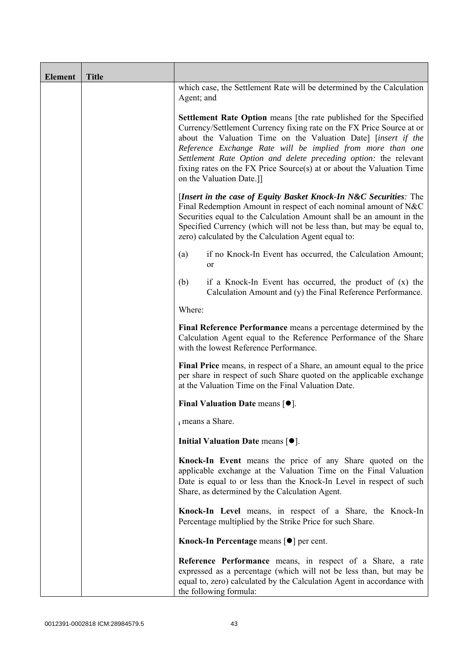| <b>Element</b> | <b>Title</b> |                                                                                                                                                                                                                                                                                                                                                                                                                                                      |  |  |  |
|----------------|--------------|------------------------------------------------------------------------------------------------------------------------------------------------------------------------------------------------------------------------------------------------------------------------------------------------------------------------------------------------------------------------------------------------------------------------------------------------------|--|--|--|
|                |              | which case, the Settlement Rate will be determined by the Calculation<br>Agent; and                                                                                                                                                                                                                                                                                                                                                                  |  |  |  |
|                |              | Settlement Rate Option means [the rate published for the Specified<br>Currency/Settlement Currency fixing rate on the FX Price Source at or<br>about the Valuation Time on the Valuation Date] [insert if the<br>Reference Exchange Rate will be implied from more than one<br>Settlement Rate Option and delete preceding option: the relevant<br>fixing rates on the FX Price Source(s) at or about the Valuation Time<br>on the Valuation Date.]] |  |  |  |
|                |              | [Insert in the case of Equity Basket Knock-In N&C Securities: The<br>Final Redemption Amount in respect of each nominal amount of N&C<br>Securities equal to the Calculation Amount shall be an amount in the<br>Specified Currency (which will not be less than, but may be equal to,<br>zero) calculated by the Calculation Agent equal to:                                                                                                        |  |  |  |
|                |              | if no Knock-In Event has occurred, the Calculation Amount;<br>(a)<br><sub>or</sub>                                                                                                                                                                                                                                                                                                                                                                   |  |  |  |
|                |              | (b)<br>if a Knock-In Event has occurred, the product of $(x)$ the<br>Calculation Amount and (y) the Final Reference Performance.                                                                                                                                                                                                                                                                                                                     |  |  |  |
|                |              | Where:                                                                                                                                                                                                                                                                                                                                                                                                                                               |  |  |  |
|                |              | Final Reference Performance means a percentage determined by the<br>Calculation Agent equal to the Reference Performance of the Share<br>with the lowest Reference Performance.                                                                                                                                                                                                                                                                      |  |  |  |
|                |              | Final Price means, in respect of a Share, an amount equal to the price<br>per share in respect of such Share quoted on the applicable exchange<br>at the Valuation Time on the Final Valuation Date.                                                                                                                                                                                                                                                 |  |  |  |
|                |              | Final Valuation Date means $[•]$ .                                                                                                                                                                                                                                                                                                                                                                                                                   |  |  |  |
|                |              | i means a Share.                                                                                                                                                                                                                                                                                                                                                                                                                                     |  |  |  |
|                |              | Initial Valuation Date means $[•]$ .                                                                                                                                                                                                                                                                                                                                                                                                                 |  |  |  |
|                |              | Knock-In Event means the price of any Share quoted on the<br>applicable exchange at the Valuation Time on the Final Valuation<br>Date is equal to or less than the Knock-In Level in respect of such<br>Share, as determined by the Calculation Agent.                                                                                                                                                                                               |  |  |  |
|                |              | Knock-In Level means, in respect of a Share, the Knock-In<br>Percentage multiplied by the Strike Price for such Share.                                                                                                                                                                                                                                                                                                                               |  |  |  |
|                |              | Knock-In Percentage means [●] per cent.                                                                                                                                                                                                                                                                                                                                                                                                              |  |  |  |
|                |              | Reference Performance means, in respect of a Share, a rate<br>expressed as a percentage (which will not be less than, but may be<br>equal to, zero) calculated by the Calculation Agent in accordance with<br>the following formula:                                                                                                                                                                                                                 |  |  |  |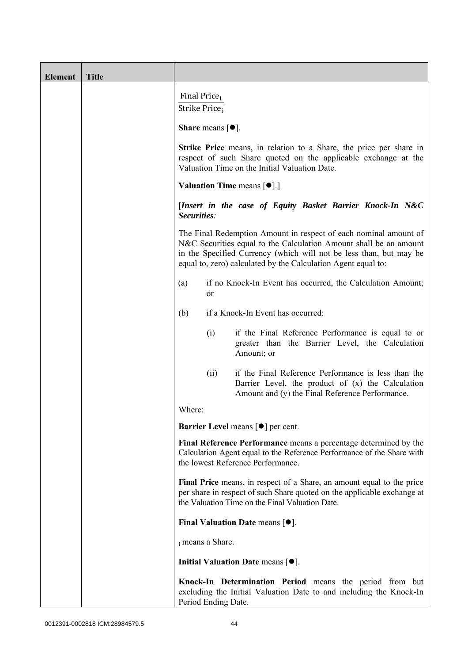| <b>Element</b> | <b>Title</b> |                                                                                                                                                                                                                                                                              |      |                                                                                                                                                                                                      |  |
|----------------|--------------|------------------------------------------------------------------------------------------------------------------------------------------------------------------------------------------------------------------------------------------------------------------------------|------|------------------------------------------------------------------------------------------------------------------------------------------------------------------------------------------------------|--|
|                |              | Final Price <sub>i</sub><br>Strike Price;                                                                                                                                                                                                                                    |      |                                                                                                                                                                                                      |  |
|                |              | <b>Share</b> means $\lceil \bullet \rceil$ .<br><b>Strike Price</b> means, in relation to a Share, the price per share in<br>respect of such Share quoted on the applicable exchange at the<br>Valuation Time on the Initial Valuation Date.                                 |      |                                                                                                                                                                                                      |  |
|                |              |                                                                                                                                                                                                                                                                              |      |                                                                                                                                                                                                      |  |
|                |              | <b>Valuation Time means <math>[\bullet]</math>.</b> ]                                                                                                                                                                                                                        |      |                                                                                                                                                                                                      |  |
|                |              | [Insert in the case of Equity Basket Barrier Knock-In N&C<br>Securities:                                                                                                                                                                                                     |      |                                                                                                                                                                                                      |  |
|                |              | The Final Redemption Amount in respect of each nominal amount of<br>N&C Securities equal to the Calculation Amount shall be an amount<br>in the Specified Currency (which will not be less than, but may be<br>equal to, zero) calculated by the Calculation Agent equal to: |      |                                                                                                                                                                                                      |  |
|                |              | if no Knock-In Event has occurred, the Calculation Amount;<br>(a)<br><sub>or</sub>                                                                                                                                                                                           |      |                                                                                                                                                                                                      |  |
|                |              | (b)                                                                                                                                                                                                                                                                          |      | if a Knock-In Event has occurred:                                                                                                                                                                    |  |
|                |              |                                                                                                                                                                                                                                                                              | (i)  | if the Final Reference Performance is equal to or<br>greater than the Barrier Level, the Calculation<br>Amount; or                                                                                   |  |
|                |              |                                                                                                                                                                                                                                                                              | (ii) | if the Final Reference Performance is less than the<br>Barrier Level, the product of (x) the Calculation<br>Amount and (y) the Final Reference Performance.                                          |  |
|                |              | Where:                                                                                                                                                                                                                                                                       |      |                                                                                                                                                                                                      |  |
|                |              |                                                                                                                                                                                                                                                                              |      | <b>Barrier Level</b> means $\lceil \bullet \rceil$ per cent.                                                                                                                                         |  |
|                |              |                                                                                                                                                                                                                                                                              |      | Final Reference Performance means a percentage determined by the<br>Calculation Agent equal to the Reference Performance of the Share with<br>the lowest Reference Performance.                      |  |
|                |              |                                                                                                                                                                                                                                                                              |      | Final Price means, in respect of a Share, an amount equal to the price<br>per share in respect of such Share quoted on the applicable exchange at<br>the Valuation Time on the Final Valuation Date. |  |
|                |              |                                                                                                                                                                                                                                                                              |      | Final Valuation Date means $[•]$ .                                                                                                                                                                   |  |
|                |              | i means a Share.                                                                                                                                                                                                                                                             |      |                                                                                                                                                                                                      |  |
|                |              |                                                                                                                                                                                                                                                                              |      | Initial Valuation Date means $[•]$ .                                                                                                                                                                 |  |
|                |              | Period Ending Date.                                                                                                                                                                                                                                                          |      | Knock-In Determination Period means the period from but<br>excluding the Initial Valuation Date to and including the Knock-In                                                                        |  |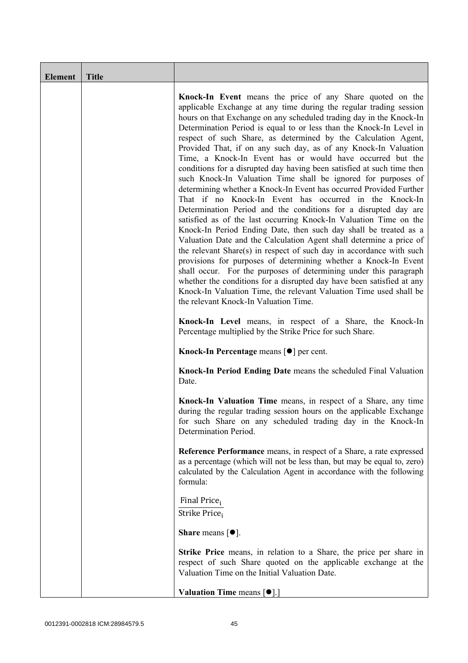| Element | <b>Title</b> |                                                                                                                                                                                                                                                                                                                                                                                                                                                                                                                                                                                                                                                                                                                                                                                                                                                                                                                                                                                                                                                                                                                                                                                                                                                                                                                                                                                                                                                       |
|---------|--------------|-------------------------------------------------------------------------------------------------------------------------------------------------------------------------------------------------------------------------------------------------------------------------------------------------------------------------------------------------------------------------------------------------------------------------------------------------------------------------------------------------------------------------------------------------------------------------------------------------------------------------------------------------------------------------------------------------------------------------------------------------------------------------------------------------------------------------------------------------------------------------------------------------------------------------------------------------------------------------------------------------------------------------------------------------------------------------------------------------------------------------------------------------------------------------------------------------------------------------------------------------------------------------------------------------------------------------------------------------------------------------------------------------------------------------------------------------------|
|         |              | Knock-In Event means the price of any Share quoted on the<br>applicable Exchange at any time during the regular trading session<br>hours on that Exchange on any scheduled trading day in the Knock-In<br>Determination Period is equal to or less than the Knock-In Level in<br>respect of such Share, as determined by the Calculation Agent,<br>Provided That, if on any such day, as of any Knock-In Valuation<br>Time, a Knock-In Event has or would have occurred but the<br>conditions for a disrupted day having been satisfied at such time then<br>such Knock-In Valuation Time shall be ignored for purposes of<br>determining whether a Knock-In Event has occurred Provided Further<br>That if no Knock-In Event has occurred in the Knock-In<br>Determination Period and the conditions for a disrupted day are<br>satisfied as of the last occurring Knock-In Valuation Time on the<br>Knock-In Period Ending Date, then such day shall be treated as a<br>Valuation Date and the Calculation Agent shall determine a price of<br>the relevant Share(s) in respect of such day in accordance with such<br>provisions for purposes of determining whether a Knock-In Event<br>shall occur. For the purposes of determining under this paragraph<br>whether the conditions for a disrupted day have been satisfied at any<br>Knock-In Valuation Time, the relevant Valuation Time used shall be<br>the relevant Knock-In Valuation Time. |
|         |              | Knock-In Level means, in respect of a Share, the Knock-In<br>Percentage multiplied by the Strike Price for such Share.                                                                                                                                                                                                                                                                                                                                                                                                                                                                                                                                                                                                                                                                                                                                                                                                                                                                                                                                                                                                                                                                                                                                                                                                                                                                                                                                |
|         |              | Knock-In Percentage means [●] per cent.                                                                                                                                                                                                                                                                                                                                                                                                                                                                                                                                                                                                                                                                                                                                                                                                                                                                                                                                                                                                                                                                                                                                                                                                                                                                                                                                                                                                               |
|         |              | Knock-In Period Ending Date means the scheduled Final Valuation<br>Date.                                                                                                                                                                                                                                                                                                                                                                                                                                                                                                                                                                                                                                                                                                                                                                                                                                                                                                                                                                                                                                                                                                                                                                                                                                                                                                                                                                              |
|         |              | Knock-In Valuation Time means, in respect of a Share, any time<br>during the regular trading session hours on the applicable Exchange<br>for such Share on any scheduled trading day in the Knock-In<br>Determination Period.                                                                                                                                                                                                                                                                                                                                                                                                                                                                                                                                                                                                                                                                                                                                                                                                                                                                                                                                                                                                                                                                                                                                                                                                                         |
|         |              | Reference Performance means, in respect of a Share, a rate expressed<br>as a percentage (which will not be less than, but may be equal to, zero)<br>calculated by the Calculation Agent in accordance with the following<br>formula:                                                                                                                                                                                                                                                                                                                                                                                                                                                                                                                                                                                                                                                                                                                                                                                                                                                                                                                                                                                                                                                                                                                                                                                                                  |
|         |              | Final Price <sub>i</sub><br>Strike Price <sub>i</sub>                                                                                                                                                                                                                                                                                                                                                                                                                                                                                                                                                                                                                                                                                                                                                                                                                                                                                                                                                                                                                                                                                                                                                                                                                                                                                                                                                                                                 |
|         |              | <b>Share</b> means $\lceil \bullet \rceil$ .                                                                                                                                                                                                                                                                                                                                                                                                                                                                                                                                                                                                                                                                                                                                                                                                                                                                                                                                                                                                                                                                                                                                                                                                                                                                                                                                                                                                          |
|         |              | <b>Strike Price</b> means, in relation to a Share, the price per share in<br>respect of such Share quoted on the applicable exchange at the<br>Valuation Time on the Initial Valuation Date.                                                                                                                                                                                                                                                                                                                                                                                                                                                                                                                                                                                                                                                                                                                                                                                                                                                                                                                                                                                                                                                                                                                                                                                                                                                          |
|         |              | Valuation Time means [ $\bullet$ ].]                                                                                                                                                                                                                                                                                                                                                                                                                                                                                                                                                                                                                                                                                                                                                                                                                                                                                                                                                                                                                                                                                                                                                                                                                                                                                                                                                                                                                  |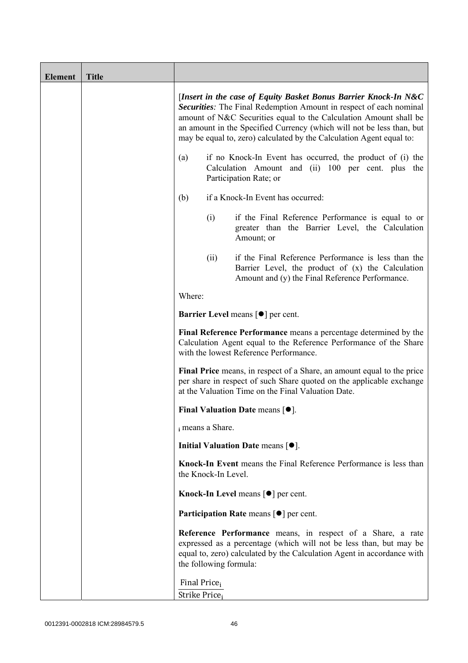| <b>Element</b> | <b>Title</b> |                                                                                                                                                                                                                                                                                                                                                             |                        |                                                                                                                                                                                                            |  |
|----------------|--------------|-------------------------------------------------------------------------------------------------------------------------------------------------------------------------------------------------------------------------------------------------------------------------------------------------------------------------------------------------------------|------------------------|------------------------------------------------------------------------------------------------------------------------------------------------------------------------------------------------------------|--|
|                |              | [Insert in the case of Equity Basket Bonus Barrier Knock-In N&C<br>Securities: The Final Redemption Amount in respect of each nominal<br>amount of N&C Securities equal to the Calculation Amount shall be<br>an amount in the Specified Currency (which will not be less than, but<br>may be equal to, zero) calculated by the Calculation Agent equal to: |                        |                                                                                                                                                                                                            |  |
|                |              | if no Knock-In Event has occurred, the product of (i) the<br>(a)<br>Calculation Amount and (ii) 100 per cent. plus the<br>Participation Rate; or                                                                                                                                                                                                            |                        |                                                                                                                                                                                                            |  |
|                |              | if a Knock-In Event has occurred:<br>(b)                                                                                                                                                                                                                                                                                                                    |                        |                                                                                                                                                                                                            |  |
|                |              |                                                                                                                                                                                                                                                                                                                                                             | (i)                    | if the Final Reference Performance is equal to or<br>greater than the Barrier Level, the Calculation<br>Amount; or                                                                                         |  |
|                |              |                                                                                                                                                                                                                                                                                                                                                             | (ii)                   | if the Final Reference Performance is less than the<br>Barrier Level, the product of (x) the Calculation<br>Amount and (y) the Final Reference Performance.                                                |  |
|                |              | Where:                                                                                                                                                                                                                                                                                                                                                      |                        |                                                                                                                                                                                                            |  |
|                |              | <b>Barrier Level</b> means $\lceil \bullet \rceil$ per cent.                                                                                                                                                                                                                                                                                                |                        |                                                                                                                                                                                                            |  |
|                |              | Final Reference Performance means a percentage determined by the<br>Calculation Agent equal to the Reference Performance of the Share<br>with the lowest Reference Performance.                                                                                                                                                                             |                        |                                                                                                                                                                                                            |  |
|                |              | Final Price means, in respect of a Share, an amount equal to the price<br>per share in respect of such Share quoted on the applicable exchange<br>at the Valuation Time on the Final Valuation Date.                                                                                                                                                        |                        |                                                                                                                                                                                                            |  |
|                |              | Final Valuation Date means $[•]$ .                                                                                                                                                                                                                                                                                                                          |                        |                                                                                                                                                                                                            |  |
|                |              | i means a Share.                                                                                                                                                                                                                                                                                                                                            |                        |                                                                                                                                                                                                            |  |
|                |              |                                                                                                                                                                                                                                                                                                                                                             |                        | Initial Valuation Date means $[•]$ .                                                                                                                                                                       |  |
|                |              |                                                                                                                                                                                                                                                                                                                                                             | the Knock-In Level.    | Knock-In Event means the Final Reference Performance is less than                                                                                                                                          |  |
|                |              |                                                                                                                                                                                                                                                                                                                                                             |                        | Knock-In Level means $\lceil \bullet \rceil$ per cent.                                                                                                                                                     |  |
|                |              |                                                                                                                                                                                                                                                                                                                                                             |                        | Participation Rate means [ $\bullet$ ] per cent.                                                                                                                                                           |  |
|                |              |                                                                                                                                                                                                                                                                                                                                                             | the following formula: | Reference Performance means, in respect of a Share, a rate<br>expressed as a percentage (which will not be less than, but may be<br>equal to, zero) calculated by the Calculation Agent in accordance with |  |
|                |              | Final Price <sub>i</sub><br>Strike Price;                                                                                                                                                                                                                                                                                                                   |                        |                                                                                                                                                                                                            |  |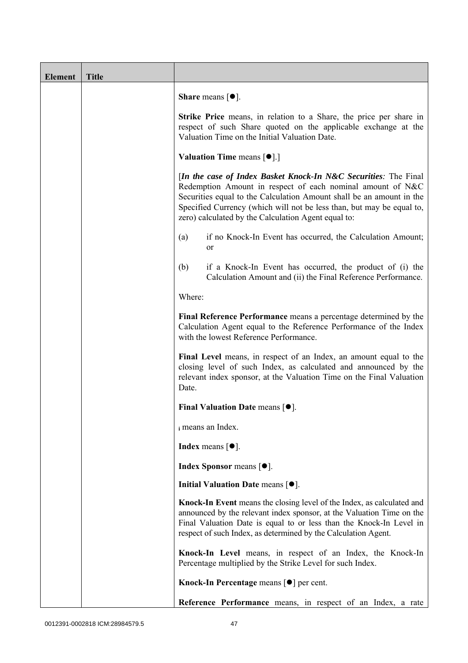| <b>Element</b> | <b>Title</b> |                                                                                                                                                                                                                                                                                                                                       |
|----------------|--------------|---------------------------------------------------------------------------------------------------------------------------------------------------------------------------------------------------------------------------------------------------------------------------------------------------------------------------------------|
|                |              | <b>Share</b> means $[•]$ .                                                                                                                                                                                                                                                                                                            |
|                |              | Strike Price means, in relation to a Share, the price per share in<br>respect of such Share quoted on the applicable exchange at the<br>Valuation Time on the Initial Valuation Date.                                                                                                                                                 |
|                |              | <b>Valuation Time means <math>\lceil \bullet \rceil</math>.</b>                                                                                                                                                                                                                                                                       |
|                |              | [In the case of Index Basket Knock-In N&C Securities: The Final<br>Redemption Amount in respect of each nominal amount of N&C<br>Securities equal to the Calculation Amount shall be an amount in the<br>Specified Currency (which will not be less than, but may be equal to,<br>zero) calculated by the Calculation Agent equal to: |
|                |              | if no Knock-In Event has occurred, the Calculation Amount;<br>(a)<br>or                                                                                                                                                                                                                                                               |
|                |              | (b)<br>if a Knock-In Event has occurred, the product of (i) the<br>Calculation Amount and (ii) the Final Reference Performance.                                                                                                                                                                                                       |
|                |              | Where:                                                                                                                                                                                                                                                                                                                                |
|                |              | Final Reference Performance means a percentage determined by the<br>Calculation Agent equal to the Reference Performance of the Index<br>with the lowest Reference Performance.                                                                                                                                                       |
|                |              | Final Level means, in respect of an Index, an amount equal to the<br>closing level of such Index, as calculated and announced by the<br>relevant index sponsor, at the Valuation Time on the Final Valuation<br>Date.                                                                                                                 |
|                |              | Final Valuation Date means $[•]$ .                                                                                                                                                                                                                                                                                                    |
|                |              | i means an Index.                                                                                                                                                                                                                                                                                                                     |
|                |              | <b>Index</b> means $\lceil \bullet \rceil$ .                                                                                                                                                                                                                                                                                          |
|                |              | <b>Index Sponsor</b> means $[•]$ .                                                                                                                                                                                                                                                                                                    |
|                |              | Initial Valuation Date means $[•]$ .                                                                                                                                                                                                                                                                                                  |
|                |              | Knock-In Event means the closing level of the Index, as calculated and<br>announced by the relevant index sponsor, at the Valuation Time on the<br>Final Valuation Date is equal to or less than the Knock-In Level in<br>respect of such Index, as determined by the Calculation Agent.                                              |
|                |              | Knock-In Level means, in respect of an Index, the Knock-In<br>Percentage multiplied by the Strike Level for such Index.                                                                                                                                                                                                               |
|                |              | Knock-In Percentage means [●] per cent.                                                                                                                                                                                                                                                                                               |
|                |              | Reference Performance means, in respect of an Index, a rate                                                                                                                                                                                                                                                                           |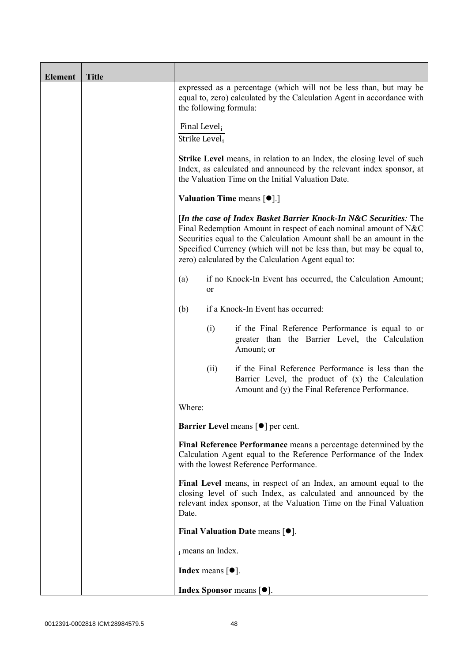| <b>Element</b> | <b>Title</b> |                                                                                                                                                                                                                                                                                                                                               |                            |                                                                                                                                                             |  |
|----------------|--------------|-----------------------------------------------------------------------------------------------------------------------------------------------------------------------------------------------------------------------------------------------------------------------------------------------------------------------------------------------|----------------------------|-------------------------------------------------------------------------------------------------------------------------------------------------------------|--|
|                |              | expressed as a percentage (which will not be less than, but may be<br>equal to, zero) calculated by the Calculation Agent in accordance with<br>the following formula:                                                                                                                                                                        |                            |                                                                                                                                                             |  |
|                |              | Final Level <sub>i</sub><br>Strike Level,                                                                                                                                                                                                                                                                                                     |                            |                                                                                                                                                             |  |
|                |              | <b>Strike Level</b> means, in relation to an Index, the closing level of such<br>Index, as calculated and announced by the relevant index sponsor, at<br>the Valuation Time on the Initial Valuation Date.                                                                                                                                    |                            |                                                                                                                                                             |  |
|                |              | <b>Valuation Time means <math>[\bullet]</math>.</b> ]                                                                                                                                                                                                                                                                                         |                            |                                                                                                                                                             |  |
|                |              | [In the case of Index Basket Barrier Knock-In N&C Securities: The<br>Final Redemption Amount in respect of each nominal amount of N&C<br>Securities equal to the Calculation Amount shall be an amount in the<br>Specified Currency (which will not be less than, but may be equal to,<br>zero) calculated by the Calculation Agent equal to: |                            |                                                                                                                                                             |  |
|                |              | if no Knock-In Event has occurred, the Calculation Amount;<br>(a)<br>or                                                                                                                                                                                                                                                                       |                            |                                                                                                                                                             |  |
|                |              | (b)                                                                                                                                                                                                                                                                                                                                           |                            | if a Knock-In Event has occurred:                                                                                                                           |  |
|                |              |                                                                                                                                                                                                                                                                                                                                               | (i)                        | if the Final Reference Performance is equal to or<br>greater than the Barrier Level, the Calculation<br>Amount; or                                          |  |
|                |              |                                                                                                                                                                                                                                                                                                                                               | (ii)                       | if the Final Reference Performance is less than the<br>Barrier Level, the product of (x) the Calculation<br>Amount and (y) the Final Reference Performance. |  |
|                |              | Where:                                                                                                                                                                                                                                                                                                                                        |                            |                                                                                                                                                             |  |
|                |              |                                                                                                                                                                                                                                                                                                                                               |                            | Barrier Level means [ $\bullet$ ] per cent.                                                                                                                 |  |
|                |              | Final Reference Performance means a percentage determined by the<br>Calculation Agent equal to the Reference Performance of the Index<br>with the lowest Reference Performance.                                                                                                                                                               |                            |                                                                                                                                                             |  |
|                |              | Final Level means, in respect of an Index, an amount equal to the<br>closing level of such Index, as calculated and announced by the<br>relevant index sponsor, at the Valuation Time on the Final Valuation<br>Date.                                                                                                                         |                            |                                                                                                                                                             |  |
|                |              |                                                                                                                                                                                                                                                                                                                                               |                            | Final Valuation Date means $[•]$ .                                                                                                                          |  |
|                |              |                                                                                                                                                                                                                                                                                                                                               | i means an Index.          |                                                                                                                                                             |  |
|                |              |                                                                                                                                                                                                                                                                                                                                               | <b>Index</b> means $[•]$ . |                                                                                                                                                             |  |
|                |              |                                                                                                                                                                                                                                                                                                                                               |                            | <b>Index Sponsor</b> means $[•]$ .                                                                                                                          |  |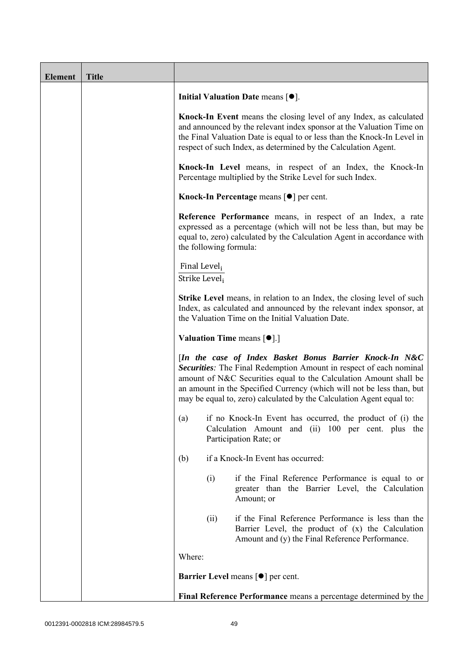| <b>Element</b> | <b>Title</b> |                                                       |                        |                                                                                                                                                                                                                                                                                                                                                            |
|----------------|--------------|-------------------------------------------------------|------------------------|------------------------------------------------------------------------------------------------------------------------------------------------------------------------------------------------------------------------------------------------------------------------------------------------------------------------------------------------------------|
|                |              |                                                       |                        | Initial Valuation Date means $[•]$ .                                                                                                                                                                                                                                                                                                                       |
|                |              |                                                       |                        | Knock-In Event means the closing level of any Index, as calculated<br>and announced by the relevant index sponsor at the Valuation Time on<br>the Final Valuation Date is equal to or less than the Knock-In Level in<br>respect of such Index, as determined by the Calculation Agent.                                                                    |
|                |              |                                                       |                        | Knock-In Level means, in respect of an Index, the Knock-In<br>Percentage multiplied by the Strike Level for such Index.                                                                                                                                                                                                                                    |
|                |              |                                                       |                        | Knock-In Percentage means [●] per cent.                                                                                                                                                                                                                                                                                                                    |
|                |              |                                                       | the following formula: | Reference Performance means, in respect of an Index, a rate<br>expressed as a percentage (which will not be less than, but may be<br>equal to, zero) calculated by the Calculation Agent in accordance with                                                                                                                                                |
|                |              | Final Level <sub>i</sub><br>Strike Level <sub>i</sub> |                        |                                                                                                                                                                                                                                                                                                                                                            |
|                |              |                                                       |                        | <b>Strike Level</b> means, in relation to an Index, the closing level of such<br>Index, as calculated and announced by the relevant index sponsor, at<br>the Valuation Time on the Initial Valuation Date.                                                                                                                                                 |
|                |              |                                                       |                        | <b>Valuation Time means <math>\lceil \bullet \rceil</math>.</b>                                                                                                                                                                                                                                                                                            |
|                |              |                                                       |                        | [In the case of Index Basket Bonus Barrier Knock-In N&C<br><b>Securities:</b> The Final Redemption Amount in respect of each nominal<br>amount of N&C Securities equal to the Calculation Amount shall be<br>an amount in the Specified Currency (which will not be less than, but<br>may be equal to, zero) calculated by the Calculation Agent equal to: |
|                |              | (a)                                                   |                        | if no Knock-In Event has occurred, the product of (i) the<br>Calculation Amount and (ii) 100 per cent. plus the<br>Participation Rate; or                                                                                                                                                                                                                  |
|                |              | (b)                                                   |                        | if a Knock-In Event has occurred:                                                                                                                                                                                                                                                                                                                          |
|                |              |                                                       | (i)                    | if the Final Reference Performance is equal to or<br>greater than the Barrier Level, the Calculation<br>Amount; or                                                                                                                                                                                                                                         |
|                |              |                                                       | (ii)                   | if the Final Reference Performance is less than the<br>Barrier Level, the product of (x) the Calculation<br>Amount and (y) the Final Reference Performance.                                                                                                                                                                                                |
|                |              | Where:                                                |                        |                                                                                                                                                                                                                                                                                                                                                            |
|                |              |                                                       |                        | <b>Barrier Level means [<math>\bullet</math>] per cent.</b>                                                                                                                                                                                                                                                                                                |
|                |              |                                                       |                        | Final Reference Performance means a percentage determined by the                                                                                                                                                                                                                                                                                           |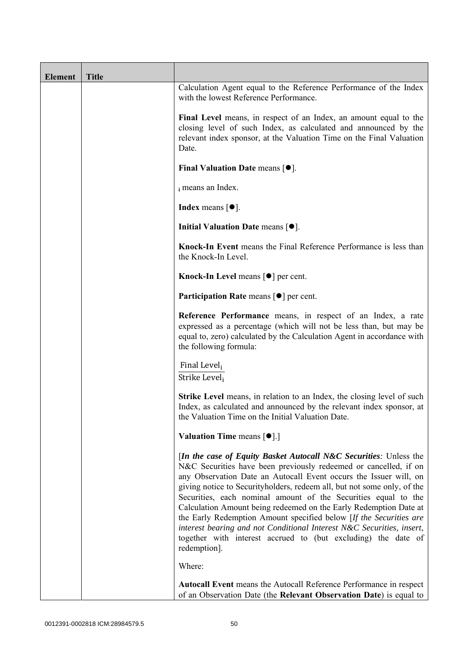| <b>Element</b> | <b>Title</b> |                                                                                                                                                                                                                                                                                                                                                                                                                                                                                                                                                                                                                                                                        |
|----------------|--------------|------------------------------------------------------------------------------------------------------------------------------------------------------------------------------------------------------------------------------------------------------------------------------------------------------------------------------------------------------------------------------------------------------------------------------------------------------------------------------------------------------------------------------------------------------------------------------------------------------------------------------------------------------------------------|
|                |              | Calculation Agent equal to the Reference Performance of the Index<br>with the lowest Reference Performance.                                                                                                                                                                                                                                                                                                                                                                                                                                                                                                                                                            |
|                |              | Final Level means, in respect of an Index, an amount equal to the<br>closing level of such Index, as calculated and announced by the<br>relevant index sponsor, at the Valuation Time on the Final Valuation<br>Date.                                                                                                                                                                                                                                                                                                                                                                                                                                                  |
|                |              | Final Valuation Date means $[•]$ .                                                                                                                                                                                                                                                                                                                                                                                                                                                                                                                                                                                                                                     |
|                |              | i means an Index.                                                                                                                                                                                                                                                                                                                                                                                                                                                                                                                                                                                                                                                      |
|                |              | <b>Index</b> means $[•]$ .                                                                                                                                                                                                                                                                                                                                                                                                                                                                                                                                                                                                                                             |
|                |              | Initial Valuation Date means [ $\bullet$ ].                                                                                                                                                                                                                                                                                                                                                                                                                                                                                                                                                                                                                            |
|                |              | Knock-In Event means the Final Reference Performance is less than<br>the Knock-In Level.                                                                                                                                                                                                                                                                                                                                                                                                                                                                                                                                                                               |
|                |              | Knock-In Level means $\lceil \bullet \rceil$ per cent.                                                                                                                                                                                                                                                                                                                                                                                                                                                                                                                                                                                                                 |
|                |              | <b>Participation Rate</b> means $\lceil \bullet \rceil$ per cent.                                                                                                                                                                                                                                                                                                                                                                                                                                                                                                                                                                                                      |
|                |              | Reference Performance means, in respect of an Index, a rate<br>expressed as a percentage (which will not be less than, but may be<br>equal to, zero) calculated by the Calculation Agent in accordance with<br>the following formula:                                                                                                                                                                                                                                                                                                                                                                                                                                  |
|                |              | Final Level,<br>Strike Level;                                                                                                                                                                                                                                                                                                                                                                                                                                                                                                                                                                                                                                          |
|                |              | <b>Strike Level</b> means, in relation to an Index, the closing level of such<br>Index, as calculated and announced by the relevant index sponsor, at<br>the Valuation Time on the Initial Valuation Date.                                                                                                                                                                                                                                                                                                                                                                                                                                                             |
|                |              | <b>Valuation Time means <math>\lceil \bullet \rceil</math>.</b>                                                                                                                                                                                                                                                                                                                                                                                                                                                                                                                                                                                                        |
|                |              | <i>In the case of Equity Basket Autocall N&amp;C Securities: Unless the</i><br>N&C Securities have been previously redeemed or cancelled, if on<br>any Observation Date an Autocall Event occurs the Issuer will, on<br>giving notice to Securityholders, redeem all, but not some only, of the<br>Securities, each nominal amount of the Securities equal to the<br>Calculation Amount being redeemed on the Early Redemption Date at<br>the Early Redemption Amount specified below [If the Securities are<br>interest bearing and not Conditional Interest N&C Securities, insert,<br>together with interest accrued to (but excluding) the date of<br>redemption]. |
|                |              | Where:                                                                                                                                                                                                                                                                                                                                                                                                                                                                                                                                                                                                                                                                 |
|                |              | Autocall Event means the Autocall Reference Performance in respect<br>of an Observation Date (the Relevant Observation Date) is equal to                                                                                                                                                                                                                                                                                                                                                                                                                                                                                                                               |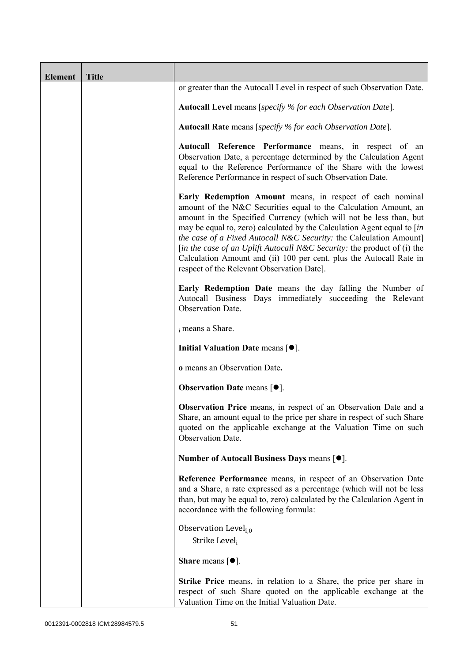| <b>Element</b> | <b>Title</b> |                                                                                                                                                                                                                                                                                                                                                                                                                                                                                                                                                      |
|----------------|--------------|------------------------------------------------------------------------------------------------------------------------------------------------------------------------------------------------------------------------------------------------------------------------------------------------------------------------------------------------------------------------------------------------------------------------------------------------------------------------------------------------------------------------------------------------------|
|                |              | or greater than the Autocall Level in respect of such Observation Date.                                                                                                                                                                                                                                                                                                                                                                                                                                                                              |
|                |              | <b>Autocall Level</b> means [specify % for each Observation Date].                                                                                                                                                                                                                                                                                                                                                                                                                                                                                   |
|                |              | Autocall Rate means [specify % for each Observation Date].                                                                                                                                                                                                                                                                                                                                                                                                                                                                                           |
|                |              | Autocall Reference Performance means, in respect of an<br>Observation Date, a percentage determined by the Calculation Agent<br>equal to the Reference Performance of the Share with the lowest<br>Reference Performance in respect of such Observation Date.                                                                                                                                                                                                                                                                                        |
|                |              | Early Redemption Amount means, in respect of each nominal<br>amount of the N&C Securities equal to the Calculation Amount, an<br>amount in the Specified Currency (which will not be less than, but<br>may be equal to, zero) calculated by the Calculation Agent equal to [in<br>the case of a Fixed Autocall N&C Security: the Calculation Amount]<br>[in the case of an Uplift Autocall N&C Security: the product of (i) the<br>Calculation Amount and (ii) 100 per cent. plus the Autocall Rate in<br>respect of the Relevant Observation Date]. |
|                |              | Early Redemption Date means the day falling the Number of<br>Autocall Business Days immediately succeeding the Relevant<br>Observation Date.                                                                                                                                                                                                                                                                                                                                                                                                         |
|                |              | i means a Share.                                                                                                                                                                                                                                                                                                                                                                                                                                                                                                                                     |
|                |              | Initial Valuation Date means $[•]$ .                                                                                                                                                                                                                                                                                                                                                                                                                                                                                                                 |
|                |              | o means an Observation Date.                                                                                                                                                                                                                                                                                                                                                                                                                                                                                                                         |
|                |              | <b>Observation Date means <math>\lceil \bullet \rceil</math>.</b>                                                                                                                                                                                                                                                                                                                                                                                                                                                                                    |
|                |              | Observation Price means, in respect of an Observation Date and a<br>Share, an amount equal to the price per share in respect of such Share<br>quoted on the applicable exchange at the Valuation Time on such<br>Observation Date.                                                                                                                                                                                                                                                                                                                   |
|                |              | Number of Autocall Business Days means [●].                                                                                                                                                                                                                                                                                                                                                                                                                                                                                                          |
|                |              | Reference Performance means, in respect of an Observation Date<br>and a Share, a rate expressed as a percentage (which will not be less<br>than, but may be equal to, zero) calculated by the Calculation Agent in<br>accordance with the following formula:                                                                                                                                                                                                                                                                                         |
|                |              | Observation Level <sub>i,0</sub><br>Strike Level,                                                                                                                                                                                                                                                                                                                                                                                                                                                                                                    |
|                |              | <b>Share</b> means $\lceil \bullet \rceil$ .                                                                                                                                                                                                                                                                                                                                                                                                                                                                                                         |
|                |              | <b>Strike Price</b> means, in relation to a Share, the price per share in<br>respect of such Share quoted on the applicable exchange at the<br>Valuation Time on the Initial Valuation Date.                                                                                                                                                                                                                                                                                                                                                         |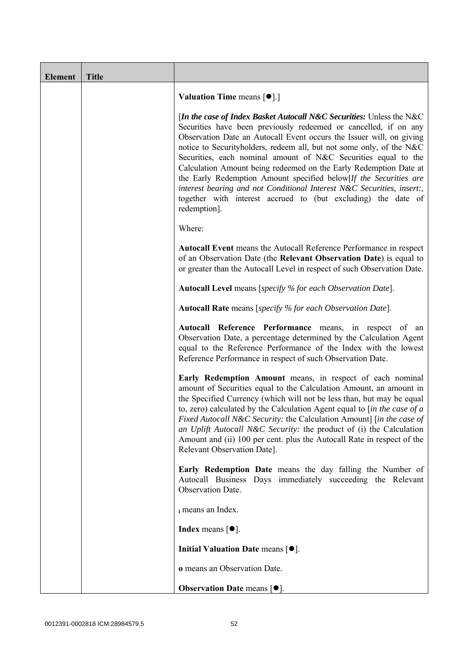| <b>Element</b> | <b>Title</b> |                                                                                                                                                                                                                                                                                                                                                                                                                                                                                                                                                                                                                                                                 |
|----------------|--------------|-----------------------------------------------------------------------------------------------------------------------------------------------------------------------------------------------------------------------------------------------------------------------------------------------------------------------------------------------------------------------------------------------------------------------------------------------------------------------------------------------------------------------------------------------------------------------------------------------------------------------------------------------------------------|
|                |              | <b>Valuation Time means <math>\lceil \bullet \rceil</math>.</b>                                                                                                                                                                                                                                                                                                                                                                                                                                                                                                                                                                                                 |
|                |              | [In the case of Index Basket Autocall N&C Securities: Unless the N&C<br>Securities have been previously redeemed or cancelled, if on any<br>Observation Date an Autocall Event occurs the Issuer will, on giving<br>notice to Securityholders, redeem all, but not some only, of the N&C<br>Securities, each nominal amount of N&C Securities equal to the<br>Calculation Amount being redeemed on the Early Redemption Date at<br>the Early Redemption Amount specified below[If the Securities are<br>interest bearing and not Conditional Interest N&C Securities, insert:,<br>together with interest accrued to (but excluding) the date of<br>redemption]. |
|                |              | Where:                                                                                                                                                                                                                                                                                                                                                                                                                                                                                                                                                                                                                                                          |
|                |              | <b>Autocall Event</b> means the Autocall Reference Performance in respect<br>of an Observation Date (the Relevant Observation Date) is equal to<br>or greater than the Autocall Level in respect of such Observation Date.                                                                                                                                                                                                                                                                                                                                                                                                                                      |
|                |              | Autocall Level means [specify % for each Observation Date].                                                                                                                                                                                                                                                                                                                                                                                                                                                                                                                                                                                                     |
|                |              | Autocall Rate means [specify % for each Observation Date].                                                                                                                                                                                                                                                                                                                                                                                                                                                                                                                                                                                                      |
|                |              | Autocall Reference Performance means, in respect of an<br>Observation Date, a percentage determined by the Calculation Agent<br>equal to the Reference Performance of the Index with the lowest<br>Reference Performance in respect of such Observation Date.                                                                                                                                                                                                                                                                                                                                                                                                   |
|                |              | Early Redemption Amount means, in respect of each nominal<br>amount of Securities equal to the Calculation Amount, an amount in<br>the Specified Currency (which will not be less than, but may be equal<br>to, zero) calculated by the Calculation Agent equal to $\int$ <i>in the case of a</i><br>Fixed Autocall N&C Security: the Calculation Amount] [in the case of<br>an Uplift Autocall N&C Security: the product of (i) the Calculation<br>Amount and (ii) 100 per cent. plus the Autocall Rate in respect of the<br>Relevant Observation Date].                                                                                                       |
|                |              | Early Redemption Date means the day falling the Number of<br>Autocall Business Days immediately succeeding the Relevant<br>Observation Date.                                                                                                                                                                                                                                                                                                                                                                                                                                                                                                                    |
|                |              | i means an Index.                                                                                                                                                                                                                                                                                                                                                                                                                                                                                                                                                                                                                                               |
|                |              | <b>Index</b> means $\lceil \bullet \rceil$ .                                                                                                                                                                                                                                                                                                                                                                                                                                                                                                                                                                                                                    |
|                |              | Initial Valuation Date means $[•]$ .                                                                                                                                                                                                                                                                                                                                                                                                                                                                                                                                                                                                                            |
|                |              | o means an Observation Date.                                                                                                                                                                                                                                                                                                                                                                                                                                                                                                                                                                                                                                    |
|                |              | <b>Observation Date means <math>\lceil \bullet \rceil</math>.</b>                                                                                                                                                                                                                                                                                                                                                                                                                                                                                                                                                                                               |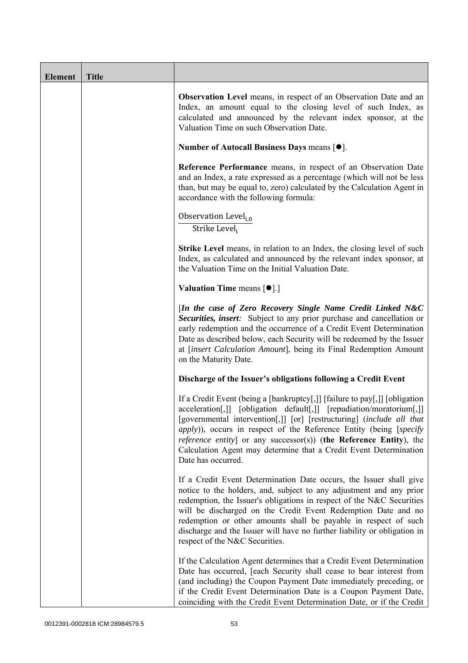| <b>Element</b> | <b>Title</b> |                                                                                                                                                                                                                                                                                                                                                                                                                                                                                            |
|----------------|--------------|--------------------------------------------------------------------------------------------------------------------------------------------------------------------------------------------------------------------------------------------------------------------------------------------------------------------------------------------------------------------------------------------------------------------------------------------------------------------------------------------|
|                |              | <b>Observation Level</b> means, in respect of an Observation Date and an<br>Index, an amount equal to the closing level of such Index, as<br>calculated and announced by the relevant index sponsor, at the<br>Valuation Time on such Observation Date.                                                                                                                                                                                                                                    |
|                |              | Number of Autocall Business Days means [●].                                                                                                                                                                                                                                                                                                                                                                                                                                                |
|                |              | Reference Performance means, in respect of an Observation Date<br>and an Index, a rate expressed as a percentage (which will not be less<br>than, but may be equal to, zero) calculated by the Calculation Agent in<br>accordance with the following formula:                                                                                                                                                                                                                              |
|                |              | Observation Level <sub>i.0</sub><br>Strike Level <sub>i</sub>                                                                                                                                                                                                                                                                                                                                                                                                                              |
|                |              | <b>Strike Level</b> means, in relation to an Index, the closing level of such<br>Index, as calculated and announced by the relevant index sponsor, at<br>the Valuation Time on the Initial Valuation Date.                                                                                                                                                                                                                                                                                 |
|                |              | <b>Valuation Time means <math>\lceil \bullet \rceil</math>.</b>                                                                                                                                                                                                                                                                                                                                                                                                                            |
|                |              | [In the case of Zero Recovery Single Name Credit Linked N&C<br>Securities, insert: Subject to any prior purchase and cancellation or<br>early redemption and the occurrence of a Credit Event Determination<br>Date as described below, each Security will be redeemed by the Issuer<br>at [insert Calculation Amount], being its Final Redemption Amount<br>on the Maturity Date.                                                                                                         |
|                |              | Discharge of the Issuer's obligations following a Credit Event                                                                                                                                                                                                                                                                                                                                                                                                                             |
|                |              | If a Credit Event (being a [bankruptcy[,]] [failure to pay[,]] [obligation<br>acceleration[,]] [obligation default[,]] [repudiation/moratorium[,]]<br>[governmental intervention[,]] [or] [restructuring] (include all that<br><i>apply</i> )), occurs in respect of the Reference Entity (being [ <i>specify</i><br><i>reference entity</i> ] or any successor(s)) (the Reference Entity), the<br>Calculation Agent may determine that a Credit Event Determination<br>Date has occurred. |
|                |              | If a Credit Event Determination Date occurs, the Issuer shall give<br>notice to the holders, and, subject to any adjustment and any prior<br>redemption, the Issuer's obligations in respect of the N&C Securities<br>will be discharged on the Credit Event Redemption Date and no<br>redemption or other amounts shall be payable in respect of such<br>discharge and the Issuer will have no further liability or obligation in<br>respect of the N&C Securities.                       |
|                |              | If the Calculation Agent determines that a Credit Event Determination<br>Date has occurred, [each Security shall cease to bear interest from<br>(and including) the Coupon Payment Date immediately preceding, or<br>if the Credit Event Determination Date is a Coupon Payment Date,<br>coinciding with the Credit Event Determination Date, or if the Credit                                                                                                                             |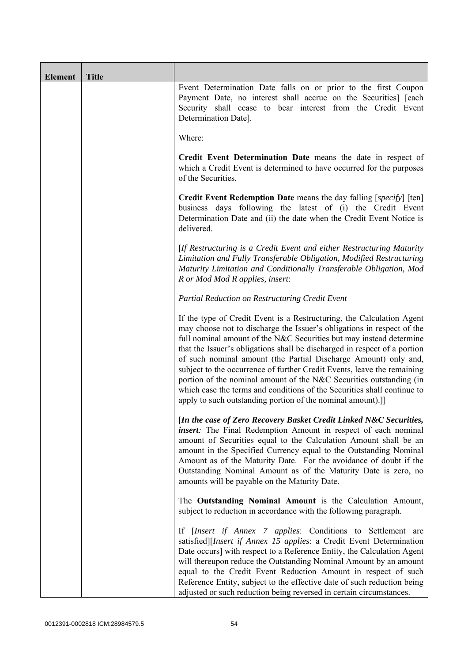| <b>Element</b> | <b>Title</b> |                                                                                                                                                                                                                                                                                                                                                                                                                                                                                                                                                                                                                                                                   |
|----------------|--------------|-------------------------------------------------------------------------------------------------------------------------------------------------------------------------------------------------------------------------------------------------------------------------------------------------------------------------------------------------------------------------------------------------------------------------------------------------------------------------------------------------------------------------------------------------------------------------------------------------------------------------------------------------------------------|
|                |              | Event Determination Date falls on or prior to the first Coupon<br>Payment Date, no interest shall accrue on the Securities] [each<br>Security shall cease to bear interest from the Credit Event<br>Determination Date].                                                                                                                                                                                                                                                                                                                                                                                                                                          |
|                |              | Where:                                                                                                                                                                                                                                                                                                                                                                                                                                                                                                                                                                                                                                                            |
|                |              | Credit Event Determination Date means the date in respect of<br>which a Credit Event is determined to have occurred for the purposes<br>of the Securities.                                                                                                                                                                                                                                                                                                                                                                                                                                                                                                        |
|                |              | Credit Event Redemption Date means the day falling [specify] [ten]<br>business days following the latest of (i) the Credit Event<br>Determination Date and (ii) the date when the Credit Event Notice is<br>delivered.                                                                                                                                                                                                                                                                                                                                                                                                                                            |
|                |              | [If Restructuring is a Credit Event and either Restructuring Maturity<br>Limitation and Fully Transferable Obligation, Modified Restructuring<br>Maturity Limitation and Conditionally Transferable Obligation, Mod<br>R or Mod Mod R applies, insert:                                                                                                                                                                                                                                                                                                                                                                                                            |
|                |              | Partial Reduction on Restructuring Credit Event                                                                                                                                                                                                                                                                                                                                                                                                                                                                                                                                                                                                                   |
|                |              | If the type of Credit Event is a Restructuring, the Calculation Agent<br>may choose not to discharge the Issuer's obligations in respect of the<br>full nominal amount of the N&C Securities but may instead determine<br>that the Issuer's obligations shall be discharged in respect of a portion<br>of such nominal amount (the Partial Discharge Amount) only and,<br>subject to the occurrence of further Credit Events, leave the remaining<br>portion of the nominal amount of the N&C Securities outstanding (in<br>which case the terms and conditions of the Securities shall continue to<br>apply to such outstanding portion of the nominal amount).] |
|                |              | [In the case of Zero Recovery Basket Credit Linked N&C Securities,<br><i>insert</i> : The Final Redemption Amount in respect of each nominal<br>amount of Securities equal to the Calculation Amount shall be an<br>amount in the Specified Currency equal to the Outstanding Nominal<br>Amount as of the Maturity Date. For the avoidance of doubt if the<br>Outstanding Nominal Amount as of the Maturity Date is zero, no<br>amounts will be payable on the Maturity Date.                                                                                                                                                                                     |
|                |              | The Outstanding Nominal Amount is the Calculation Amount,<br>subject to reduction in accordance with the following paragraph.                                                                                                                                                                                                                                                                                                                                                                                                                                                                                                                                     |
|                |              | If [Insert if Annex 7 applies: Conditions to Settlement are<br>satisfied][Insert if Annex 15 applies: a Credit Event Determination<br>Date occurs] with respect to a Reference Entity, the Calculation Agent<br>will thereupon reduce the Outstanding Nominal Amount by an amount<br>equal to the Credit Event Reduction Amount in respect of such<br>Reference Entity, subject to the effective date of such reduction being<br>adjusted or such reduction being reversed in certain circumstances.                                                                                                                                                              |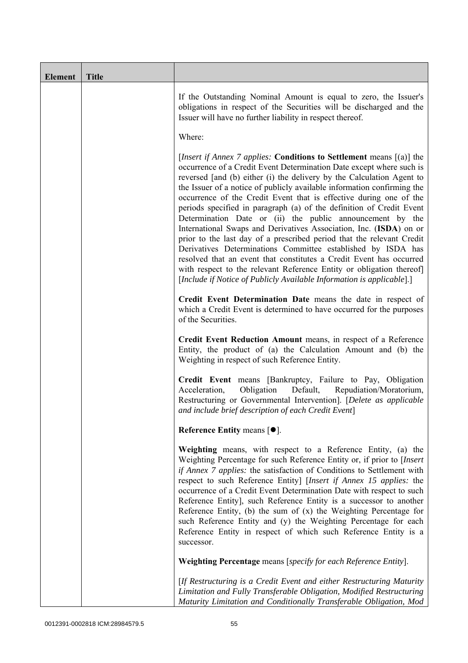| <b>Element</b> | <b>Title</b> |                                                                                                                                                                                                                                                                                                                                                                                                                                                                                                                                                                                                                                                                                                                                                                                                                                                                                                                                                           |
|----------------|--------------|-----------------------------------------------------------------------------------------------------------------------------------------------------------------------------------------------------------------------------------------------------------------------------------------------------------------------------------------------------------------------------------------------------------------------------------------------------------------------------------------------------------------------------------------------------------------------------------------------------------------------------------------------------------------------------------------------------------------------------------------------------------------------------------------------------------------------------------------------------------------------------------------------------------------------------------------------------------|
|                |              | If the Outstanding Nominal Amount is equal to zero, the Issuer's<br>obligations in respect of the Securities will be discharged and the<br>Issuer will have no further liability in respect thereof.                                                                                                                                                                                                                                                                                                                                                                                                                                                                                                                                                                                                                                                                                                                                                      |
|                |              | Where:                                                                                                                                                                                                                                                                                                                                                                                                                                                                                                                                                                                                                                                                                                                                                                                                                                                                                                                                                    |
|                |              | <i>[Insert if Annex 7 applies: Conditions to Settlement means [(a)] the</i><br>occurrence of a Credit Event Determination Date except where such is<br>reversed [and (b) either (i) the delivery by the Calculation Agent to<br>the Issuer of a notice of publicly available information confirming the<br>occurrence of the Credit Event that is effective during one of the<br>periods specified in paragraph (a) of the definition of Credit Event<br>Determination Date or (ii) the public announcement by the<br>International Swaps and Derivatives Association, Inc. (ISDA) on or<br>prior to the last day of a prescribed period that the relevant Credit<br>Derivatives Determinations Committee established by ISDA has<br>resolved that an event that constitutes a Credit Event has occurred<br>with respect to the relevant Reference Entity or obligation thereof]<br>[Include if Notice of Publicly Available Information is applicable].] |
|                |              | Credit Event Determination Date means the date in respect of<br>which a Credit Event is determined to have occurred for the purposes<br>of the Securities.                                                                                                                                                                                                                                                                                                                                                                                                                                                                                                                                                                                                                                                                                                                                                                                                |
|                |              | Credit Event Reduction Amount means, in respect of a Reference<br>Entity, the product of (a) the Calculation Amount and (b) the<br>Weighting in respect of such Reference Entity.                                                                                                                                                                                                                                                                                                                                                                                                                                                                                                                                                                                                                                                                                                                                                                         |
|                |              | Credit Event means [Bankruptcy, Failure to Pay, Obligation<br>Acceleration,<br>Obligation<br>Default,<br>Repudiation/Moratorium,<br>Restructuring or Governmental Intervention]. [Delete as applicable<br>and include brief description of each Credit Event]                                                                                                                                                                                                                                                                                                                                                                                                                                                                                                                                                                                                                                                                                             |
|                |              | Reference Entity means [ $\bullet$ ].                                                                                                                                                                                                                                                                                                                                                                                                                                                                                                                                                                                                                                                                                                                                                                                                                                                                                                                     |
|                |              | Weighting means, with respect to a Reference Entity, (a) the<br>Weighting Percentage for such Reference Entity or, if prior to [Insert<br>if Annex 7 applies: the satisfaction of Conditions to Settlement with<br>respect to such Reference Entity] [Insert if Annex 15 applies: the<br>occurrence of a Credit Event Determination Date with respect to such<br>Reference Entity], such Reference Entity is a successor to another<br>Reference Entity, (b) the sum of $(x)$ the Weighting Percentage for<br>such Reference Entity and (y) the Weighting Percentage for each<br>Reference Entity in respect of which such Reference Entity is a<br>successor.                                                                                                                                                                                                                                                                                            |
|                |              | Weighting Percentage means [specify for each Reference Entity].                                                                                                                                                                                                                                                                                                                                                                                                                                                                                                                                                                                                                                                                                                                                                                                                                                                                                           |
|                |              | [If Restructuring is a Credit Event and either Restructuring Maturity<br>Limitation and Fully Transferable Obligation, Modified Restructuring<br>Maturity Limitation and Conditionally Transferable Obligation, Mod                                                                                                                                                                                                                                                                                                                                                                                                                                                                                                                                                                                                                                                                                                                                       |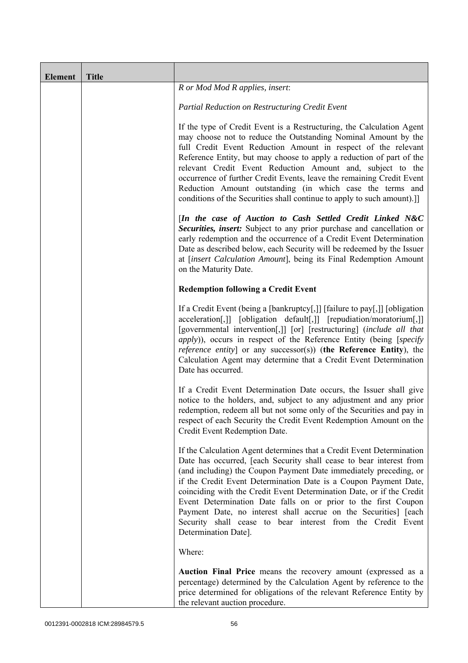| <b>Element</b> | <b>Title</b> |                                                                                                                                                                                                                                                                                                                                                                                                                                                                                                                                                                                            |
|----------------|--------------|--------------------------------------------------------------------------------------------------------------------------------------------------------------------------------------------------------------------------------------------------------------------------------------------------------------------------------------------------------------------------------------------------------------------------------------------------------------------------------------------------------------------------------------------------------------------------------------------|
|                |              | R or Mod Mod R applies, insert:                                                                                                                                                                                                                                                                                                                                                                                                                                                                                                                                                            |
|                |              | Partial Reduction on Restructuring Credit Event                                                                                                                                                                                                                                                                                                                                                                                                                                                                                                                                            |
|                |              | If the type of Credit Event is a Restructuring, the Calculation Agent<br>may choose not to reduce the Outstanding Nominal Amount by the<br>full Credit Event Reduction Amount in respect of the relevant<br>Reference Entity, but may choose to apply a reduction of part of the<br>relevant Credit Event Reduction Amount and, subject to the<br>occurrence of further Credit Events, leave the remaining Credit Event<br>Reduction Amount outstanding (in which case the terms and<br>conditions of the Securities shall continue to apply to such amount).]]                            |
|                |              | [In the case of Auction to Cash Settled Credit Linked N&C<br>Securities, insert: Subject to any prior purchase and cancellation or<br>early redemption and the occurrence of a Credit Event Determination<br>Date as described below, each Security will be redeemed by the Issuer<br>at [insert Calculation Amount], being its Final Redemption Amount<br>on the Maturity Date.                                                                                                                                                                                                           |
|                |              | <b>Redemption following a Credit Event</b>                                                                                                                                                                                                                                                                                                                                                                                                                                                                                                                                                 |
|                |              | If a Credit Event (being a [bankruptcy[,]] [failure to pay[,]] [obligation<br>acceleration[,]] [obligation default[,]] [repudiation/moratorium[,]]<br>[governmental intervention[,]] [or] [restructuring] (include all that<br><i>apply</i> )), occurs in respect of the Reference Entity (being [specify<br><i>reference entity</i> ] or any successor(s)) (the Reference Entity), the<br>Calculation Agent may determine that a Credit Event Determination<br>Date has occurred.                                                                                                         |
|                |              | If a Credit Event Determination Date occurs, the Issuer shall give<br>notice to the holders, and, subject to any adjustment and any prior<br>redemption, redeem all but not some only of the Securities and pay in<br>respect of each Security the Credit Event Redemption Amount on the<br>Credit Event Redemption Date.                                                                                                                                                                                                                                                                  |
|                |              | If the Calculation Agent determines that a Credit Event Determination<br>Date has occurred, [each Security shall cease to bear interest from<br>(and including) the Coupon Payment Date immediately preceding, or<br>if the Credit Event Determination Date is a Coupon Payment Date,<br>coinciding with the Credit Event Determination Date, or if the Credit<br>Event Determination Date falls on or prior to the first Coupon<br>Payment Date, no interest shall accrue on the Securities] [each<br>Security shall cease to bear interest from the Credit Event<br>Determination Date]. |
|                |              | Where:                                                                                                                                                                                                                                                                                                                                                                                                                                                                                                                                                                                     |
|                |              | Auction Final Price means the recovery amount (expressed as a<br>percentage) determined by the Calculation Agent by reference to the<br>price determined for obligations of the relevant Reference Entity by<br>the relevant auction procedure.                                                                                                                                                                                                                                                                                                                                            |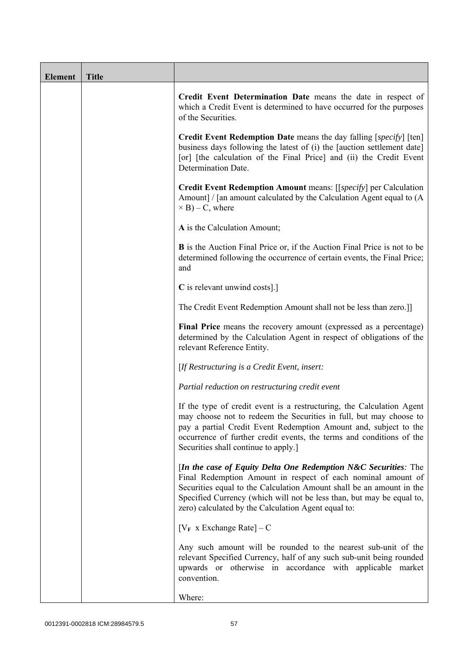| <b>Element</b> | <b>Title</b> |                                                                                                                                                                                                                                                                                                                                           |
|----------------|--------------|-------------------------------------------------------------------------------------------------------------------------------------------------------------------------------------------------------------------------------------------------------------------------------------------------------------------------------------------|
|                |              | Credit Event Determination Date means the date in respect of<br>which a Credit Event is determined to have occurred for the purposes<br>of the Securities.                                                                                                                                                                                |
|                |              | <b>Credit Event Redemption Date</b> means the day falling [specify] [ten]<br>business days following the latest of (i) the [auction settlement date]<br>[or] [the calculation of the Final Price] and (ii) the Credit Event<br>Determination Date.                                                                                        |
|                |              | Credit Event Redemption Amount means: [[specify] per Calculation<br>Amount] / [an amount calculated by the Calculation Agent equal to (A)<br>$\times$ B) – C, where                                                                                                                                                                       |
|                |              | A is the Calculation Amount;                                                                                                                                                                                                                                                                                                              |
|                |              | <b>B</b> is the Auction Final Price or, if the Auction Final Price is not to be<br>determined following the occurrence of certain events, the Final Price;<br>and                                                                                                                                                                         |
|                |              | C is relevant unwind costs].]                                                                                                                                                                                                                                                                                                             |
|                |              | The Credit Event Redemption Amount shall not be less than zero.]]                                                                                                                                                                                                                                                                         |
|                |              | Final Price means the recovery amount (expressed as a percentage)<br>determined by the Calculation Agent in respect of obligations of the<br>relevant Reference Entity.                                                                                                                                                                   |
|                |              | [If Restructuring is a Credit Event, insert:                                                                                                                                                                                                                                                                                              |
|                |              | Partial reduction on restructuring credit event                                                                                                                                                                                                                                                                                           |
|                |              | If the type of credit event is a restructuring, the Calculation Agent<br>may choose not to redeem the Securities in full, but may choose to<br>pay a partial Credit Event Redemption Amount and, subject to the<br>occurrence of further credit events, the terms and conditions of the<br>Securities shall continue to apply.]           |
|                |              | [In the case of Equity Delta One Redemption $N&C$ Securities: The<br>Final Redemption Amount in respect of each nominal amount of<br>Securities equal to the Calculation Amount shall be an amount in the<br>Specified Currency (which will not be less than, but may be equal to,<br>zero) calculated by the Calculation Agent equal to: |
|                |              | $[V_F \times Exchange Rate] - C$                                                                                                                                                                                                                                                                                                          |
|                |              | Any such amount will be rounded to the nearest sub-unit of the<br>relevant Specified Currency, half of any such sub-unit being rounded<br>upwards or otherwise in accordance with applicable market<br>convention.                                                                                                                        |
|                |              | Where:                                                                                                                                                                                                                                                                                                                                    |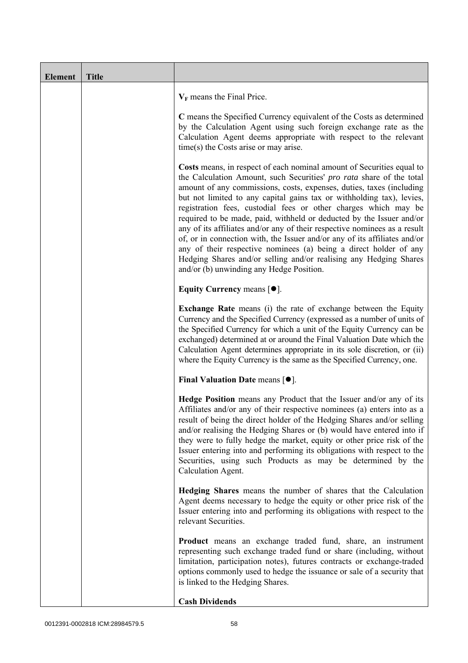| <b>Element</b> | <b>Title</b> |                                                                                                                                                                                                                                                                                                                                                                                                                                                                                                                                                                                                                                                                                                                                                                                           |  |
|----------------|--------------|-------------------------------------------------------------------------------------------------------------------------------------------------------------------------------------------------------------------------------------------------------------------------------------------------------------------------------------------------------------------------------------------------------------------------------------------------------------------------------------------------------------------------------------------------------------------------------------------------------------------------------------------------------------------------------------------------------------------------------------------------------------------------------------------|--|
|                |              | $V_F$ means the Final Price.                                                                                                                                                                                                                                                                                                                                                                                                                                                                                                                                                                                                                                                                                                                                                              |  |
|                |              | C means the Specified Currency equivalent of the Costs as determined<br>by the Calculation Agent using such foreign exchange rate as the<br>Calculation Agent deems appropriate with respect to the relevant<br>time(s) the Costs arise or may arise.                                                                                                                                                                                                                                                                                                                                                                                                                                                                                                                                     |  |
|                |              | Costs means, in respect of each nominal amount of Securities equal to<br>the Calculation Amount, such Securities' pro rata share of the total<br>amount of any commissions, costs, expenses, duties, taxes (including<br>but not limited to any capital gains tax or withholding tax), levies,<br>registration fees, custodial fees or other charges which may be<br>required to be made, paid, withheld or deducted by the Issuer and/or<br>any of its affiliates and/or any of their respective nominees as a result<br>of, or in connection with, the Issuer and/or any of its affiliates and/or<br>any of their respective nominees (a) being a direct holder of any<br>Hedging Shares and/or selling and/or realising any Hedging Shares<br>and/or (b) unwinding any Hedge Position. |  |
|                |              | Equity Currency means $[\bullet].$                                                                                                                                                                                                                                                                                                                                                                                                                                                                                                                                                                                                                                                                                                                                                        |  |
|                |              | <b>Exchange Rate</b> means (i) the rate of exchange between the Equity<br>Currency and the Specified Currency (expressed as a number of units of<br>the Specified Currency for which a unit of the Equity Currency can be<br>exchanged) determined at or around the Final Valuation Date which the<br>Calculation Agent determines appropriate in its sole discretion, or (ii)<br>where the Equity Currency is the same as the Specified Currency, one.                                                                                                                                                                                                                                                                                                                                   |  |
|                |              | Final Valuation Date means [ $\bullet$ ].                                                                                                                                                                                                                                                                                                                                                                                                                                                                                                                                                                                                                                                                                                                                                 |  |
|                |              | Hedge Position means any Product that the Issuer and/or any of its<br>Affiliates and/or any of their respective nominees (a) enters into as a<br>result of being the direct holder of the Hedging Shares and/or selling<br>and/or realising the Hedging Shares or (b) would have entered into if<br>they were to fully hedge the market, equity or other price risk of the<br>Issuer entering into and performing its obligations with respect to the<br>Securities, using such Products as may be determined by the<br>Calculation Agent.                                                                                                                                                                                                                                                |  |
|                |              | Hedging Shares means the number of shares that the Calculation<br>Agent deems necessary to hedge the equity or other price risk of the<br>Issuer entering into and performing its obligations with respect to the<br>relevant Securities.                                                                                                                                                                                                                                                                                                                                                                                                                                                                                                                                                 |  |
|                |              | <b>Product</b> means an exchange traded fund, share, an instrument<br>representing such exchange traded fund or share (including, without<br>limitation, participation notes), futures contracts or exchange-traded<br>options commonly used to hedge the issuance or sale of a security that<br>is linked to the Hedging Shares.                                                                                                                                                                                                                                                                                                                                                                                                                                                         |  |
|                |              | <b>Cash Dividends</b>                                                                                                                                                                                                                                                                                                                                                                                                                                                                                                                                                                                                                                                                                                                                                                     |  |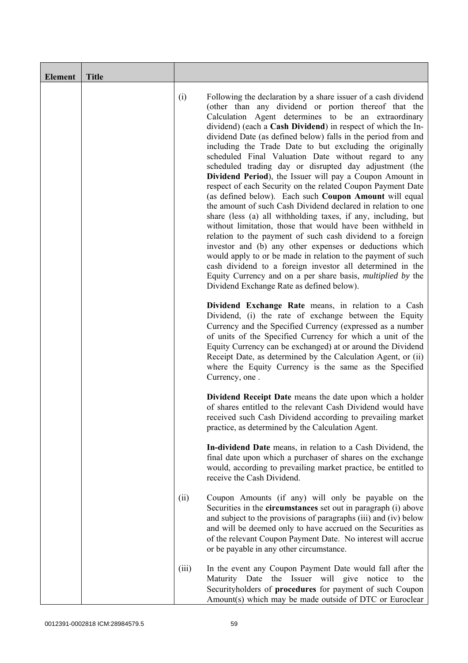| <b>Element</b> | <b>Title</b> |       |                                                                                                                                                                                                                                                                                                                                                                                                                                                                                                                                                                                                                                                                                                                                                                                                                                                                                                                                                                                                                                                                                                                                                                                                                                                           |
|----------------|--------------|-------|-----------------------------------------------------------------------------------------------------------------------------------------------------------------------------------------------------------------------------------------------------------------------------------------------------------------------------------------------------------------------------------------------------------------------------------------------------------------------------------------------------------------------------------------------------------------------------------------------------------------------------------------------------------------------------------------------------------------------------------------------------------------------------------------------------------------------------------------------------------------------------------------------------------------------------------------------------------------------------------------------------------------------------------------------------------------------------------------------------------------------------------------------------------------------------------------------------------------------------------------------------------|
|                |              | (i)   | Following the declaration by a share issuer of a cash dividend<br>(other than any dividend or portion thereof that the<br>Calculation Agent determines to be an extraordinary<br>dividend) (each a Cash Dividend) in respect of which the In-<br>dividend Date (as defined below) falls in the period from and<br>including the Trade Date to but excluding the originally<br>scheduled Final Valuation Date without regard to any<br>scheduled trading day or disrupted day adjustment (the<br>Dividend Period), the Issuer will pay a Coupon Amount in<br>respect of each Security on the related Coupon Payment Date<br>(as defined below). Each such Coupon Amount will equal<br>the amount of such Cash Dividend declared in relation to one<br>share (less (a) all withholding taxes, if any, including, but<br>without limitation, those that would have been withheld in<br>relation to the payment of such cash dividend to a foreign<br>investor and (b) any other expenses or deductions which<br>would apply to or be made in relation to the payment of such<br>cash dividend to a foreign investor all determined in the<br>Equity Currency and on a per share basis, <i>multiplied by</i> the<br>Dividend Exchange Rate as defined below). |
|                |              |       | Dividend Exchange Rate means, in relation to a Cash<br>Dividend, (i) the rate of exchange between the Equity<br>Currency and the Specified Currency (expressed as a number<br>of units of the Specified Currency for which a unit of the<br>Equity Currency can be exchanged) at or around the Dividend<br>Receipt Date, as determined by the Calculation Agent, or (ii)<br>where the Equity Currency is the same as the Specified<br>Currency, one.                                                                                                                                                                                                                                                                                                                                                                                                                                                                                                                                                                                                                                                                                                                                                                                                      |
|                |              |       | <b>Dividend Receipt Date</b> means the date upon which a holder<br>of shares entitled to the relevant Cash Dividend would have<br>received such Cash Dividend according to prevailing market<br>practice, as determined by the Calculation Agent.                                                                                                                                                                                                                                                                                                                                                                                                                                                                                                                                                                                                                                                                                                                                                                                                                                                                                                                                                                                                         |
|                |              |       | In-dividend Date means, in relation to a Cash Dividend, the<br>final date upon which a purchaser of shares on the exchange<br>would, according to prevailing market practice, be entitled to<br>receive the Cash Dividend.                                                                                                                                                                                                                                                                                                                                                                                                                                                                                                                                                                                                                                                                                                                                                                                                                                                                                                                                                                                                                                |
|                |              | (ii)  | Coupon Amounts (if any) will only be payable on the<br>Securities in the <b>circumstances</b> set out in paragraph (i) above<br>and subject to the provisions of paragraphs (iii) and (iv) below<br>and will be deemed only to have accrued on the Securities as<br>of the relevant Coupon Payment Date. No interest will accrue<br>or be payable in any other circumstance.                                                                                                                                                                                                                                                                                                                                                                                                                                                                                                                                                                                                                                                                                                                                                                                                                                                                              |
|                |              | (iii) | In the event any Coupon Payment Date would fall after the<br>the Issuer will give<br>notice<br>Maturity Date<br>the<br>to<br>Securityholders of procedures for payment of such Coupon<br>Amount(s) which may be made outside of DTC or Euroclear                                                                                                                                                                                                                                                                                                                                                                                                                                                                                                                                                                                                                                                                                                                                                                                                                                                                                                                                                                                                          |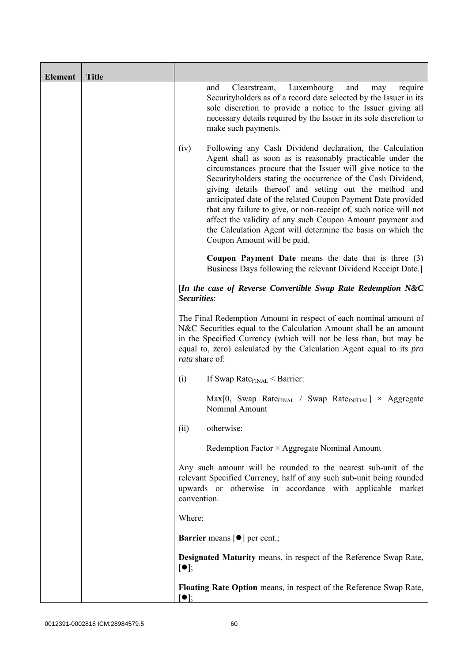| <b>Element</b> | <b>Title</b> |                          |                                                                                                                                                                                                                                                                                                                                                                                                                                                                                                                                                                                                                  |
|----------------|--------------|--------------------------|------------------------------------------------------------------------------------------------------------------------------------------------------------------------------------------------------------------------------------------------------------------------------------------------------------------------------------------------------------------------------------------------------------------------------------------------------------------------------------------------------------------------------------------------------------------------------------------------------------------|
|                |              |                          | Luxembourg<br>and<br>and<br>Clearstream,<br>require<br>may<br>Securityholders as of a record date selected by the Issuer in its<br>sole discretion to provide a notice to the Issuer giving all<br>necessary details required by the Issuer in its sole discretion to<br>make such payments.                                                                                                                                                                                                                                                                                                                     |
|                |              | (iv)                     | Following any Cash Dividend declaration, the Calculation<br>Agent shall as soon as is reasonably practicable under the<br>circumstances procure that the Issuer will give notice to the<br>Securityholders stating the occurrence of the Cash Dividend,<br>giving details thereof and setting out the method and<br>anticipated date of the related Coupon Payment Date provided<br>that any failure to give, or non-receipt of, such notice will not<br>affect the validity of any such Coupon Amount payment and<br>the Calculation Agent will determine the basis on which the<br>Coupon Amount will be paid. |
|                |              |                          | <b>Coupon Payment Date</b> means the date that is three $(3)$<br>Business Days following the relevant Dividend Receipt Date.]                                                                                                                                                                                                                                                                                                                                                                                                                                                                                    |
|                |              | Securities:              | [In the case of Reverse Convertible Swap Rate Redemption $N&C$                                                                                                                                                                                                                                                                                                                                                                                                                                                                                                                                                   |
|                |              | rata share of:           | The Final Redemption Amount in respect of each nominal amount of<br>N&C Securities equal to the Calculation Amount shall be an amount<br>in the Specified Currency (which will not be less than, but may be<br>equal to, zero) calculated by the Calculation Agent equal to its <i>pro</i>                                                                                                                                                                                                                                                                                                                       |
|                |              | (i)                      | If Swap Rate $_{\text{FINAL}}$ < Barrier:                                                                                                                                                                                                                                                                                                                                                                                                                                                                                                                                                                        |
|                |              |                          | $Max[0, Swap Rate_{FINAL} / Swap Rate_{INITIAL}] \times Aggregate$<br>Nominal Amount                                                                                                                                                                                                                                                                                                                                                                                                                                                                                                                             |
|                |              | (ii)                     | otherwise:                                                                                                                                                                                                                                                                                                                                                                                                                                                                                                                                                                                                       |
|                |              |                          | Redemption Factor × Aggregate Nominal Amount                                                                                                                                                                                                                                                                                                                                                                                                                                                                                                                                                                     |
|                |              | convention.              | Any such amount will be rounded to the nearest sub-unit of the<br>relevant Specified Currency, half of any such sub-unit being rounded<br>upwards or otherwise in accordance with applicable market                                                                                                                                                                                                                                                                                                                                                                                                              |
|                |              | Where:                   |                                                                                                                                                                                                                                                                                                                                                                                                                                                                                                                                                                                                                  |
|                |              |                          | <b>Barrier</b> means $\lceil \bullet \rceil$ per cent.;                                                                                                                                                                                                                                                                                                                                                                                                                                                                                                                                                          |
|                |              | $\lceil \bullet \rceil;$ | <b>Designated Maturity means, in respect of the Reference Swap Rate,</b>                                                                                                                                                                                                                                                                                                                                                                                                                                                                                                                                         |
|                |              | $\bullet$ ]:             | Floating Rate Option means, in respect of the Reference Swap Rate,                                                                                                                                                                                                                                                                                                                                                                                                                                                                                                                                               |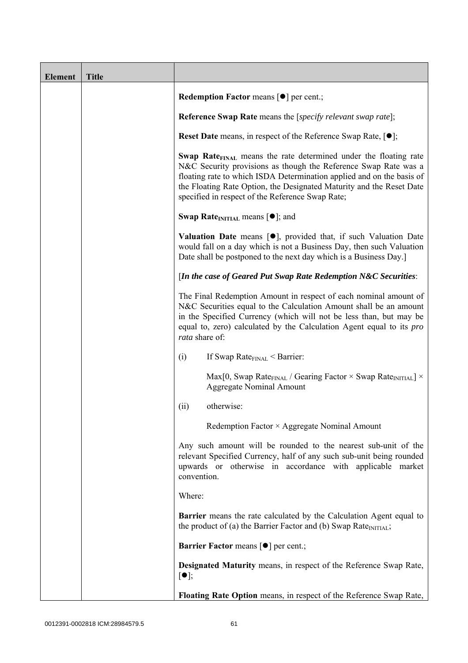| <b>Element</b> | <b>Title</b> |                                                                                                                                                                                                                                                                                                                                                             |
|----------------|--------------|-------------------------------------------------------------------------------------------------------------------------------------------------------------------------------------------------------------------------------------------------------------------------------------------------------------------------------------------------------------|
|                |              | <b>Redemption Factor means <math>\lceil \bullet \rceil</math> per cent.;</b>                                                                                                                                                                                                                                                                                |
|                |              | <b>Reference Swap Rate</b> means the [ <i>specify relevant swap rate</i> ];                                                                                                                                                                                                                                                                                 |
|                |              | <b>Reset Date</b> means, in respect of the Reference Swap Rate, $[•]$ ;                                                                                                                                                                                                                                                                                     |
|                |              | <b>Swap Rate</b> <sub>FINAL</sub> means the rate determined under the floating rate<br>N&C Security provisions as though the Reference Swap Rate was a<br>floating rate to which ISDA Determination applied and on the basis of<br>the Floating Rate Option, the Designated Maturity and the Reset Date<br>specified in respect of the Reference Swap Rate; |
|                |              | <b>Swap Rate</b> <sub>INITIAL</sub> means $[\bullet]$ ; and                                                                                                                                                                                                                                                                                                 |
|                |              | <b>Valuation Date</b> means $[\bullet]$ , provided that, if such Valuation Date<br>would fall on a day which is not a Business Day, then such Valuation<br>Date shall be postponed to the next day which is a Business Day.]                                                                                                                                |
|                |              | [In the case of Geared Put Swap Rate Redemption N&C Securities:                                                                                                                                                                                                                                                                                             |
|                |              | The Final Redemption Amount in respect of each nominal amount of<br>N&C Securities equal to the Calculation Amount shall be an amount<br>in the Specified Currency (which will not be less than, but may be<br>equal to, zero) calculated by the Calculation Agent equal to its <i>pro</i><br>rata share of:                                                |
|                |              | (i)<br>If Swap Rate $_{\text{FINAL}}$ < Barrier:                                                                                                                                                                                                                                                                                                            |
|                |              | Max[0, Swap Rate <sub>FINAL</sub> / Gearing Factor $\times$ Swap Rate <sub>INITIAL</sub> ] $\times$<br><b>Aggregate Nominal Amount</b>                                                                                                                                                                                                                      |
|                |              | otherwise:<br>(ii)                                                                                                                                                                                                                                                                                                                                          |
|                |              | Redemption Factor × Aggregate Nominal Amount                                                                                                                                                                                                                                                                                                                |
|                |              | Any such amount will be rounded to the nearest sub-unit of the<br>relevant Specified Currency, half of any such sub-unit being rounded<br>upwards or otherwise in accordance with applicable market<br>convention.                                                                                                                                          |
|                |              | Where:                                                                                                                                                                                                                                                                                                                                                      |
|                |              | <b>Barrier</b> means the rate calculated by the Calculation Agent equal to<br>the product of (a) the Barrier Factor and (b) Swap Rate $_{\text{INITIAL}}$ ;                                                                                                                                                                                                 |
|                |              | <b>Barrier Factor means [O] per cent.;</b>                                                                                                                                                                                                                                                                                                                  |
|                |              | <b>Designated Maturity means, in respect of the Reference Swap Rate,</b><br>$\lceil \bullet \rceil;$                                                                                                                                                                                                                                                        |
|                |              | Floating Rate Option means, in respect of the Reference Swap Rate,                                                                                                                                                                                                                                                                                          |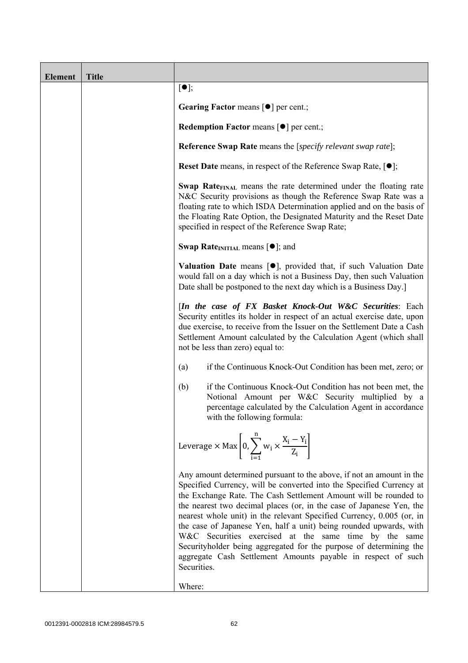| <b>Element</b> | <b>Title</b> |                                                                                                                                                                                                                                                                                                                                                                                                                                                                                                                                                                                                                                                       |
|----------------|--------------|-------------------------------------------------------------------------------------------------------------------------------------------------------------------------------------------------------------------------------------------------------------------------------------------------------------------------------------------------------------------------------------------------------------------------------------------------------------------------------------------------------------------------------------------------------------------------------------------------------------------------------------------------------|
|                |              | $[\bullet]$ ;                                                                                                                                                                                                                                                                                                                                                                                                                                                                                                                                                                                                                                         |
|                |              | Gearing Factor means [ $\bullet$ ] per cent.;                                                                                                                                                                                                                                                                                                                                                                                                                                                                                                                                                                                                         |
|                |              | <b>Redemption Factor means <math>\lceil \bullet \rceil</math> per cent.;</b>                                                                                                                                                                                                                                                                                                                                                                                                                                                                                                                                                                          |
|                |              | <b>Reference Swap Rate</b> means the [specify relevant swap rate];                                                                                                                                                                                                                                                                                                                                                                                                                                                                                                                                                                                    |
|                |              | <b>Reset Date</b> means, in respect of the Reference Swap Rate, $[•]$ ;                                                                                                                                                                                                                                                                                                                                                                                                                                                                                                                                                                               |
|                |              | Swap Rate <sub>FINAL</sub> means the rate determined under the floating rate<br>N&C Security provisions as though the Reference Swap Rate was a<br>floating rate to which ISDA Determination applied and on the basis of<br>the Floating Rate Option, the Designated Maturity and the Reset Date<br>specified in respect of the Reference Swap Rate;                                                                                                                                                                                                                                                                                                  |
|                |              | <b>Swap Rate</b> <sub>INITIAL</sub> means $[\bullet]$ ; and                                                                                                                                                                                                                                                                                                                                                                                                                                                                                                                                                                                           |
|                |              | <b>Valuation Date</b> means $[\bullet]$ , provided that, if such Valuation Date<br>would fall on a day which is not a Business Day, then such Valuation<br>Date shall be postponed to the next day which is a Business Day.]                                                                                                                                                                                                                                                                                                                                                                                                                          |
|                |              | [In the case of FX Basket Knock-Out W&C Securities: Each<br>Security entitles its holder in respect of an actual exercise date, upon<br>due exercise, to receive from the Issuer on the Settlement Date a Cash<br>Settlement Amount calculated by the Calculation Agent (which shall<br>not be less than zero) equal to:                                                                                                                                                                                                                                                                                                                              |
|                |              | if the Continuous Knock-Out Condition has been met, zero; or<br>(a)                                                                                                                                                                                                                                                                                                                                                                                                                                                                                                                                                                                   |
|                |              | if the Continuous Knock-Out Condition has not been met, the<br>(b)<br>Notional Amount per W&C Security multiplied by a<br>percentage calculated by the Calculation Agent in accordance<br>with the following formula:                                                                                                                                                                                                                                                                                                                                                                                                                                 |
|                |              | Leverage $\times$ Max $\left[0, \sum_{i=1}^{n} w_i \times \frac{X_i - Y_i}{Z_i}\right]$                                                                                                                                                                                                                                                                                                                                                                                                                                                                                                                                                               |
|                |              | Any amount determined pursuant to the above, if not an amount in the<br>Specified Currency, will be converted into the Specified Currency at<br>the Exchange Rate. The Cash Settlement Amount will be rounded to<br>the nearest two decimal places (or, in the case of Japanese Yen, the<br>nearest whole unit) in the relevant Specified Currency, 0.005 (or, in<br>the case of Japanese Yen, half a unit) being rounded upwards, with<br>W&C Securities exercised at the same time by the same<br>Securityholder being aggregated for the purpose of determining the<br>aggregate Cash Settlement Amounts payable in respect of such<br>Securities. |
|                |              | Where:                                                                                                                                                                                                                                                                                                                                                                                                                                                                                                                                                                                                                                                |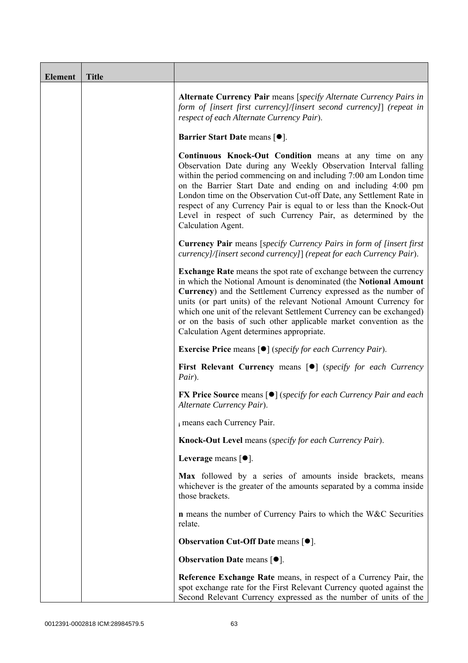| <b>Element</b> | <b>Title</b> |                                                                                                                                                                                                                                                                                                                                                                                                                                                                                                             |
|----------------|--------------|-------------------------------------------------------------------------------------------------------------------------------------------------------------------------------------------------------------------------------------------------------------------------------------------------------------------------------------------------------------------------------------------------------------------------------------------------------------------------------------------------------------|
|                |              | Alternate Currency Pair means [specify Alternate Currency Pairs in<br>form of [insert first currency]/[insert second currency]] (repeat in<br>respect of each Alternate Currency Pair).                                                                                                                                                                                                                                                                                                                     |
|                |              | <b>Barrier Start Date means [<math>\bullet</math>].</b>                                                                                                                                                                                                                                                                                                                                                                                                                                                     |
|                |              | <b>Continuous Knock-Out Condition</b> means at any time on any<br>Observation Date during any Weekly Observation Interval falling<br>within the period commencing on and including 7:00 am London time<br>on the Barrier Start Date and ending on and including 4:00 pm<br>London time on the Observation Cut-off Date, any Settlement Rate in<br>respect of any Currency Pair is equal to or less than the Knock-Out<br>Level in respect of such Currency Pair, as determined by the<br>Calculation Agent. |
|                |              | <b>Currency Pair</b> means [specify Currency Pairs in form of [insert first]<br>currency]/[insert second currency]] (repeat for each Currency Pair).                                                                                                                                                                                                                                                                                                                                                        |
|                |              | <b>Exchange Rate</b> means the spot rate of exchange between the currency<br>in which the Notional Amount is denominated (the Notional Amount<br>Currency) and the Settlement Currency expressed as the number of<br>units (or part units) of the relevant Notional Amount Currency for<br>which one unit of the relevant Settlement Currency can be exchanged)<br>or on the basis of such other applicable market convention as the<br>Calculation Agent determines appropriate.                           |
|                |              | <b>Exercise Price</b> means $\lceil \bullet \rceil$ ( <i>specify for each Currency Pair</i> ).                                                                                                                                                                                                                                                                                                                                                                                                              |
|                |              | <b>First Relevant Currency means [O]</b> (specify for each Currency<br>Pair).                                                                                                                                                                                                                                                                                                                                                                                                                               |
|                |              | <b>FX Price Source means [●]</b> (specify for each Currency Pair and each<br>Alternate Currency Pair).                                                                                                                                                                                                                                                                                                                                                                                                      |
|                |              | i means each Currency Pair.                                                                                                                                                                                                                                                                                                                                                                                                                                                                                 |
|                |              | Knock-Out Level means (specify for each Currency Pair).                                                                                                                                                                                                                                                                                                                                                                                                                                                     |
|                |              | Leverage means $[•]$ .                                                                                                                                                                                                                                                                                                                                                                                                                                                                                      |
|                |              | Max followed by a series of amounts inside brackets, means<br>whichever is the greater of the amounts separated by a comma inside<br>those brackets.                                                                                                                                                                                                                                                                                                                                                        |
|                |              | <b>n</b> means the number of Currency Pairs to which the W&C Securities<br>relate.                                                                                                                                                                                                                                                                                                                                                                                                                          |
|                |              | <b>Observation Cut-Off Date means [<math>\bullet</math>].</b>                                                                                                                                                                                                                                                                                                                                                                                                                                               |
|                |              | <b>Observation Date means <math>[•]</math>.</b>                                                                                                                                                                                                                                                                                                                                                                                                                                                             |
|                |              | Reference Exchange Rate means, in respect of a Currency Pair, the<br>spot exchange rate for the First Relevant Currency quoted against the<br>Second Relevant Currency expressed as the number of units of the                                                                                                                                                                                                                                                                                              |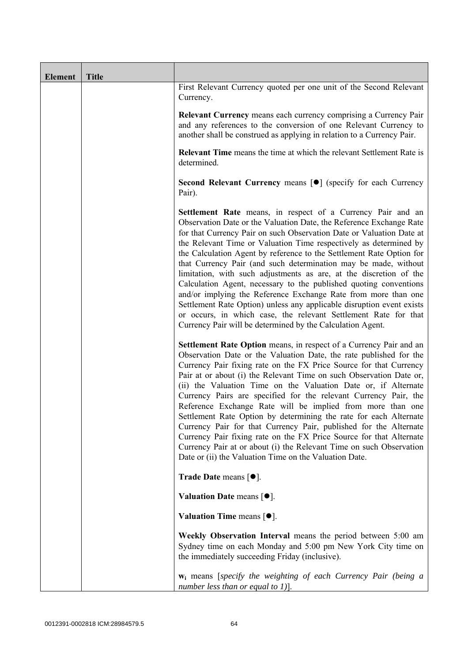| <b>Element</b> | <b>Title</b> |                                                                                                                                                                                                                                                                                                                                                                                                                                                                                                                                                                                                                                                                                                                                                                                                                                                          |
|----------------|--------------|----------------------------------------------------------------------------------------------------------------------------------------------------------------------------------------------------------------------------------------------------------------------------------------------------------------------------------------------------------------------------------------------------------------------------------------------------------------------------------------------------------------------------------------------------------------------------------------------------------------------------------------------------------------------------------------------------------------------------------------------------------------------------------------------------------------------------------------------------------|
|                |              | First Relevant Currency quoted per one unit of the Second Relevant<br>Currency.                                                                                                                                                                                                                                                                                                                                                                                                                                                                                                                                                                                                                                                                                                                                                                          |
|                |              | <b>Relevant Currency</b> means each currency comprising a Currency Pair<br>and any references to the conversion of one Relevant Currency to<br>another shall be construed as applying in relation to a Currency Pair.                                                                                                                                                                                                                                                                                                                                                                                                                                                                                                                                                                                                                                    |
|                |              | <b>Relevant Time</b> means the time at which the relevant Settlement Rate is<br>determined.                                                                                                                                                                                                                                                                                                                                                                                                                                                                                                                                                                                                                                                                                                                                                              |
|                |              | Second Relevant Currency means [ $\bullet$ ] (specify for each Currency<br>Pair).                                                                                                                                                                                                                                                                                                                                                                                                                                                                                                                                                                                                                                                                                                                                                                        |
|                |              | <b>Settlement Rate</b> means, in respect of a Currency Pair and an<br>Observation Date or the Valuation Date, the Reference Exchange Rate<br>for that Currency Pair on such Observation Date or Valuation Date at<br>the Relevant Time or Valuation Time respectively as determined by<br>the Calculation Agent by reference to the Settlement Rate Option for<br>that Currency Pair (and such determination may be made, without<br>limitation, with such adjustments as are, at the discretion of the<br>Calculation Agent, necessary to the published quoting conventions<br>and/or implying the Reference Exchange Rate from more than one<br>Settlement Rate Option) unless any applicable disruption event exists<br>or occurs, in which case, the relevant Settlement Rate for that<br>Currency Pair will be determined by the Calculation Agent. |
|                |              | Settlement Rate Option means, in respect of a Currency Pair and an<br>Observation Date or the Valuation Date, the rate published for the<br>Currency Pair fixing rate on the FX Price Source for that Currency<br>Pair at or about (i) the Relevant Time on such Observation Date or,<br>(ii) the Valuation Time on the Valuation Date or, if Alternate<br>Currency Pairs are specified for the relevant Currency Pair, the<br>Reference Exchange Rate will be implied from more than one<br>Settlement Rate Option by determining the rate for each Alternate<br>Currency Pair for that Currency Pair, published for the Alternate<br>Currency Pair fixing rate on the FX Price Source for that Alternate<br>Currency Pair at or about (i) the Relevant Time on such Observation<br>Date or (ii) the Valuation Time on the Valuation Date.              |
|                |              | <b>Trade Date means <math>\lceil \bullet \rceil</math>.</b>                                                                                                                                                                                                                                                                                                                                                                                                                                                                                                                                                                                                                                                                                                                                                                                              |
|                |              | Valuation Date means $[•]$ .                                                                                                                                                                                                                                                                                                                                                                                                                                                                                                                                                                                                                                                                                                                                                                                                                             |
|                |              | Valuation Time means $[•]$ .                                                                                                                                                                                                                                                                                                                                                                                                                                                                                                                                                                                                                                                                                                                                                                                                                             |
|                |              | Weekly Observation Interval means the period between 5:00 am<br>Sydney time on each Monday and 5:00 pm New York City time on<br>the immediately succeeding Friday (inclusive).                                                                                                                                                                                                                                                                                                                                                                                                                                                                                                                                                                                                                                                                           |
|                |              | <b>w</b> <sub>i</sub> means [specify the weighting of each Currency Pair (being a<br>number less than or equal to 1)].                                                                                                                                                                                                                                                                                                                                                                                                                                                                                                                                                                                                                                                                                                                                   |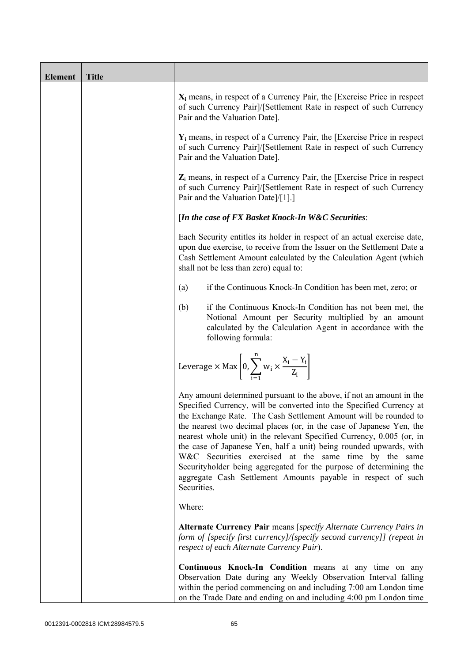| <b>Element</b> | <b>Title</b> |                                                                                                                                                                                                                                                                                                                                                                                                                                                                                                                                                                                                                                                       |
|----------------|--------------|-------------------------------------------------------------------------------------------------------------------------------------------------------------------------------------------------------------------------------------------------------------------------------------------------------------------------------------------------------------------------------------------------------------------------------------------------------------------------------------------------------------------------------------------------------------------------------------------------------------------------------------------------------|
|                |              | $X_i$ means, in respect of a Currency Pair, the [Exercise Price in respect<br>of such Currency Pair]/[Settlement Rate in respect of such Currency<br>Pair and the Valuation Date].                                                                                                                                                                                                                                                                                                                                                                                                                                                                    |
|                |              | $Y_i$ means, in respect of a Currency Pair, the [Exercise Price in respect<br>of such Currency Pair]/[Settlement Rate in respect of such Currency<br>Pair and the Valuation Date].                                                                                                                                                                                                                                                                                                                                                                                                                                                                    |
|                |              | $Z_i$ means, in respect of a Currency Pair, the [Exercise Price in respect<br>of such Currency Pair]/[Settlement Rate in respect of such Currency<br>Pair and the Valuation Date]/[1].]                                                                                                                                                                                                                                                                                                                                                                                                                                                               |
|                |              | [In the case of FX Basket Knock-In W&C Securities:                                                                                                                                                                                                                                                                                                                                                                                                                                                                                                                                                                                                    |
|                |              | Each Security entitles its holder in respect of an actual exercise date,<br>upon due exercise, to receive from the Issuer on the Settlement Date a<br>Cash Settlement Amount calculated by the Calculation Agent (which<br>shall not be less than zero) equal to:                                                                                                                                                                                                                                                                                                                                                                                     |
|                |              | if the Continuous Knock-In Condition has been met, zero; or<br>(a)                                                                                                                                                                                                                                                                                                                                                                                                                                                                                                                                                                                    |
|                |              | if the Continuous Knock-In Condition has not been met, the<br>(b)<br>Notional Amount per Security multiplied by an amount<br>calculated by the Calculation Agent in accordance with the<br>following formula:                                                                                                                                                                                                                                                                                                                                                                                                                                         |
|                |              | Leverage $\times$ Max $\left[0, \sum_{i=1}^{n} w_i \times \frac{X_i - Y_i}{Z_i}\right]$                                                                                                                                                                                                                                                                                                                                                                                                                                                                                                                                                               |
|                |              | Any amount determined pursuant to the above, if not an amount in the<br>Specified Currency, will be converted into the Specified Currency at<br>the Exchange Rate. The Cash Settlement Amount will be rounded to<br>the nearest two decimal places (or, in the case of Japanese Yen, the<br>nearest whole unit) in the relevant Specified Currency, 0.005 (or, in<br>the case of Japanese Yen, half a unit) being rounded upwards, with<br>W&C Securities exercised at the same time by the same<br>Securityholder being aggregated for the purpose of determining the<br>aggregate Cash Settlement Amounts payable in respect of such<br>Securities. |
|                |              | Where:                                                                                                                                                                                                                                                                                                                                                                                                                                                                                                                                                                                                                                                |
|                |              | Alternate Currency Pair means [specify Alternate Currency Pairs in<br>form of [specify first currency]/[specify second currency]] (repeat in<br>respect of each Alternate Currency Pair).                                                                                                                                                                                                                                                                                                                                                                                                                                                             |
|                |              | Continuous Knock-In Condition means at any time on any<br>Observation Date during any Weekly Observation Interval falling<br>within the period commencing on and including 7:00 am London time<br>on the Trade Date and ending on and including 4:00 pm London time                                                                                                                                                                                                                                                                                                                                                                                   |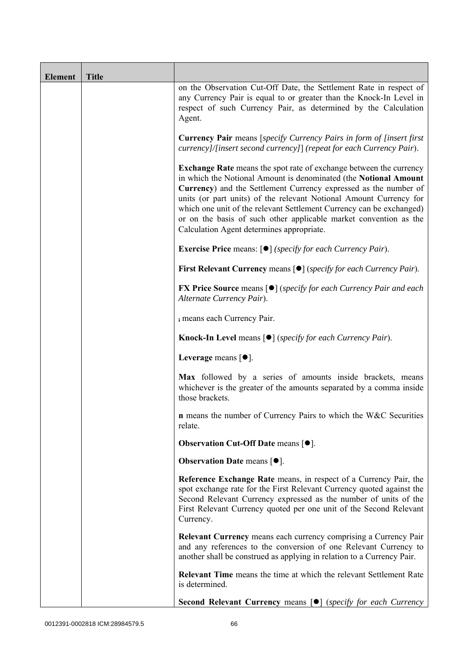| <b>Element</b> | <b>Title</b> |                                                                                                                                                                                                                                                                                                                                                                                                                                                                                   |
|----------------|--------------|-----------------------------------------------------------------------------------------------------------------------------------------------------------------------------------------------------------------------------------------------------------------------------------------------------------------------------------------------------------------------------------------------------------------------------------------------------------------------------------|
|                |              | on the Observation Cut-Off Date, the Settlement Rate in respect of<br>any Currency Pair is equal to or greater than the Knock-In Level in<br>respect of such Currency Pair, as determined by the Calculation<br>Agent.                                                                                                                                                                                                                                                            |
|                |              | <b>Currency Pair</b> means [specify Currency Pairs in form of [insert first<br>currency]/[insert second currency]] (repeat for each Currency Pair).                                                                                                                                                                                                                                                                                                                               |
|                |              | <b>Exchange Rate</b> means the spot rate of exchange between the currency<br>in which the Notional Amount is denominated (the Notional Amount<br>Currency) and the Settlement Currency expressed as the number of<br>units (or part units) of the relevant Notional Amount Currency for<br>which one unit of the relevant Settlement Currency can be exchanged)<br>or on the basis of such other applicable market convention as the<br>Calculation Agent determines appropriate. |
|                |              | <b>Exercise Price</b> means: $\lceil \bullet \rceil$ ( <i>specify for each Currency Pair</i> ).                                                                                                                                                                                                                                                                                                                                                                                   |
|                |              | <b>First Relevant Currency means <math>\lceil \bullet \rceil</math> (specify for each Currency Pair).</b>                                                                                                                                                                                                                                                                                                                                                                         |
|                |              | <b>FX Price Source</b> means $\lceil \bullet \rceil$ (specify for each Currency Pair and each<br>Alternate Currency Pair).                                                                                                                                                                                                                                                                                                                                                        |
|                |              | i means each Currency Pair.                                                                                                                                                                                                                                                                                                                                                                                                                                                       |
|                |              | <b>Knock-In Level</b> means $\lceil \bullet \rceil$ ( <i>specify for each Currency Pair</i> ).                                                                                                                                                                                                                                                                                                                                                                                    |
|                |              | Leverage means $\lceil \bullet \rceil$ .                                                                                                                                                                                                                                                                                                                                                                                                                                          |
|                |              | Max followed by a series of amounts inside brackets, means<br>whichever is the greater of the amounts separated by a comma inside<br>those brackets.                                                                                                                                                                                                                                                                                                                              |
|                |              | <b>n</b> means the number of Currency Pairs to which the W&C Securities<br>relate.                                                                                                                                                                                                                                                                                                                                                                                                |
|                |              | <b>Observation Cut-Off Date means <math>[•]</math>.</b>                                                                                                                                                                                                                                                                                                                                                                                                                           |
|                |              | <b>Observation Date means <math>\lceil \bullet \rceil</math>.</b>                                                                                                                                                                                                                                                                                                                                                                                                                 |
|                |              | Reference Exchange Rate means, in respect of a Currency Pair, the<br>spot exchange rate for the First Relevant Currency quoted against the<br>Second Relevant Currency expressed as the number of units of the<br>First Relevant Currency quoted per one unit of the Second Relevant<br>Currency.                                                                                                                                                                                 |
|                |              | <b>Relevant Currency</b> means each currency comprising a Currency Pair<br>and any references to the conversion of one Relevant Currency to<br>another shall be construed as applying in relation to a Currency Pair.                                                                                                                                                                                                                                                             |
|                |              | <b>Relevant Time</b> means the time at which the relevant Settlement Rate<br>is determined.                                                                                                                                                                                                                                                                                                                                                                                       |
|                |              | <b>Second Relevant Currency means [O]</b> (specify for each Currency                                                                                                                                                                                                                                                                                                                                                                                                              |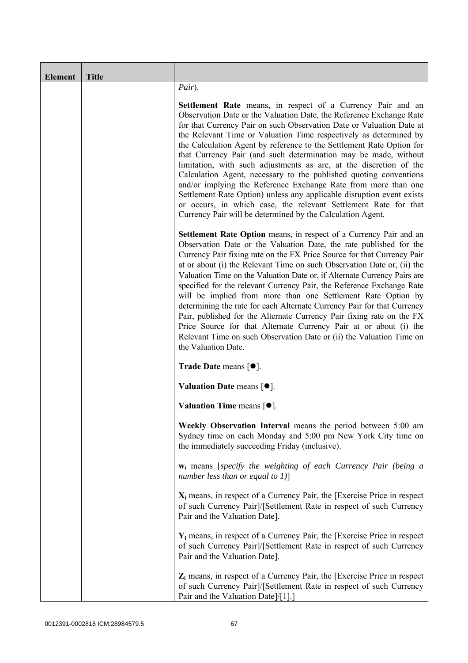| <b>Element</b> | <b>Title</b> |                                                                                                                                                                                                                                                                                                                                                                                                                                                                                                                                                                                                                                                                                                                                                                                                                                                          |
|----------------|--------------|----------------------------------------------------------------------------------------------------------------------------------------------------------------------------------------------------------------------------------------------------------------------------------------------------------------------------------------------------------------------------------------------------------------------------------------------------------------------------------------------------------------------------------------------------------------------------------------------------------------------------------------------------------------------------------------------------------------------------------------------------------------------------------------------------------------------------------------------------------|
|                |              | Pair).                                                                                                                                                                                                                                                                                                                                                                                                                                                                                                                                                                                                                                                                                                                                                                                                                                                   |
|                |              | <b>Settlement Rate</b> means, in respect of a Currency Pair and an<br>Observation Date or the Valuation Date, the Reference Exchange Rate<br>for that Currency Pair on such Observation Date or Valuation Date at<br>the Relevant Time or Valuation Time respectively as determined by<br>the Calculation Agent by reference to the Settlement Rate Option for<br>that Currency Pair (and such determination may be made, without<br>limitation, with such adjustments as are, at the discretion of the<br>Calculation Agent, necessary to the published quoting conventions<br>and/or implying the Reference Exchange Rate from more than one<br>Settlement Rate Option) unless any applicable disruption event exists<br>or occurs, in which case, the relevant Settlement Rate for that<br>Currency Pair will be determined by the Calculation Agent. |
|                |              | <b>Settlement Rate Option</b> means, in respect of a Currency Pair and an<br>Observation Date or the Valuation Date, the rate published for the<br>Currency Pair fixing rate on the FX Price Source for that Currency Pair<br>at or about (i) the Relevant Time on such Observation Date or, (ii) the<br>Valuation Time on the Valuation Date or, if Alternate Currency Pairs are<br>specified for the relevant Currency Pair, the Reference Exchange Rate<br>will be implied from more than one Settlement Rate Option by<br>determining the rate for each Alternate Currency Pair for that Currency<br>Pair, published for the Alternate Currency Pair fixing rate on the FX<br>Price Source for that Alternate Currency Pair at or about (i) the<br>Relevant Time on such Observation Date or (ii) the Valuation Time on<br>the Valuation Date.       |
|                |              | <b>Trade Date means <math>\lceil \bullet \rceil</math>.</b>                                                                                                                                                                                                                                                                                                                                                                                                                                                                                                                                                                                                                                                                                                                                                                                              |
|                |              | Valuation Date means $[•]$ .                                                                                                                                                                                                                                                                                                                                                                                                                                                                                                                                                                                                                                                                                                                                                                                                                             |
|                |              | Valuation Time means $[•]$ .                                                                                                                                                                                                                                                                                                                                                                                                                                                                                                                                                                                                                                                                                                                                                                                                                             |
|                |              | Weekly Observation Interval means the period between 5:00 am<br>Sydney time on each Monday and 5:00 pm New York City time on<br>the immediately succeeding Friday (inclusive).                                                                                                                                                                                                                                                                                                                                                                                                                                                                                                                                                                                                                                                                           |
|                |              | $w_i$ means [specify the weighting of each Currency Pair (being a<br>number less than or equal to $1$ )]                                                                                                                                                                                                                                                                                                                                                                                                                                                                                                                                                                                                                                                                                                                                                 |
|                |              | $X_i$ means, in respect of a Currency Pair, the [Exercise Price in respect]<br>of such Currency Pair]/[Settlement Rate in respect of such Currency<br>Pair and the Valuation Date].                                                                                                                                                                                                                                                                                                                                                                                                                                                                                                                                                                                                                                                                      |
|                |              | $Y_i$ means, in respect of a Currency Pair, the [Exercise Price in respect]<br>of such Currency Pair]/[Settlement Rate in respect of such Currency<br>Pair and the Valuation Date].                                                                                                                                                                                                                                                                                                                                                                                                                                                                                                                                                                                                                                                                      |
|                |              | $Z_i$ means, in respect of a Currency Pair, the [Exercise Price in respect<br>of such Currency Pair]/[Settlement Rate in respect of such Currency<br>Pair and the Valuation Date]/[1].]                                                                                                                                                                                                                                                                                                                                                                                                                                                                                                                                                                                                                                                                  |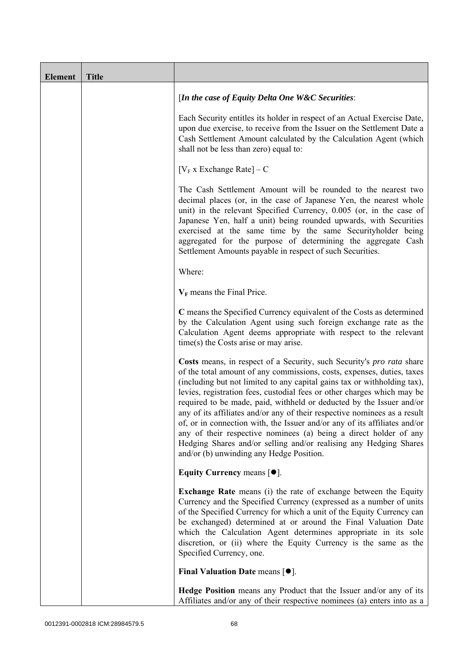| <b>Element</b> | <b>Title</b> |                                                                                                                                                                                                                                                                                                                                                                                                                                                                                                                                                                                                                                                                                                                                |
|----------------|--------------|--------------------------------------------------------------------------------------------------------------------------------------------------------------------------------------------------------------------------------------------------------------------------------------------------------------------------------------------------------------------------------------------------------------------------------------------------------------------------------------------------------------------------------------------------------------------------------------------------------------------------------------------------------------------------------------------------------------------------------|
|                |              | [In the case of Equity Delta One W&C Securities:                                                                                                                                                                                                                                                                                                                                                                                                                                                                                                                                                                                                                                                                               |
|                |              | Each Security entitles its holder in respect of an Actual Exercise Date,<br>upon due exercise, to receive from the Issuer on the Settlement Date a<br>Cash Settlement Amount calculated by the Calculation Agent (which<br>shall not be less than zero) equal to:                                                                                                                                                                                                                                                                                                                                                                                                                                                              |
|                |              | $[V_F x]$ Exchange Rate $] - C$                                                                                                                                                                                                                                                                                                                                                                                                                                                                                                                                                                                                                                                                                                |
|                |              | The Cash Settlement Amount will be rounded to the nearest two<br>decimal places (or, in the case of Japanese Yen, the nearest whole<br>unit) in the relevant Specified Currency, 0.005 (or, in the case of<br>Japanese Yen, half a unit) being rounded upwards, with Securities<br>exercised at the same time by the same Securityholder being<br>aggregated for the purpose of determining the aggregate Cash<br>Settlement Amounts payable in respect of such Securities.                                                                                                                                                                                                                                                    |
|                |              | Where:                                                                                                                                                                                                                                                                                                                                                                                                                                                                                                                                                                                                                                                                                                                         |
|                |              | $V_F$ means the Final Price.                                                                                                                                                                                                                                                                                                                                                                                                                                                                                                                                                                                                                                                                                                   |
|                |              | C means the Specified Currency equivalent of the Costs as determined<br>by the Calculation Agent using such foreign exchange rate as the<br>Calculation Agent deems appropriate with respect to the relevant<br>$time(s)$ the Costs arise or may arise.                                                                                                                                                                                                                                                                                                                                                                                                                                                                        |
|                |              | Costs means, in respect of a Security, such Security's pro rata share<br>of the total amount of any commissions, costs, expenses, duties, taxes<br>(including but not limited to any capital gains tax or withholding tax),<br>levies, registration fees, custodial fees or other charges which may be<br>required to be made, paid, withheld or deducted by the Issuer and/or<br>any of its affiliates and/or any of their respective nominees as a result<br>of, or in connection with, the Issuer and/or any of its affiliates and/or<br>any of their respective nominees (a) being a direct holder of any<br>Hedging Shares and/or selling and/or realising any Hedging Shares<br>and/or (b) unwinding any Hedge Position. |
|                |              | Equity Currency means $[\bullet].$                                                                                                                                                                                                                                                                                                                                                                                                                                                                                                                                                                                                                                                                                             |
|                |              | <b>Exchange Rate</b> means (i) the rate of exchange between the Equity<br>Currency and the Specified Currency (expressed as a number of units<br>of the Specified Currency for which a unit of the Equity Currency can<br>be exchanged) determined at or around the Final Valuation Date<br>which the Calculation Agent determines appropriate in its sole<br>discretion, or (ii) where the Equity Currency is the same as the<br>Specified Currency, one.                                                                                                                                                                                                                                                                     |
|                |              | Final Valuation Date means $[•]$ .                                                                                                                                                                                                                                                                                                                                                                                                                                                                                                                                                                                                                                                                                             |
|                |              | Hedge Position means any Product that the Issuer and/or any of its<br>Affiliates and/or any of their respective nominees (a) enters into as a                                                                                                                                                                                                                                                                                                                                                                                                                                                                                                                                                                                  |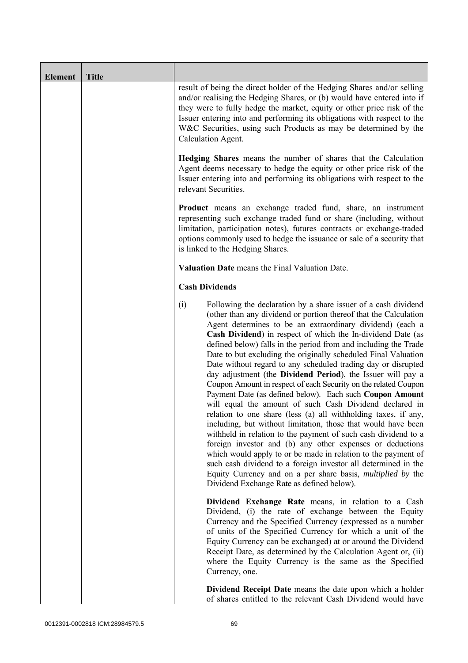| <b>Element</b> | <b>Title</b> |                                                                                                                                                                                                                                                                                                                                                                                                                                                                                                                                                                                                                                                                                                                                                                                                                                                                                                                                                                                                                                                                                                                                                                                                                                                              |
|----------------|--------------|--------------------------------------------------------------------------------------------------------------------------------------------------------------------------------------------------------------------------------------------------------------------------------------------------------------------------------------------------------------------------------------------------------------------------------------------------------------------------------------------------------------------------------------------------------------------------------------------------------------------------------------------------------------------------------------------------------------------------------------------------------------------------------------------------------------------------------------------------------------------------------------------------------------------------------------------------------------------------------------------------------------------------------------------------------------------------------------------------------------------------------------------------------------------------------------------------------------------------------------------------------------|
|                |              | result of being the direct holder of the Hedging Shares and/or selling<br>and/or realising the Hedging Shares, or (b) would have entered into if<br>they were to fully hedge the market, equity or other price risk of the<br>Issuer entering into and performing its obligations with respect to the<br>W&C Securities, using such Products as may be determined by the<br>Calculation Agent.                                                                                                                                                                                                                                                                                                                                                                                                                                                                                                                                                                                                                                                                                                                                                                                                                                                               |
|                |              | Hedging Shares means the number of shares that the Calculation<br>Agent deems necessary to hedge the equity or other price risk of the<br>Issuer entering into and performing its obligations with respect to the<br>relevant Securities.                                                                                                                                                                                                                                                                                                                                                                                                                                                                                                                                                                                                                                                                                                                                                                                                                                                                                                                                                                                                                    |
|                |              | <b>Product</b> means an exchange traded fund, share, an instrument<br>representing such exchange traded fund or share (including, without<br>limitation, participation notes), futures contracts or exchange-traded<br>options commonly used to hedge the issuance or sale of a security that<br>is linked to the Hedging Shares.                                                                                                                                                                                                                                                                                                                                                                                                                                                                                                                                                                                                                                                                                                                                                                                                                                                                                                                            |
|                |              | Valuation Date means the Final Valuation Date.                                                                                                                                                                                                                                                                                                                                                                                                                                                                                                                                                                                                                                                                                                                                                                                                                                                                                                                                                                                                                                                                                                                                                                                                               |
|                |              | <b>Cash Dividends</b>                                                                                                                                                                                                                                                                                                                                                                                                                                                                                                                                                                                                                                                                                                                                                                                                                                                                                                                                                                                                                                                                                                                                                                                                                                        |
|                |              | (i)<br>Following the declaration by a share issuer of a cash dividend<br>(other than any dividend or portion thereof that the Calculation<br>Agent determines to be an extraordinary dividend) (each a<br>Cash Dividend) in respect of which the In-dividend Date (as<br>defined below) falls in the period from and including the Trade<br>Date to but excluding the originally scheduled Final Valuation<br>Date without regard to any scheduled trading day or disrupted<br>day adjustment (the Dividend Period), the Issuer will pay a<br>Coupon Amount in respect of each Security on the related Coupon<br>Payment Date (as defined below). Each such Coupon Amount<br>will equal the amount of such Cash Dividend declared in<br>relation to one share (less (a) all withholding taxes, if any,<br>including, but without limitation, those that would have been<br>withheld in relation to the payment of such cash dividend to a<br>foreign investor and (b) any other expenses or deductions<br>which would apply to or be made in relation to the payment of<br>such cash dividend to a foreign investor all determined in the<br>Equity Currency and on a per share basis, <i>multiplied by</i> the<br>Dividend Exchange Rate as defined below). |
|                |              | Dividend Exchange Rate means, in relation to a Cash<br>Dividend, (i) the rate of exchange between the Equity<br>Currency and the Specified Currency (expressed as a number<br>of units of the Specified Currency for which a unit of the<br>Equity Currency can be exchanged) at or around the Dividend<br>Receipt Date, as determined by the Calculation Agent or, (ii)<br>where the Equity Currency is the same as the Specified<br>Currency, one.                                                                                                                                                                                                                                                                                                                                                                                                                                                                                                                                                                                                                                                                                                                                                                                                         |
|                |              | Dividend Receipt Date means the date upon which a holder<br>of shares entitled to the relevant Cash Dividend would have                                                                                                                                                                                                                                                                                                                                                                                                                                                                                                                                                                                                                                                                                                                                                                                                                                                                                                                                                                                                                                                                                                                                      |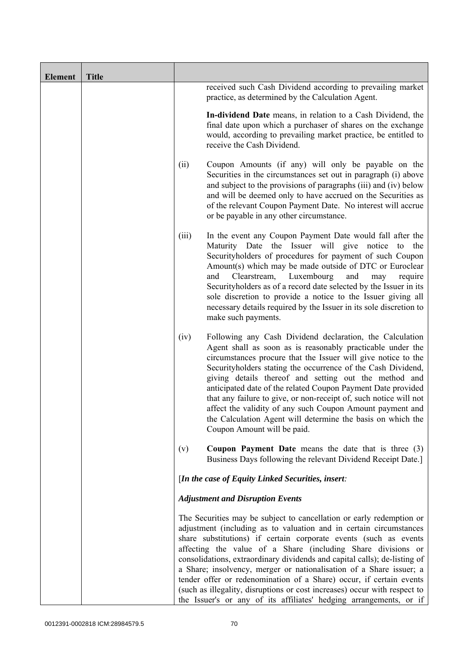| <b>Element</b> | <b>Title</b> |       |                                                                                                                                                                                                                                                                                                                                                                                                                                                                                                                                                                                                                                                              |
|----------------|--------------|-------|--------------------------------------------------------------------------------------------------------------------------------------------------------------------------------------------------------------------------------------------------------------------------------------------------------------------------------------------------------------------------------------------------------------------------------------------------------------------------------------------------------------------------------------------------------------------------------------------------------------------------------------------------------------|
|                |              |       | received such Cash Dividend according to prevailing market<br>practice, as determined by the Calculation Agent.                                                                                                                                                                                                                                                                                                                                                                                                                                                                                                                                              |
|                |              |       | In-dividend Date means, in relation to a Cash Dividend, the<br>final date upon which a purchaser of shares on the exchange<br>would, according to prevailing market practice, be entitled to<br>receive the Cash Dividend.                                                                                                                                                                                                                                                                                                                                                                                                                                   |
|                |              | (ii)  | Coupon Amounts (if any) will only be payable on the<br>Securities in the circumstances set out in paragraph (i) above<br>and subject to the provisions of paragraphs (iii) and (iv) below<br>and will be deemed only to have accrued on the Securities as<br>of the relevant Coupon Payment Date. No interest will accrue<br>or be payable in any other circumstance.                                                                                                                                                                                                                                                                                        |
|                |              | (iii) | In the event any Coupon Payment Date would fall after the<br>Maturity Date the Issuer will give notice to the<br>Securityholders of procedures for payment of such Coupon<br>Amount(s) which may be made outside of DTC or Euroclear<br>Luxembourg<br>Clearstream,<br>and<br>and<br>may<br>require<br>Securityholders as of a record date selected by the Issuer in its<br>sole discretion to provide a notice to the Issuer giving all<br>necessary details required by the Issuer in its sole discretion to<br>make such payments.                                                                                                                         |
|                |              | (iv)  | Following any Cash Dividend declaration, the Calculation<br>Agent shall as soon as is reasonably practicable under the<br>circumstances procure that the Issuer will give notice to the<br>Security holders stating the occurrence of the Cash Dividend,<br>giving details thereof and setting out the method and<br>anticipated date of the related Coupon Payment Date provided<br>that any failure to give, or non-receipt of, such notice will not<br>affect the validity of any such Coupon Amount payment and<br>the Calculation Agent will determine the basis on which the<br>Coupon Amount will be paid.                                            |
|                |              | (v)   | <b>Coupon Payment Date</b> means the date that is three $(3)$<br>Business Days following the relevant Dividend Receipt Date.]                                                                                                                                                                                                                                                                                                                                                                                                                                                                                                                                |
|                |              |       | [In the case of Equity Linked Securities, insert:                                                                                                                                                                                                                                                                                                                                                                                                                                                                                                                                                                                                            |
|                |              |       | <b>Adjustment and Disruption Events</b>                                                                                                                                                                                                                                                                                                                                                                                                                                                                                                                                                                                                                      |
|                |              |       | The Securities may be subject to cancellation or early redemption or<br>adjustment (including as to valuation and in certain circumstances<br>share substitutions) if certain corporate events (such as events<br>affecting the value of a Share (including Share divisions or<br>consolidations, extraordinary dividends and capital calls); de-listing of<br>a Share; insolvency, merger or nationalisation of a Share issuer; a<br>tender offer or redenomination of a Share) occur, if certain events<br>(such as illegality, disruptions or cost increases) occur with respect to<br>the Issuer's or any of its affiliates' hedging arrangements, or if |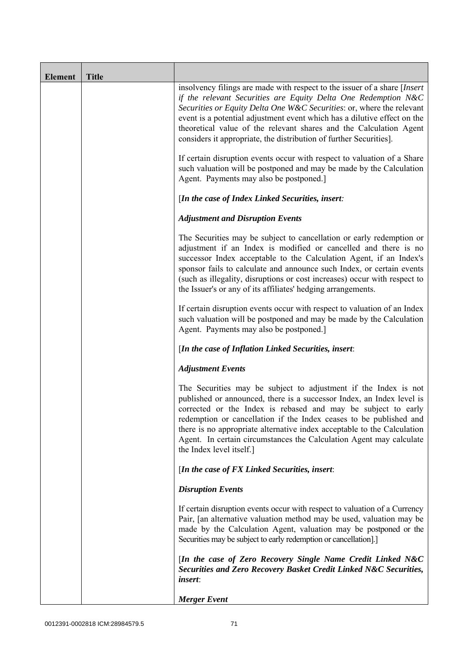| <b>Element</b> | <b>Title</b> |                                                                                                                                                                                                                                                                                                                                                                                                                                                               |
|----------------|--------------|---------------------------------------------------------------------------------------------------------------------------------------------------------------------------------------------------------------------------------------------------------------------------------------------------------------------------------------------------------------------------------------------------------------------------------------------------------------|
|                |              | insolvency filings are made with respect to the issuer of a share [Insert]<br>if the relevant Securities are Equity Delta One Redemption N&C<br>Securities or Equity Delta One W&C Securities: or, where the relevant<br>event is a potential adjustment event which has a dilutive effect on the<br>theoretical value of the relevant shares and the Calculation Agent<br>considers it appropriate, the distribution of further Securities].                 |
|                |              | If certain disruption events occur with respect to valuation of a Share<br>such valuation will be postponed and may be made by the Calculation<br>Agent. Payments may also be postponed.]                                                                                                                                                                                                                                                                     |
|                |              | [In the case of Index Linked Securities, insert:                                                                                                                                                                                                                                                                                                                                                                                                              |
|                |              | <b>Adjustment and Disruption Events</b>                                                                                                                                                                                                                                                                                                                                                                                                                       |
|                |              | The Securities may be subject to cancellation or early redemption or<br>adjustment if an Index is modified or cancelled and there is no<br>successor Index acceptable to the Calculation Agent, if an Index's<br>sponsor fails to calculate and announce such Index, or certain events<br>(such as illegality, disruptions or cost increases) occur with respect to<br>the Issuer's or any of its affiliates' hedging arrangements.                           |
|                |              | If certain disruption events occur with respect to valuation of an Index<br>such valuation will be postponed and may be made by the Calculation<br>Agent. Payments may also be postponed.]                                                                                                                                                                                                                                                                    |
|                |              | [In the case of Inflation Linked Securities, insert:                                                                                                                                                                                                                                                                                                                                                                                                          |
|                |              | <b>Adjustment Events</b>                                                                                                                                                                                                                                                                                                                                                                                                                                      |
|                |              | The Securities may be subject to adjustment if the Index is not<br>published or announced, there is a successor Index, an Index level is<br>corrected or the Index is rebased and may be subject to early<br>redemption or cancellation if the Index ceases to be published and<br>there is no appropriate alternative index acceptable to the Calculation<br>Agent. In certain circumstances the Calculation Agent may calculate<br>the Index level itself.] |
|                |              | [In the case of FX Linked Securities, insert:                                                                                                                                                                                                                                                                                                                                                                                                                 |
|                |              | <b>Disruption Events</b>                                                                                                                                                                                                                                                                                                                                                                                                                                      |
|                |              | If certain disruption events occur with respect to valuation of a Currency<br>Pair, [an alternative valuation method may be used, valuation may be<br>made by the Calculation Agent, valuation may be postponed or the<br>Securities may be subject to early redemption or cancellation].]                                                                                                                                                                    |
|                |              | [In the case of Zero Recovery Single Name Credit Linked N&C<br>Securities and Zero Recovery Basket Credit Linked N&C Securities,<br><i>insert</i> :                                                                                                                                                                                                                                                                                                           |
|                |              | <b>Merger Event</b>                                                                                                                                                                                                                                                                                                                                                                                                                                           |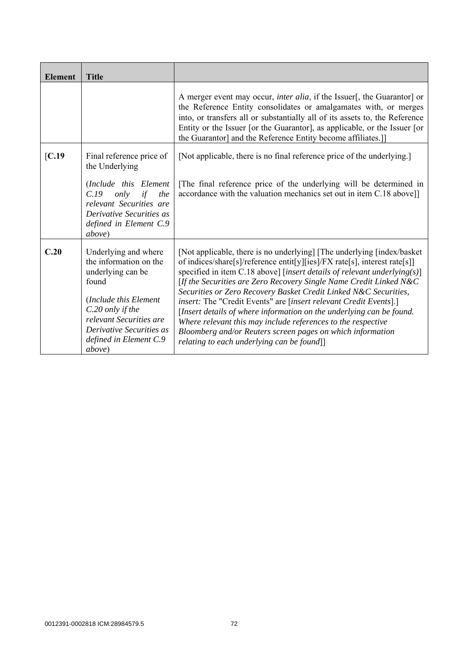| <b>Element</b> | <b>Title</b>                                                                                                                                                                                                         |                                                                                                                                                                                                                                                                                                                                                                                                                                                                                                                                                                                                                                                                                                    |
|----------------|----------------------------------------------------------------------------------------------------------------------------------------------------------------------------------------------------------------------|----------------------------------------------------------------------------------------------------------------------------------------------------------------------------------------------------------------------------------------------------------------------------------------------------------------------------------------------------------------------------------------------------------------------------------------------------------------------------------------------------------------------------------------------------------------------------------------------------------------------------------------------------------------------------------------------------|
|                |                                                                                                                                                                                                                      | A merger event may occur, <i>inter alia</i> , if the Issuer[, the Guarantor] or<br>the Reference Entity consolidates or amalgamates with, or merges<br>into, or transfers all or substantially all of its assets to, the Reference<br>Entity or the Issuer [or the Guarantor], as applicable, or the Issuer [or<br>the Guarantor] and the Reference Entity become affiliates.]                                                                                                                                                                                                                                                                                                                     |
| IC.19          | Final reference price of<br>the Underlying                                                                                                                                                                           | [Not applicable, there is no final reference price of the underlying.]                                                                                                                                                                                                                                                                                                                                                                                                                                                                                                                                                                                                                             |
|                | (Include this Element<br>C.19<br>only<br>if<br>the<br>relevant Securities are<br>Derivative Securities as<br>defined in Element C.9<br><i>above</i> )                                                                | The final reference price of the underlying will be determined in<br>accordance with the valuation mechanics set out in item C.18 above]]                                                                                                                                                                                                                                                                                                                                                                                                                                                                                                                                                          |
| C.20           | Underlying and where<br>the information on the<br>underlying can be<br>found<br>(Include this Element<br>C.20 only if the<br>relevant Securities are<br>Derivative Securities as<br>defined in Element C.9<br>above) | [Not applicable, there is no underlying] [The underlying [index/basket<br>of indices/share[s]/reference entit[y][ies]/FX rate[s], interest rate[s]]<br>specified in item C.18 above] [insert details of relevant underlying(s)]<br>[If the Securities are Zero Recovery Single Name Credit Linked N&C<br>Securities or Zero Recovery Basket Credit Linked N&C Securities,<br>insert: The "Credit Events" are [insert relevant Credit Events].]<br>[Insert details of where information on the underlying can be found.<br>Where relevant this may include references to the respective<br>Bloomberg and/or Reuters screen pages on which information<br>relating to each underlying can be found]] |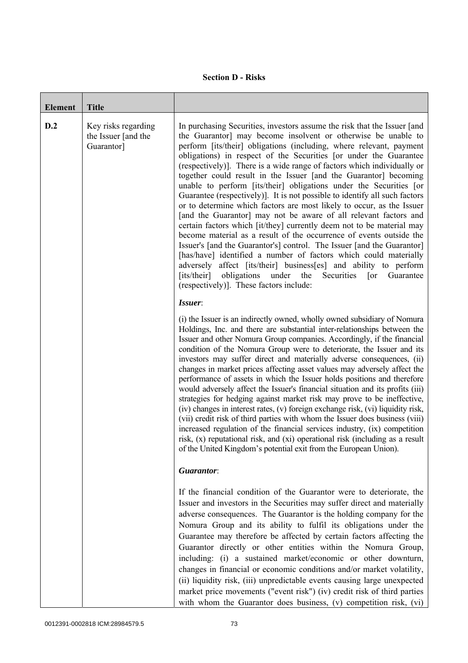## **Section D - Risks**

| <b>Element</b> | <b>Title</b>                                             |                                                                                                                                                                                                                                                                                                                                                                                                                                                                                                                                                                                                                                                                                                                                                                                                                                                                                                                                                                                                                                                                                                                                                                                                                                           |
|----------------|----------------------------------------------------------|-------------------------------------------------------------------------------------------------------------------------------------------------------------------------------------------------------------------------------------------------------------------------------------------------------------------------------------------------------------------------------------------------------------------------------------------------------------------------------------------------------------------------------------------------------------------------------------------------------------------------------------------------------------------------------------------------------------------------------------------------------------------------------------------------------------------------------------------------------------------------------------------------------------------------------------------------------------------------------------------------------------------------------------------------------------------------------------------------------------------------------------------------------------------------------------------------------------------------------------------|
| D.2            | Key risks regarding<br>the Issuer [and the<br>Guarantor] | In purchasing Securities, investors assume the risk that the Issuer [and<br>the Guarantor] may become insolvent or otherwise be unable to<br>perform [its/their] obligations (including, where relevant, payment<br>obligations) in respect of the Securities [or under the Guarantee<br>(respectively)]. There is a wide range of factors which individually or<br>together could result in the Issuer [and the Guarantor] becoming<br>unable to perform [its/their] obligations under the Securities [or<br>Guarantee (respectively). It is not possible to identify all such factors<br>or to determine which factors are most likely to occur, as the Issuer<br>[and the Guarantor] may not be aware of all relevant factors and<br>certain factors which [it/they] currently deem not to be material may<br>become material as a result of the occurrence of events outside the<br>Issuer's [and the Guarantor's] control. The Issuer [and the Guarantor]<br>[has/have] identified a number of factors which could materially<br>adversely affect [its/their] business[es] and ability to perform<br>obligations<br>[its/their]<br>under<br>the<br>Guarantee<br>Securities<br>$\lceil$ or<br>(respectively)]. These factors include: |
|                |                                                          | Issuer:<br>(i) the Issuer is an indirectly owned, wholly owned subsidiary of Nomura<br>Holdings, Inc. and there are substantial inter-relationships between the<br>Issuer and other Nomura Group companies. Accordingly, if the financial<br>condition of the Nomura Group were to deteriorate, the Issuer and its<br>investors may suffer direct and materially adverse consequences, (ii)<br>changes in market prices affecting asset values may adversely affect the<br>performance of assets in which the Issuer holds positions and therefore<br>would adversely affect the Issuer's financial situation and its profits (iii)<br>strategies for hedging against market risk may prove to be ineffective,<br>(iv) changes in interest rates, (v) foreign exchange risk, (vi) liquidity risk,<br>(vii) credit risk of third parties with whom the Issuer does business (viii)<br>increased regulation of the financial services industry, (ix) competition<br>risk, (x) reputational risk, and (xi) operational risk (including as a result<br>of the United Kingdom's potential exit from the European Union).                                                                                                                       |
|                |                                                          | Guarantor:                                                                                                                                                                                                                                                                                                                                                                                                                                                                                                                                                                                                                                                                                                                                                                                                                                                                                                                                                                                                                                                                                                                                                                                                                                |
|                |                                                          | If the financial condition of the Guarantor were to deteriorate, the<br>Issuer and investors in the Securities may suffer direct and materially<br>adverse consequences. The Guarantor is the holding company for the<br>Nomura Group and its ability to fulfil its obligations under the<br>Guarantee may therefore be affected by certain factors affecting the<br>Guarantor directly or other entities within the Nomura Group,<br>including: (i) a sustained market/economic or other downturn,<br>changes in financial or economic conditions and/or market volatility,<br>(ii) liquidity risk, (iii) unpredictable events causing large unexpected<br>market price movements ("event risk") (iv) credit risk of third parties<br>with whom the Guarantor does business, (v) competition risk, (vi)                                                                                                                                                                                                                                                                                                                                                                                                                                  |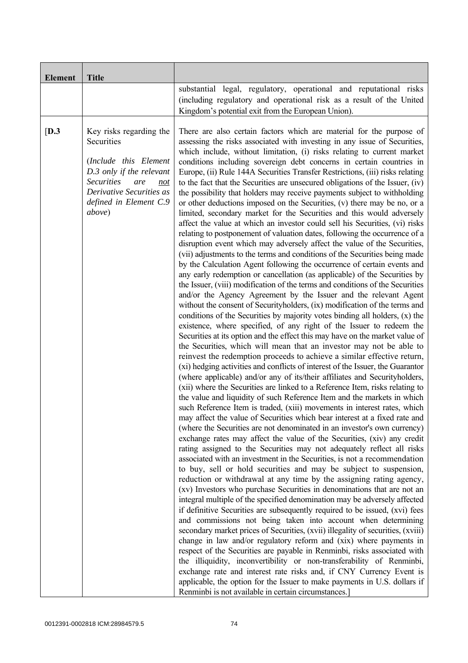| <b>Element</b> | <b>Title</b>                                                                                                                                                                                          |                                                                                                                                                                                                                                                                                                                                                                                                                                                                                                                                                                                                                                                                                                                                                                                                                                                                                                                                                                                                                                                                                                                                                                                                                                                                                                                                                                                                                                                                                                                                                                                                                                                                                                                                                                                                                                                                                                                                                                                                                                                                                                                                                                                                                                                                                                                                                                                                                                                                                                                                                                                                                                                                                                                                                                                                                                                                                                                                                                                                                                                                                                                                                                                                                                                                                                                                                                                                                                                                                                                                                                                                      |
|----------------|-------------------------------------------------------------------------------------------------------------------------------------------------------------------------------------------------------|------------------------------------------------------------------------------------------------------------------------------------------------------------------------------------------------------------------------------------------------------------------------------------------------------------------------------------------------------------------------------------------------------------------------------------------------------------------------------------------------------------------------------------------------------------------------------------------------------------------------------------------------------------------------------------------------------------------------------------------------------------------------------------------------------------------------------------------------------------------------------------------------------------------------------------------------------------------------------------------------------------------------------------------------------------------------------------------------------------------------------------------------------------------------------------------------------------------------------------------------------------------------------------------------------------------------------------------------------------------------------------------------------------------------------------------------------------------------------------------------------------------------------------------------------------------------------------------------------------------------------------------------------------------------------------------------------------------------------------------------------------------------------------------------------------------------------------------------------------------------------------------------------------------------------------------------------------------------------------------------------------------------------------------------------------------------------------------------------------------------------------------------------------------------------------------------------------------------------------------------------------------------------------------------------------------------------------------------------------------------------------------------------------------------------------------------------------------------------------------------------------------------------------------------------------------------------------------------------------------------------------------------------------------------------------------------------------------------------------------------------------------------------------------------------------------------------------------------------------------------------------------------------------------------------------------------------------------------------------------------------------------------------------------------------------------------------------------------------------------------------------------------------------------------------------------------------------------------------------------------------------------------------------------------------------------------------------------------------------------------------------------------------------------------------------------------------------------------------------------------------------------------------------------------------------------------------------------------------|
|                |                                                                                                                                                                                                       | substantial legal, regulatory, operational and reputational risks<br>(including regulatory and operational risk as a result of the United<br>Kingdom's potential exit from the European Union).                                                                                                                                                                                                                                                                                                                                                                                                                                                                                                                                                                                                                                                                                                                                                                                                                                                                                                                                                                                                                                                                                                                                                                                                                                                                                                                                                                                                                                                                                                                                                                                                                                                                                                                                                                                                                                                                                                                                                                                                                                                                                                                                                                                                                                                                                                                                                                                                                                                                                                                                                                                                                                                                                                                                                                                                                                                                                                                                                                                                                                                                                                                                                                                                                                                                                                                                                                                                      |
| [D.3]          | Key risks regarding the<br>Securities<br>(Include this Element<br>D.3 only if the relevant<br><b>Securities</b><br>are<br>not<br>Derivative Securities as<br>defined in Element C.9<br><i>above</i> ) | There are also certain factors which are material for the purpose of<br>assessing the risks associated with investing in any issue of Securities,<br>which include, without limitation, (i) risks relating to current market<br>conditions including sovereign debt concerns in certain countries in<br>Europe, (ii) Rule 144A Securities Transfer Restrictions, (iii) risks relating<br>to the fact that the Securities are unsecured obligations of the Issuer, (iv)<br>the possibility that holders may receive payments subject to withholding<br>or other deductions imposed on the Securities, (v) there may be no, or a<br>limited, secondary market for the Securities and this would adversely<br>affect the value at which an investor could sell his Securities, (vi) risks<br>relating to postponement of valuation dates, following the occurrence of a<br>disruption event which may adversely affect the value of the Securities,<br>(vii) adjustments to the terms and conditions of the Securities being made<br>by the Calculation Agent following the occurrence of certain events and<br>any early redemption or cancellation (as applicable) of the Securities by<br>the Issuer, (viii) modification of the terms and conditions of the Securities<br>and/or the Agency Agreement by the Issuer and the relevant Agent<br>without the consent of Securityholders, (ix) modification of the terms and<br>conditions of the Securities by majority votes binding all holders, $(x)$ the<br>existence, where specified, of any right of the Issuer to redeem the<br>Securities at its option and the effect this may have on the market value of<br>the Securities, which will mean that an investor may not be able to<br>reinvest the redemption proceeds to achieve a similar effective return,<br>(xi) hedging activities and conflicts of interest of the Issuer, the Guarantor<br>(where applicable) and/or any of its/their affiliates and Securityholders,<br>(xii) where the Securities are linked to a Reference Item, risks relating to<br>the value and liquidity of such Reference Item and the markets in which<br>such Reference Item is traded, (xiii) movements in interest rates, which<br>may affect the value of Securities which bear interest at a fixed rate and<br>(where the Securities are not denominated in an investor's own currency)<br>exchange rates may affect the value of the Securities, (xiv) any credit<br>rating assigned to the Securities may not adequately reflect all risks<br>associated with an investment in the Securities, is not a recommendation<br>to buy, sell or hold securities and may be subject to suspension,<br>reduction or withdrawal at any time by the assigning rating agency,<br>(xv) Investors who purchase Securities in denominations that are not an<br>integral multiple of the specified denomination may be adversely affected<br>if definitive Securities are subsequently required to be issued, (xvi) fees<br>and commissions not being taken into account when determining<br>secondary market prices of Securities, (xvii) illegality of securities, (xviii)<br>change in law and/or regulatory reform and (xix) where payments in<br>respect of the Securities are payable in Renminbi, risks associated with<br>the illiquidity, inconvertibility or non-transferability of Renminbi,<br>exchange rate and interest rate risks and, if CNY Currency Event is<br>applicable, the option for the Issuer to make payments in U.S. dollars if<br>Renminbi is not available in certain circumstances.] |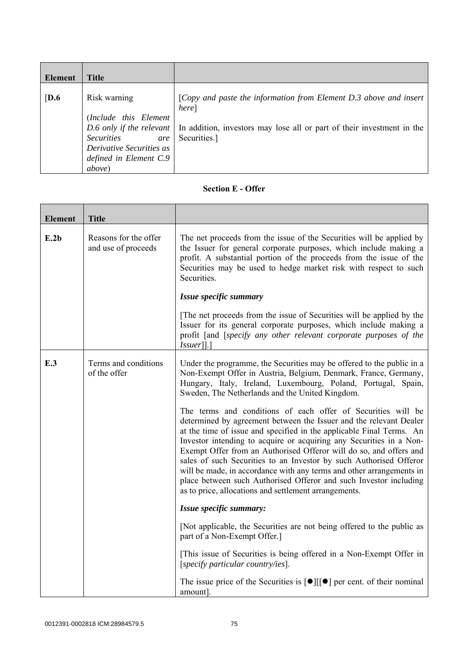| Element          | <b>Title</b>                                                                                                                              |                                                                                                                                                                                                 |
|------------------|-------------------------------------------------------------------------------------------------------------------------------------------|-------------------------------------------------------------------------------------------------------------------------------------------------------------------------------------------------|
| $\overline{D.6}$ | Risk warning<br>(Include this Element<br><b>Securities</b><br>are<br>Derivative Securities as<br>defined in Element C.9<br><i>above</i> ) | [Copy and paste the information from Element D.3 above and insert<br>here]<br>D.6 only if the relevant   In addition, investors may lose all or part of their investment in the<br>Securities.] |

## **Section E - Offer**

| <b>Element</b> | <b>Title</b>                                 |                                                                                                                                                                                                                                                                                                                                                                                                                                                                                                                                                                                                                                     |
|----------------|----------------------------------------------|-------------------------------------------------------------------------------------------------------------------------------------------------------------------------------------------------------------------------------------------------------------------------------------------------------------------------------------------------------------------------------------------------------------------------------------------------------------------------------------------------------------------------------------------------------------------------------------------------------------------------------------|
| E.2b           | Reasons for the offer<br>and use of proceeds | The net proceeds from the issue of the Securities will be applied by<br>the Issuer for general corporate purposes, which include making a<br>profit. A substantial portion of the proceeds from the issue of the<br>Securities may be used to hedge market risk with respect to such<br>Securities.                                                                                                                                                                                                                                                                                                                                 |
|                |                                              | Issue specific summary                                                                                                                                                                                                                                                                                                                                                                                                                                                                                                                                                                                                              |
|                |                                              | The net proceeds from the issue of Securities will be applied by the<br>Issuer for its general corporate purposes, which include making a<br>profit [and [specify any other relevant corporate purposes of the<br>$Is \, \text{user}$ ].                                                                                                                                                                                                                                                                                                                                                                                            |
| E.3            | Terms and conditions<br>of the offer         | Under the programme, the Securities may be offered to the public in a<br>Non-Exempt Offer in Austria, Belgium, Denmark, France, Germany,<br>Hungary, Italy, Ireland, Luxembourg, Poland, Portugal, Spain,<br>Sweden, The Netherlands and the United Kingdom.                                                                                                                                                                                                                                                                                                                                                                        |
|                |                                              | The terms and conditions of each offer of Securities will be<br>determined by agreement between the Issuer and the relevant Dealer<br>at the time of issue and specified in the applicable Final Terms. An<br>Investor intending to acquire or acquiring any Securities in a Non-<br>Exempt Offer from an Authorised Offeror will do so, and offers and<br>sales of such Securities to an Investor by such Authorised Offeror<br>will be made, in accordance with any terms and other arrangements in<br>place between such Authorised Offeror and such Investor including<br>as to price, allocations and settlement arrangements. |
|                |                                              | Issue specific summary:                                                                                                                                                                                                                                                                                                                                                                                                                                                                                                                                                                                                             |
|                |                                              | [Not applicable, the Securities are not being offered to the public as<br>part of a Non-Exempt Offer.]                                                                                                                                                                                                                                                                                                                                                                                                                                                                                                                              |
|                |                                              | [This issue of Securities is being offered in a Non-Exempt Offer in<br>[specify particular country/ies].                                                                                                                                                                                                                                                                                                                                                                                                                                                                                                                            |
|                |                                              | The issue price of the Securities is $\lceil \bullet \rceil \lceil \cdot \rceil$ per cent. of their nominal<br>amount].                                                                                                                                                                                                                                                                                                                                                                                                                                                                                                             |